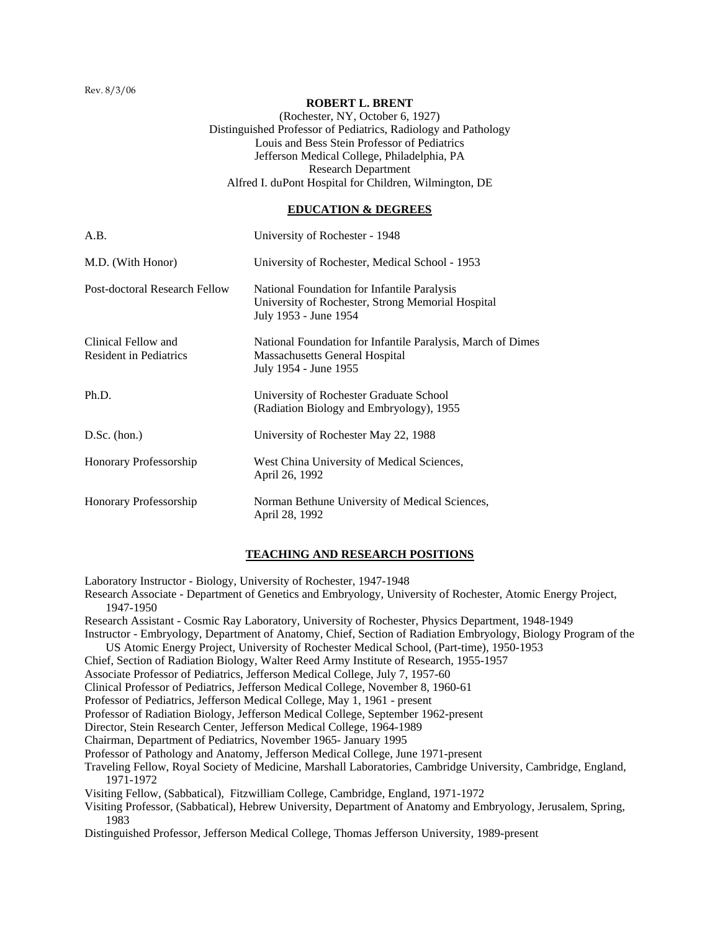Rev. 8/3/06

### **ROBERT L. BRENT**

(Rochester, NY, October 6, 1927) Distinguished Professor of Pediatrics, Radiology and Pathology Louis and Bess Stein Professor of Pediatrics Jefferson Medical College, Philadelphia, PA Research Department Alfred I. duPont Hospital for Children, Wilmington, DE

## **EDUCATION & DEGREES**

| A.B.                                                 | University of Rochester - 1948                                                                                            |
|------------------------------------------------------|---------------------------------------------------------------------------------------------------------------------------|
| M.D. (With Honor)                                    | University of Rochester, Medical School - 1953                                                                            |
| Post-doctoral Research Fellow                        | National Foundation for Infantile Paralysis<br>University of Rochester, Strong Memorial Hospital<br>July 1953 - June 1954 |
| Clinical Fellow and<br><b>Resident in Pediatrics</b> | National Foundation for Infantile Paralysis, March of Dimes<br>Massachusetts General Hospital<br>July 1954 - June 1955    |
| Ph.D.                                                | University of Rochester Graduate School<br>(Radiation Biology and Embryology), 1955                                       |
| $D.Sc.$ (hon.)                                       | University of Rochester May 22, 1988                                                                                      |
| Honorary Professorship                               | West China University of Medical Sciences,<br>April 26, 1992                                                              |
| Honorary Professorship                               | Norman Bethune University of Medical Sciences,<br>April 28, 1992                                                          |

## **TEACHING AND RESEARCH POSITIONS**

Laboratory Instructor - Biology, University of Rochester, 1947-1948

Research Associate - Department of Genetics and Embryology, University of Rochester, Atomic Energy Project, 1947-1950

Research Assistant - Cosmic Ray Laboratory, University of Rochester, Physics Department, 1948-1949

- Instructor Embryology, Department of Anatomy, Chief, Section of Radiation Embryology, Biology Program of the US Atomic Energy Project, University of Rochester Medical School, (Part-time), 1950-1953
- Chief, Section of Radiation Biology, Walter Reed Army Institute of Research, 1955-1957
- Associate Professor of Pediatrics, Jefferson Medical College, July 7, 1957-60
- Clinical Professor of Pediatrics, Jefferson Medical College, November 8, 1960-61

Professor of Pediatrics, Jefferson Medical College, May 1, 1961 - present

Professor of Radiation Biology, Jefferson Medical College, September 1962-present

Director, Stein Research Center, Jefferson Medical College, 1964-1989

Chairman, Department of Pediatrics, November 1965- January 1995

Professor of Pathology and Anatomy, Jefferson Medical College, June 1971-present

Traveling Fellow, Royal Society of Medicine, Marshall Laboratories, Cambridge University, Cambridge, England, 1971-1972

Visiting Fellow, (Sabbatical), Fitzwilliam College, Cambridge, England, 1971-1972

- Visiting Professor, (Sabbatical), Hebrew University, Department of Anatomy and Embryology, Jerusalem, Spring, 1983
- Distinguished Professor, Jefferson Medical College, Thomas Jefferson University, 1989-present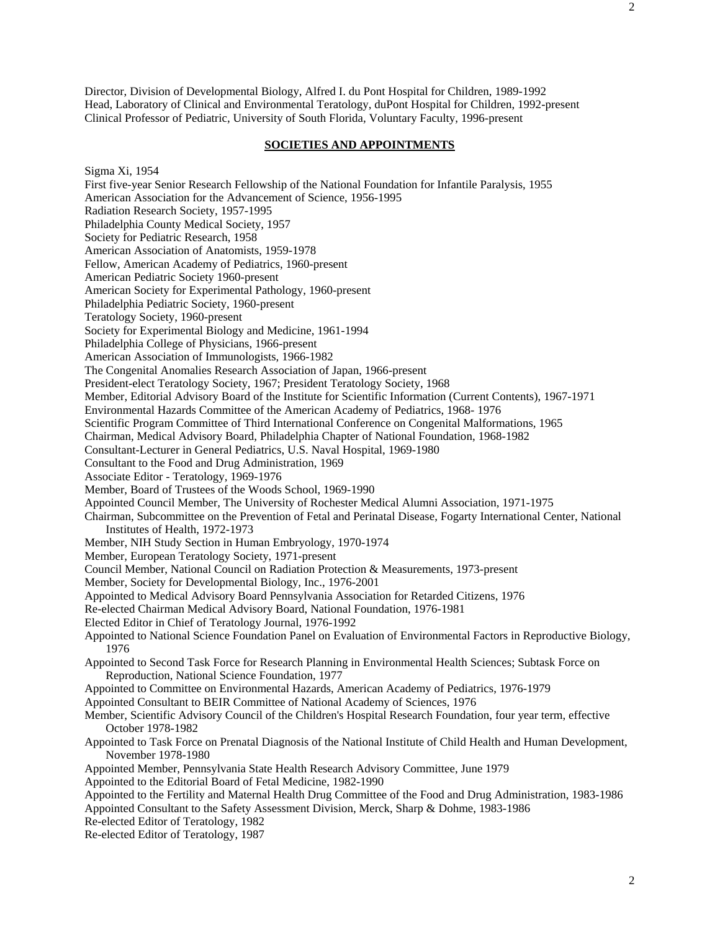Director, Division of Developmental Biology, Alfred I. du Pont Hospital for Children, 1989-1992 Head, Laboratory of Clinical and Environmental Teratology, duPont Hospital for Children, 1992-present Clinical Professor of Pediatric, University of South Florida, Voluntary Faculty, 1996-present

## **SOCIETIES AND APPOINTMENTS**

Sigma Xi, 1954

First five-year Senior Research Fellowship of the National Foundation for Infantile Paralysis, 1955 American Association for the Advancement of Science, 1956-1995 Radiation Research Society, 1957-1995 Philadelphia County Medical Society, 1957 Society for Pediatric Research, 1958 American Association of Anatomists, 1959-1978 Fellow, American Academy of Pediatrics, 1960-present American Pediatric Society 1960-present American Society for Experimental Pathology, 1960-present Philadelphia Pediatric Society, 1960-present Teratology Society, 1960-present Society for Experimental Biology and Medicine, 1961-1994 Philadelphia College of Physicians, 1966-present American Association of Immunologists, 1966-1982 The Congenital Anomalies Research Association of Japan, 1966-present President-elect Teratology Society, 1967; President Teratology Society, 1968 Member, Editorial Advisory Board of the Institute for Scientific Information (Current Contents), 1967-1971 Environmental Hazards Committee of the American Academy of Pediatrics, 1968- 1976 Scientific Program Committee of Third International Conference on Congenital Malformations, 1965 Chairman, Medical Advisory Board, Philadelphia Chapter of National Foundation, 1968-1982 Consultant-Lecturer in General Pediatrics, U.S. Naval Hospital, 1969-1980 Consultant to the Food and Drug Administration, 1969 Associate Editor - Teratology, 1969-1976 Member, Board of Trustees of the Woods School, 1969-1990 Appointed Council Member, The University of Rochester Medical Alumni Association, 1971-1975 Chairman, Subcommittee on the Prevention of Fetal and Perinatal Disease, Fogarty International Center, National Institutes of Health, 1972-1973 Member, NIH Study Section in Human Embryology, 1970-1974 Member, European Teratology Society, 1971-present Council Member, National Council on Radiation Protection & Measurements, 1973-present Member, Society for Developmental Biology, Inc., 1976-2001 Appointed to Medical Advisory Board Pennsylvania Association for Retarded Citizens, 1976 Re-elected Chairman Medical Advisory Board, National Foundation, 1976-1981 Elected Editor in Chief of Teratology Journal, 1976-1992 Appointed to National Science Foundation Panel on Evaluation of Environmental Factors in Reproductive Biology, 1976 Appointed to Second Task Force for Research Planning in Environmental Health Sciences; Subtask Force on Reproduction, National Science Foundation, 1977 Appointed to Committee on Environmental Hazards, American Academy of Pediatrics, 1976-1979 Appointed Consultant to BEIR Committee of National Academy of Sciences, 1976 Member, Scientific Advisory Council of the Children's Hospital Research Foundation, four year term, effective October 1978-1982 Appointed to Task Force on Prenatal Diagnosis of the National Institute of Child Health and Human Development, November 1978-1980 Appointed Member, Pennsylvania State Health Research Advisory Committee, June 1979 Appointed to the Editorial Board of Fetal Medicine, 1982-1990 Appointed to the Fertility and Maternal Health Drug Committee of the Food and Drug Administration, 1983-1986 Appointed Consultant to the Safety Assessment Division, Merck, Sharp & Dohme, 1983-1986 Re-elected Editor of Teratology, 1982 Re-elected Editor of Teratology, 1987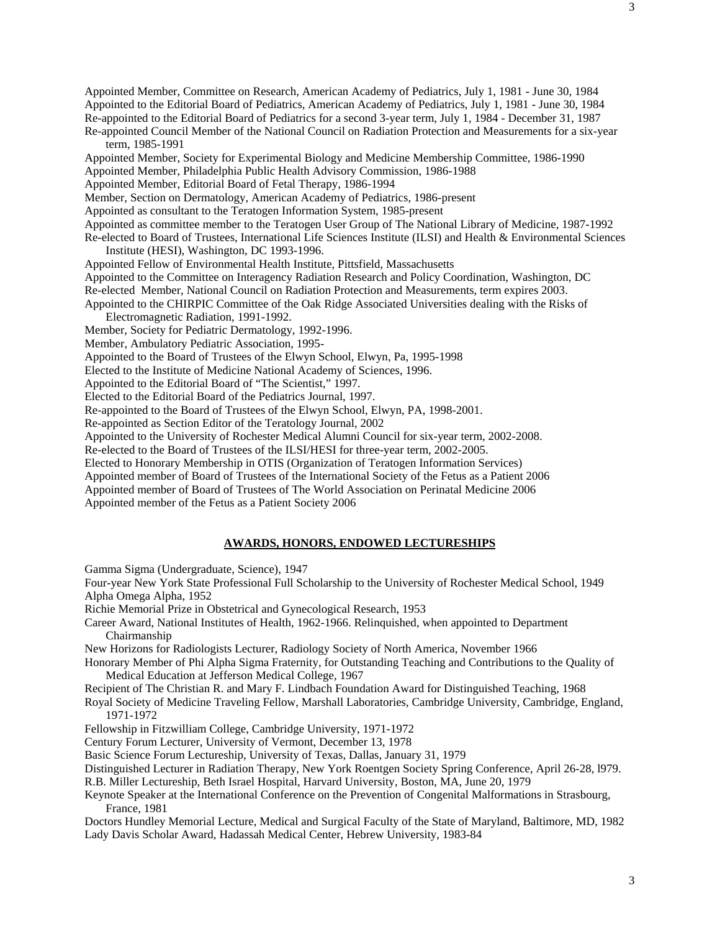Appointed Member, Committee on Research, American Academy of Pediatrics, July 1, 1981 - June 30, 1984 Appointed to the Editorial Board of Pediatrics, American Academy of Pediatrics, July 1, 1981 - June 30, 1984 Re-appointed to the Editorial Board of Pediatrics for a second 3-year term, July 1, 1984 - December 31, 1987 Re-appointed Council Member of the National Council on Radiation Protection and Measurements for a six-year term, 1985-1991 Appointed Member, Society for Experimental Biology and Medicine Membership Committee, 1986-1990 Appointed Member, Philadelphia Public Health Advisory Commission, 1986-1988 Appointed Member, Editorial Board of Fetal Therapy, 1986-1994 Member, Section on Dermatology, American Academy of Pediatrics, 1986-present Appointed as consultant to the Teratogen Information System, 1985-present Appointed as committee member to the Teratogen User Group of The National Library of Medicine, 1987-1992 Re-elected to Board of Trustees, International Life Sciences Institute (ILSI) and Health & Environmental Sciences Institute (HESI), Washington, DC 1993-1996. Appointed Fellow of Environmental Health Institute, Pittsfield, Massachusetts Appointed to the Committee on Interagency Radiation Research and Policy Coordination, Washington, DC Re-elected Member, National Council on Radiation Protection and Measurements, term expires 2003. Appointed to the CHIRPIC Committee of the Oak Ridge Associated Universities dealing with the Risks of Electromagnetic Radiation, 1991-1992. Member, Society for Pediatric Dermatology, 1992-1996. Member, Ambulatory Pediatric Association, 1995- Appointed to the Board of Trustees of the Elwyn School, Elwyn, Pa, 1995-1998 Elected to the Institute of Medicine National Academy of Sciences, 1996. Appointed to the Editorial Board of "The Scientist," 1997. Elected to the Editorial Board of the Pediatrics Journal, 1997. Re-appointed to the Board of Trustees of the Elwyn School, Elwyn, PA, 1998-2001. Re-appointed as Section Editor of the Teratology Journal, 2002 Appointed to the University of Rochester Medical Alumni Council for six-year term, 2002-2008. Re-elected to the Board of Trustees of the ILSI/HESI for three-year term, 2002-2005. Elected to Honorary Membership in OTIS (Organization of Teratogen Information Services) Appointed member of Board of Trustees of the International Society of the Fetus as a Patient 2006

Appointed member of Board of Trustees of The World Association on Perinatal Medicine 2006 Appointed member of the Fetus as a Patient Society 2006

# **AWARDS, HONORS, ENDOWED LECTURESHIPS**

Gamma Sigma (Undergraduate, Science), 1947

Four-year New York State Professional Full Scholarship to the University of Rochester Medical School, 1949 Alpha Omega Alpha, 1952

Richie Memorial Prize in Obstetrical and Gynecological Research, 1953

Career Award, National Institutes of Health, 1962-1966. Relinquished, when appointed to Department Chairmanship

New Horizons for Radiologists Lecturer, Radiology Society of North America, November 1966

Honorary Member of Phi Alpha Sigma Fraternity, for Outstanding Teaching and Contributions to the Quality of Medical Education at Jefferson Medical College, 1967

Recipient of The Christian R. and Mary F. Lindbach Foundation Award for Distinguished Teaching, 1968

Royal Society of Medicine Traveling Fellow, Marshall Laboratories, Cambridge University, Cambridge, England, 1971-1972

Fellowship in Fitzwilliam College, Cambridge University, 1971-1972

Century Forum Lecturer, University of Vermont, December 13, 1978

Basic Science Forum Lectureship, University of Texas, Dallas, January 31, 1979

Distinguished Lecturer in Radiation Therapy, New York Roentgen Society Spring Conference, April 26-28, l979.

R.B. Miller Lectureship, Beth Israel Hospital, Harvard University, Boston, MA, June 20, 1979

Keynote Speaker at the International Conference on the Prevention of Congenital Malformations in Strasbourg, France, 1981

Doctors Hundley Memorial Lecture, Medical and Surgical Faculty of the State of Maryland, Baltimore, MD, 1982 Lady Davis Scholar Award, Hadassah Medical Center, Hebrew University, 1983-84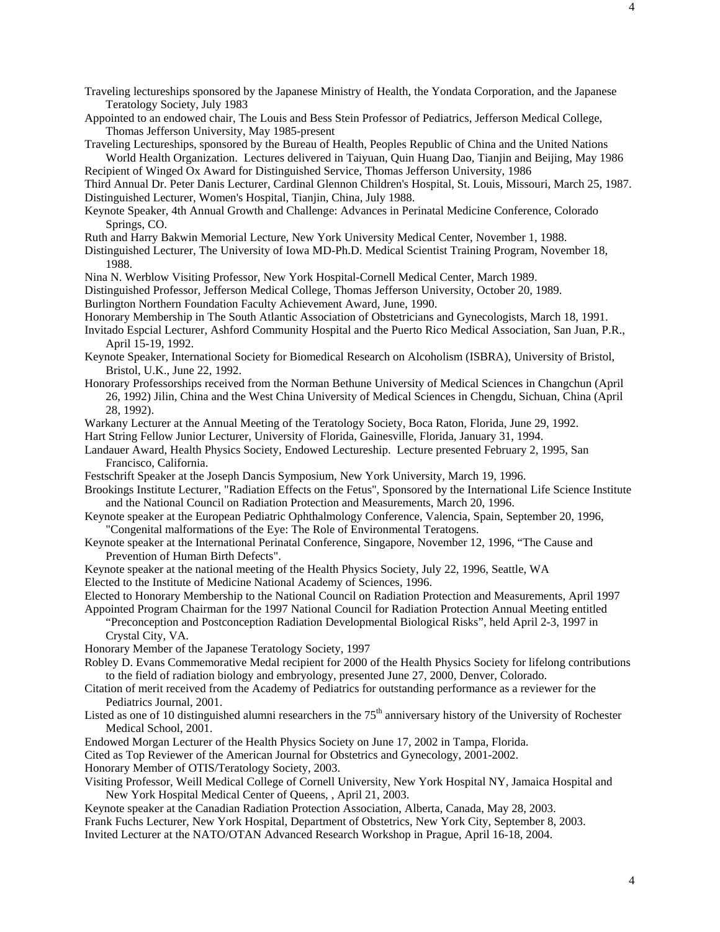Appointed to an endowed chair, The Louis and Bess Stein Professor of Pediatrics, Jefferson Medical College, Thomas Jefferson University, May 1985-present

Traveling Lectureships, sponsored by the Bureau of Health, Peoples Republic of China and the United Nations

World Health Organization. Lectures delivered in Taiyuan, Quin Huang Dao, Tianjin and Beijing, May 1986 Recipient of Winged Ox Award for Distinguished Service, Thomas Jefferson University, 1986

Third Annual Dr. Peter Danis Lecturer, Cardinal Glennon Children's Hospital, St. Louis, Missouri, March 25, 1987. Distinguished Lecturer, Women's Hospital, Tianjin, China, July 1988.

Keynote Speaker, 4th Annual Growth and Challenge: Advances in Perinatal Medicine Conference, Colorado Springs, CO.

Ruth and Harry Bakwin Memorial Lecture, New York University Medical Center, November 1, 1988.

Distinguished Lecturer, The University of Iowa MD-Ph.D. Medical Scientist Training Program, November 18, 1988.

Nina N. Werblow Visiting Professor, New York Hospital-Cornell Medical Center, March 1989.

Distinguished Professor, Jefferson Medical College, Thomas Jefferson University, October 20, 1989.

Burlington Northern Foundation Faculty Achievement Award, June, 1990.

Honorary Membership in The South Atlantic Association of Obstetricians and Gynecologists, March 18, 1991.

- Invitado Espcial Lecturer, Ashford Community Hospital and the Puerto Rico Medical Association, San Juan, P.R., April 15-19, 1992.
- Keynote Speaker, International Society for Biomedical Research on Alcoholism (ISBRA), University of Bristol, Bristol, U.K., June 22, 1992.
- Honorary Professorships received from the Norman Bethune University of Medical Sciences in Changchun (April 26, 1992) Jilin, China and the West China University of Medical Sciences in Chengdu, Sichuan, China (April 28, 1992).
- Warkany Lecturer at the Annual Meeting of the Teratology Society, Boca Raton, Florida, June 29, 1992.

Hart String Fellow Junior Lecturer, University of Florida, Gainesville, Florida, January 31, 1994.

- Landauer Award, Health Physics Society, Endowed Lectureship. Lecture presented February 2, 1995, San Francisco, California.
- Festschrift Speaker at the Joseph Dancis Symposium, New York University, March 19, 1996.
- Brookings Institute Lecturer, "Radiation Effects on the Fetus", Sponsored by the International Life Science Institute and the National Council on Radiation Protection and Measurements, March 20, 1996.
- Keynote speaker at the European Pediatric Ophthalmology Conference, Valencia, Spain, September 20, 1996, "Congenital malformations of the Eye: The Role of Environmental Teratogens.
- Keynote speaker at the International Perinatal Conference, Singapore, November 12, 1996, "The Cause and Prevention of Human Birth Defects".
- Keynote speaker at the national meeting of the Health Physics Society, July 22, 1996, Seattle, WA

Elected to the Institute of Medicine National Academy of Sciences, 1996.

Elected to Honorary Membership to the National Council on Radiation Protection and Measurements, April 1997

Appointed Program Chairman for the 1997 National Council for Radiation Protection Annual Meeting entitled "Preconception and Postconception Radiation Developmental Biological Risks", held April 2-3, 1997 in Crystal City, VA.

- Honorary Member of the Japanese Teratology Society, 1997
- Robley D. Evans Commemorative Medal recipient for 2000 of the Health Physics Society for lifelong contributions to the field of radiation biology and embryology, presented June 27, 2000, Denver, Colorado.
- Citation of merit received from the Academy of Pediatrics for outstanding performance as a reviewer for the Pediatrics Journal, 2001.
- Listed as one of 10 distinguished alumni researchers in the  $75<sup>th</sup>$  anniversary history of the University of Rochester Medical School, 2001.
- Endowed Morgan Lecturer of the Health Physics Society on June 17, 2002 in Tampa, Florida.

Cited as Top Reviewer of the American Journal for Obstetrics and Gynecology, 2001-2002.

Honorary Member of OTIS/Teratology Society, 2003.

Visiting Professor, Weill Medical College of Cornell University, New York Hospital NY, Jamaica Hospital and New York Hospital Medical Center of Queens, , April 21, 2003.

Keynote speaker at the Canadian Radiation Protection Association, Alberta, Canada, May 28, 2003.

Frank Fuchs Lecturer, New York Hospital, Department of Obstetrics, New York City, September 8, 2003.

Invited Lecturer at the NATO/OTAN Advanced Research Workshop in Prague, April 16-18, 2004.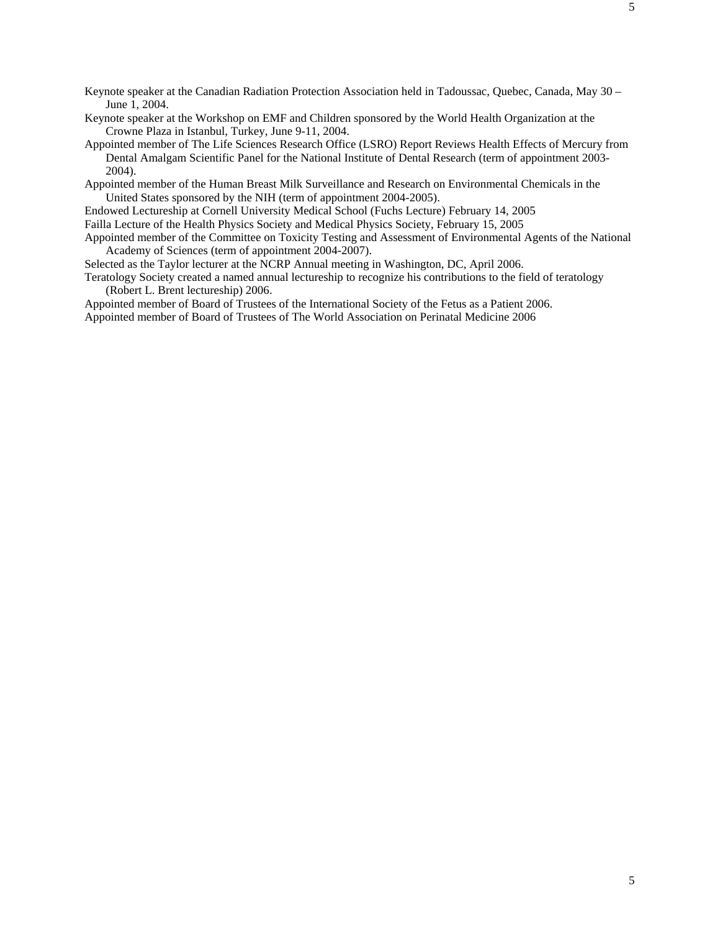Keynote speaker at the Canadian Radiation Protection Association held in Tadoussac, Quebec, Canada, May 30 – June 1, 2004.

Keynote speaker at the Workshop on EMF and Children sponsored by the World Health Organization at the Crowne Plaza in Istanbul, Turkey, June 9-11, 2004.

Appointed member of The Life Sciences Research Office (LSRO) Report Reviews Health Effects of Mercury from Dental Amalgam Scientific Panel for the National Institute of Dental Research (term of appointment 2003- 2004).

Appointed member of the Human Breast Milk Surveillance and Research on Environmental Chemicals in the United States sponsored by the NIH (term of appointment 2004-2005).

Endowed Lectureship at Cornell University Medical School (Fuchs Lecture) February 14, 2005

Failla Lecture of the Health Physics Society and Medical Physics Society, February 15, 2005

Appointed member of the Committee on Toxicity Testing and Assessment of Environmental Agents of the National Academy of Sciences (term of appointment 2004-2007).

Selected as the Taylor lecturer at the NCRP Annual meeting in Washington, DC, April 2006.

Teratology Society created a named annual lectureship to recognize his contributions to the field of teratology (Robert L. Brent lectureship) 2006.

Appointed member of Board of Trustees of the International Society of the Fetus as a Patient 2006. Appointed member of Board of Trustees of The World Association on Perinatal Medicine 2006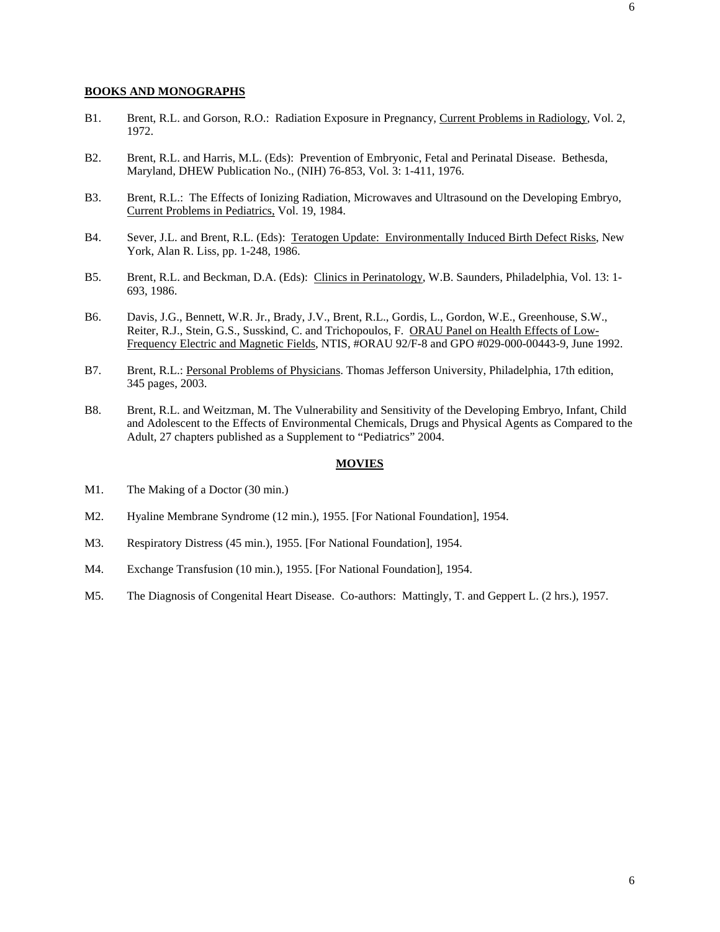- B1. Brent, R.L. and Gorson, R.O.: Radiation Exposure in Pregnancy, Current Problems in Radiology, Vol. 2, 1972.
- B2. Brent, R.L. and Harris, M.L. (Eds): Prevention of Embryonic, Fetal and Perinatal Disease. Bethesda, Maryland, DHEW Publication No., (NIH) 76-853, Vol. 3: 1-411, 1976.
- B3. Brent, R.L.: The Effects of Ionizing Radiation, Microwaves and Ultrasound on the Developing Embryo, Current Problems in Pediatrics, Vol. 19, 1984.
- B4. Sever, J.L. and Brent, R.L. (Eds): Teratogen Update: Environmentally Induced Birth Defect Risks, New York, Alan R. Liss, pp. 1-248, 1986.
- B5. Brent, R.L. and Beckman, D.A. (Eds): Clinics in Perinatology, W.B. Saunders, Philadelphia, Vol. 13: 1-693, 1986.
- B6. Davis, J.G., Bennett, W.R. Jr., Brady, J.V., Brent, R.L., Gordis, L., Gordon, W.E., Greenhouse, S.W., Reiter, R.J., Stein, G.S., Susskind, C. and Trichopoulos, F. ORAU Panel on Health Effects of Low-Frequency Electric and Magnetic Fields, NTIS, #ORAU 92/F-8 and GPO #029-000-00443-9, June 1992.
- B7. Brent, R.L.: Personal Problems of Physicians. Thomas Jefferson University, Philadelphia, 17th edition, 345 pages, 2003.
- B8. Brent, R.L. and Weitzman, M. The Vulnerability and Sensitivity of the Developing Embryo, Infant, Child and Adolescent to the Effects of Environmental Chemicals, Drugs and Physical Agents as Compared to the Adult, 27 chapters published as a Supplement to "Pediatrics" 2004.

#### **MOVIES**

- M1. The Making of a Doctor (30 min.)
- M2. Hyaline Membrane Syndrome (12 min.), 1955. [For National Foundation], 1954.
- M3. Respiratory Distress (45 min.), 1955. [For National Foundation], 1954.
- M4. Exchange Transfusion (10 min.), 1955. [For National Foundation], 1954.
- M5. The Diagnosis of Congenital Heart Disease. Co-authors: Mattingly, T. and Geppert L. (2 hrs.), 1957.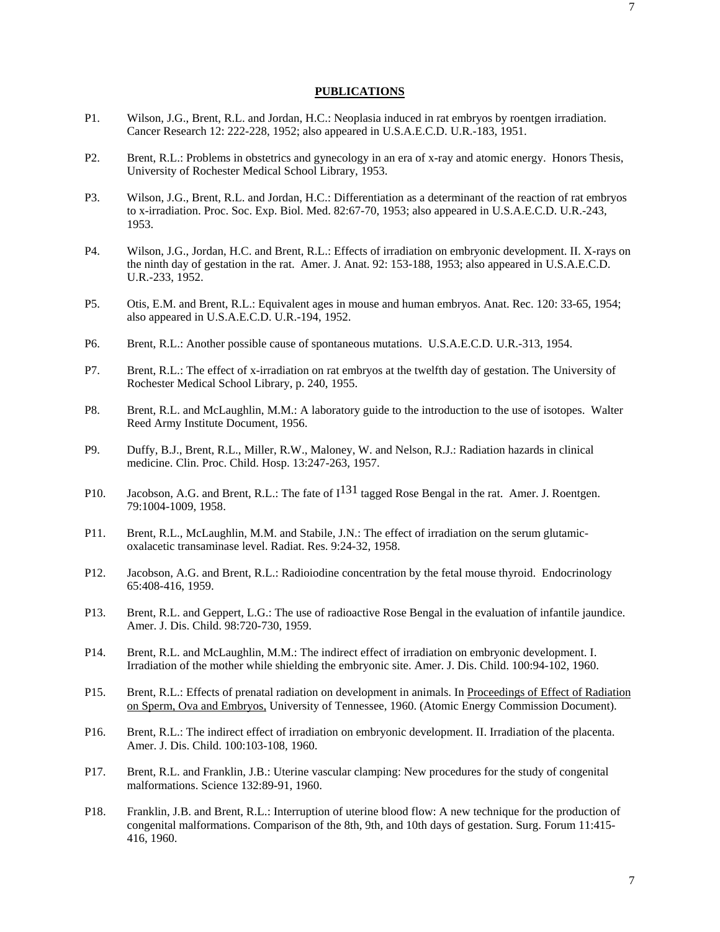### **PUBLICATIONS**

- P1. Wilson, J.G., Brent, R.L. and Jordan, H.C.: Neoplasia induced in rat embryos by roentgen irradiation. Cancer Research 12: 222-228, 1952; also appeared in U.S.A.E.C.D. U.R.-183, 1951.
- P2. Brent, R.L.: Problems in obstetrics and gynecology in an era of x-ray and atomic energy. Honors Thesis, University of Rochester Medical School Library, 1953.
- P3. Wilson, J.G., Brent, R.L. and Jordan, H.C.: Differentiation as a determinant of the reaction of rat embryos to x-irradiation. Proc. Soc. Exp. Biol. Med. 82:67-70, 1953; also appeared in U.S.A.E.C.D. U.R.-243, 1953.
- P4. Wilson, J.G., Jordan, H.C. and Brent, R.L.: Effects of irradiation on embryonic development. II. X-rays on the ninth day of gestation in the rat. Amer. J. Anat. 92: 153-188, 1953; also appeared in U.S.A.E.C.D. U.R.-233, 1952.
- P5. Otis, E.M. and Brent, R.L.: Equivalent ages in mouse and human embryos. Anat. Rec. 120: 33-65, 1954; also appeared in U.S.A.E.C.D. U.R.-194, 1952.
- P6. Brent, R.L.: Another possible cause of spontaneous mutations. U.S.A.E.C.D. U.R.-313, 1954.
- P7. Brent, R.L.: The effect of x-irradiation on rat embryos at the twelfth day of gestation. The University of Rochester Medical School Library, p. 240, 1955.
- P8. Brent, R.L. and McLaughlin, M.M.: A laboratory guide to the introduction to the use of isotopes. Walter Reed Army Institute Document, 1956.
- P9. Duffy, B.J., Brent, R.L., Miller, R.W., Maloney, W. and Nelson, R.J.: Radiation hazards in clinical medicine. Clin. Proc. Child. Hosp. 13:247-263, 1957.
- P10. Jacobson, A.G. and Brent, R.L.: The fate of  $I^{131}$  tagged Rose Bengal in the rat. Amer. J. Roentgen. 79:1004-1009, 1958.
- P11. Brent, R.L., McLaughlin, M.M. and Stabile, J.N.: The effect of irradiation on the serum glutamicoxalacetic transaminase level. Radiat. Res. 9:24-32, 1958.
- P12. Jacobson, A.G. and Brent, R.L.: Radioiodine concentration by the fetal mouse thyroid. Endocrinology 65:408-416, 1959.
- P13. Brent, R.L. and Geppert, L.G.: The use of radioactive Rose Bengal in the evaluation of infantile jaundice. Amer. J. Dis. Child. 98:720-730, 1959.
- P14. Brent, R.L. and McLaughlin, M.M.: The indirect effect of irradiation on embryonic development. I. Irradiation of the mother while shielding the embryonic site. Amer. J. Dis. Child. 100:94-102, 1960.
- P15. Brent, R.L.: Effects of prenatal radiation on development in animals. In Proceedings of Effect of Radiation on Sperm, Ova and Embryos, University of Tennessee, 1960. (Atomic Energy Commission Document).
- P16. Brent, R.L.: The indirect effect of irradiation on embryonic development. II. Irradiation of the placenta. Amer. J. Dis. Child. 100:103-108, 1960.
- P17. Brent, R.L. and Franklin, J.B.: Uterine vascular clamping: New procedures for the study of congenital malformations. Science 132:89-91, 1960.
- P18. Franklin, J.B. and Brent, R.L.: Interruption of uterine blood flow: A new technique for the production of congenital malformations. Comparison of the 8th, 9th, and 10th days of gestation. Surg. Forum 11:415- 416, 1960.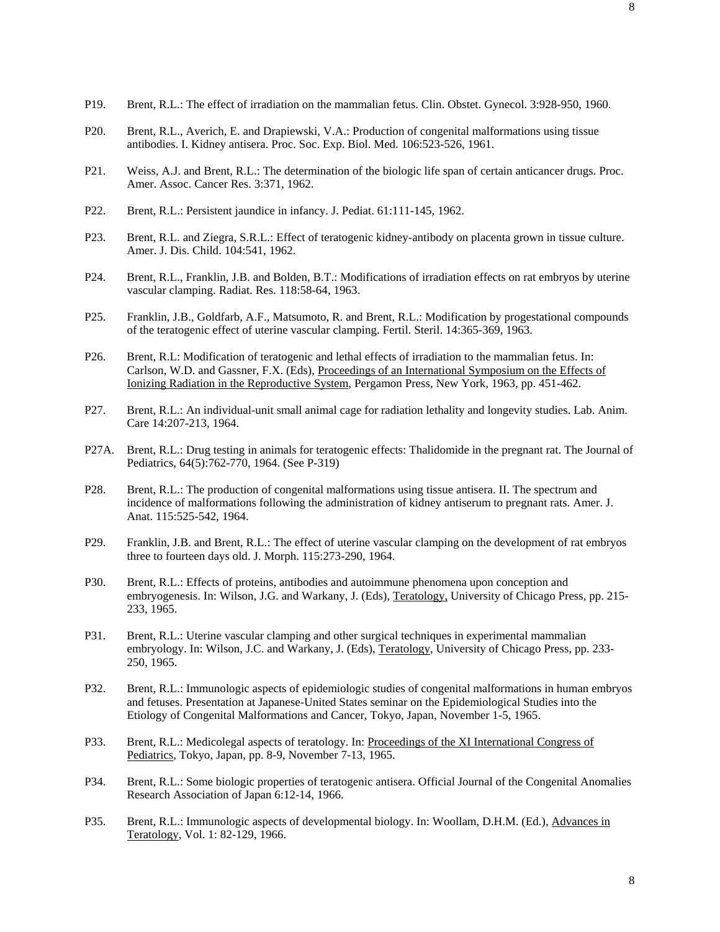- P20. Brent, R.L., Averich, E. and Drapiewski, V.A.: Production of congenital malformations using tissue antibodies. I. Kidney antisera. Proc. Soc. Exp. Biol. Med. 106:523-526, 1961.
- P21. Weiss, A.J. and Brent, R.L.: The determination of the biologic life span of certain anticancer drugs. Proc. Amer. Assoc. Cancer Res. 3:371, 1962.
- P22. Brent, R.L.: Persistent jaundice in infancy. J. Pediat. 61:111-145, 1962.
- P23. Brent, R.L. and Ziegra, S.R.L.: Effect of teratogenic kidney-antibody on placenta grown in tissue culture. Amer. J. Dis. Child. 104:541, 1962.
- P24. Brent, R.L., Franklin, J.B. and Bolden, B.T.: Modifications of irradiation effects on rat embryos by uterine vascular clamping. Radiat. Res. 118:58-64, 1963.
- P25. Franklin, J.B., Goldfarb, A.F., Matsumoto, R. and Brent, R.L.: Modification by progestational compounds of the teratogenic effect of uterine vascular clamping. Fertil. Steril. 14:365-369, 1963.
- P26. Brent, R.L: Modification of teratogenic and lethal effects of irradiation to the mammalian fetus. In: Carlson, W.D. and Gassner, F.X. (Eds), Proceedings of an International Symposium on the Effects of Ionizing Radiation in the Reproductive System, Pergamon Press, New York, 1963, pp. 451-462.
- P27. Brent, R.L.: An individual-unit small animal cage for radiation lethality and longevity studies. Lab. Anim. Care 14:207-213, 1964.
- P27A. Brent, R.L.: Drug testing in animals for teratogenic effects: Thalidomide in the pregnant rat. The Journal of Pediatrics, 64(5):762-770, 1964. (See P-319)
- P28. Brent, R.L.: The production of congenital malformations using tissue antisera. II. The spectrum and incidence of malformations following the administration of kidney antiserum to pregnant rats. Amer. J. Anat. 115:525-542, 1964.
- P29. Franklin, J.B. and Brent, R.L.: The effect of uterine vascular clamping on the development of rat embryos three to fourteen days old. J. Morph. 115:273-290, 1964.
- P30. Brent, R.L.: Effects of proteins, antibodies and autoimmune phenomena upon conception and embryogenesis. In: Wilson, J.G. and Warkany, J. (Eds), Teratology, University of Chicago Press, pp. 215- 233, 1965.
- P31. Brent, R.L.: Uterine vascular clamping and other surgical techniques in experimental mammalian embryology. In: Wilson, J.C. and Warkany, J. (Eds), Teratology, University of Chicago Press, pp. 233- 250, 1965.
- P32. Brent, R.L.: Immunologic aspects of epidemiologic studies of congenital malformations in human embryos and fetuses. Presentation at Japanese-United States seminar on the Epidemiological Studies into the Etiology of Congenital Malformations and Cancer, Tokyo, Japan, November 1-5, 1965.
- P33. Brent, R.L.: Medicolegal aspects of teratology. In: Proceedings of the XI International Congress of Pediatrics, Tokyo, Japan, pp. 8-9, November 7-13, 1965.
- P34. Brent, R.L.: Some biologic properties of teratogenic antisera. Official Journal of the Congenital Anomalies Research Association of Japan 6:12-14, 1966.
- P35. Brent, R.L.: Immunologic aspects of developmental biology. In: Woollam, D.H.M. (Ed.), Advances in Teratology, Vol. 1: 82-129, 1966.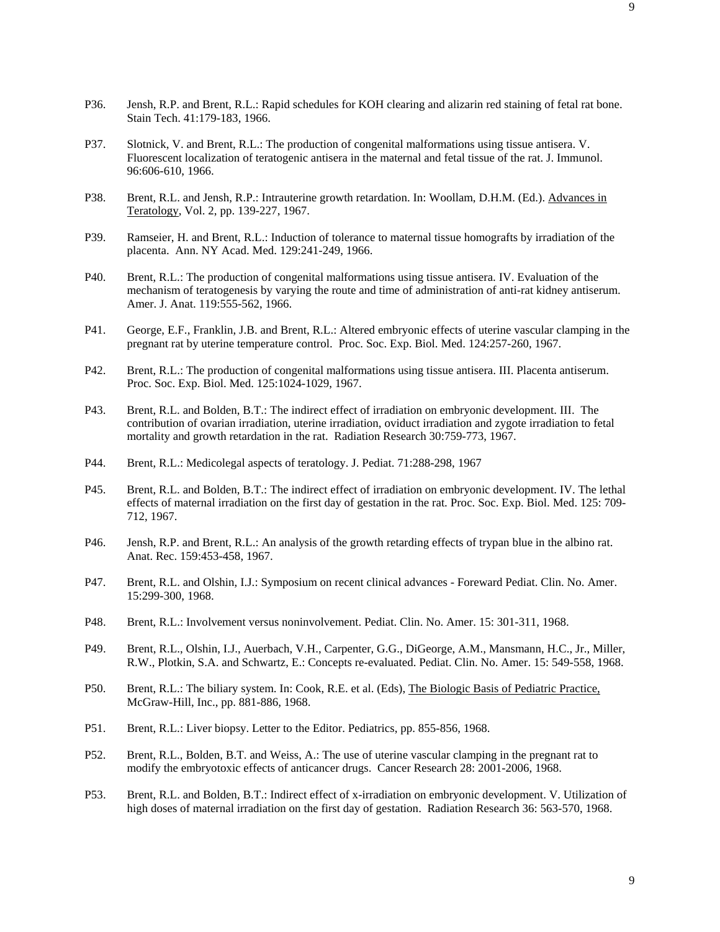- P36. Jensh, R.P. and Brent, R.L.: Rapid schedules for KOH clearing and alizarin red staining of fetal rat bone. Stain Tech. 41:179-183, 1966.
- P37. Slotnick, V. and Brent, R.L.: The production of congenital malformations using tissue antisera. V. Fluorescent localization of teratogenic antisera in the maternal and fetal tissue of the rat. J. Immunol. 96:606-610, 1966.
- P38. Brent, R.L. and Jensh, R.P.: Intrauterine growth retardation. In: Woollam, D.H.M. (Ed.). Advances in Teratology, Vol. 2, pp. 139-227, 1967.
- P39. Ramseier, H. and Brent, R.L.: Induction of tolerance to maternal tissue homografts by irradiation of the placenta. Ann. NY Acad. Med. 129:241-249, 1966.
- P40. Brent, R.L.: The production of congenital malformations using tissue antisera. IV. Evaluation of the mechanism of teratogenesis by varying the route and time of administration of anti-rat kidney antiserum. Amer. J. Anat. 119:555-562, 1966.
- P41. George, E.F., Franklin, J.B. and Brent, R.L.: Altered embryonic effects of uterine vascular clamping in the pregnant rat by uterine temperature control. Proc. Soc. Exp. Biol. Med. 124:257-260, 1967.
- P42. Brent, R.L.: The production of congenital malformations using tissue antisera. III. Placenta antiserum. Proc. Soc. Exp. Biol. Med. 125:1024-1029, 1967.
- P43. Brent, R.L. and Bolden, B.T.: The indirect effect of irradiation on embryonic development. III. The contribution of ovarian irradiation, uterine irradiation, oviduct irradiation and zygote irradiation to fetal mortality and growth retardation in the rat. Radiation Research 30:759-773, 1967.
- P44. Brent, R.L.: Medicolegal aspects of teratology. J. Pediat. 71:288-298, 1967
- P45. Brent, R.L. and Bolden, B.T.: The indirect effect of irradiation on embryonic development. IV. The lethal effects of maternal irradiation on the first day of gestation in the rat. Proc. Soc. Exp. Biol. Med. 125: 709- 712, 1967.
- P46. Jensh, R.P. and Brent, R.L.: An analysis of the growth retarding effects of trypan blue in the albino rat. Anat. Rec. 159:453-458, 1967.
- P47. Brent, R.L. and Olshin, I.J.: Symposium on recent clinical advances Foreward Pediat. Clin. No. Amer. 15:299-300, 1968.
- P48. Brent, R.L.: Involvement versus noninvolvement. Pediat. Clin. No. Amer. 15: 301-311, 1968.
- P49. Brent, R.L., Olshin, I.J., Auerbach, V.H., Carpenter, G.G., DiGeorge, A.M., Mansmann, H.C., Jr., Miller, R.W., Plotkin, S.A. and Schwartz, E.: Concepts re-evaluated. Pediat. Clin. No. Amer. 15: 549-558, 1968.
- P50. Brent, R.L.: The biliary system. In: Cook, R.E. et al. (Eds), The Biologic Basis of Pediatric Practice, McGraw-Hill, Inc., pp. 881-886, 1968.
- P51. Brent, R.L.: Liver biopsy. Letter to the Editor. Pediatrics, pp. 855-856, 1968.
- P52. Brent, R.L., Bolden, B.T. and Weiss, A.: The use of uterine vascular clamping in the pregnant rat to modify the embryotoxic effects of anticancer drugs. Cancer Research 28: 2001-2006, 1968.
- P53. Brent, R.L. and Bolden, B.T.: Indirect effect of x-irradiation on embryonic development. V. Utilization of high doses of maternal irradiation on the first day of gestation. Radiation Research 36: 563-570, 1968.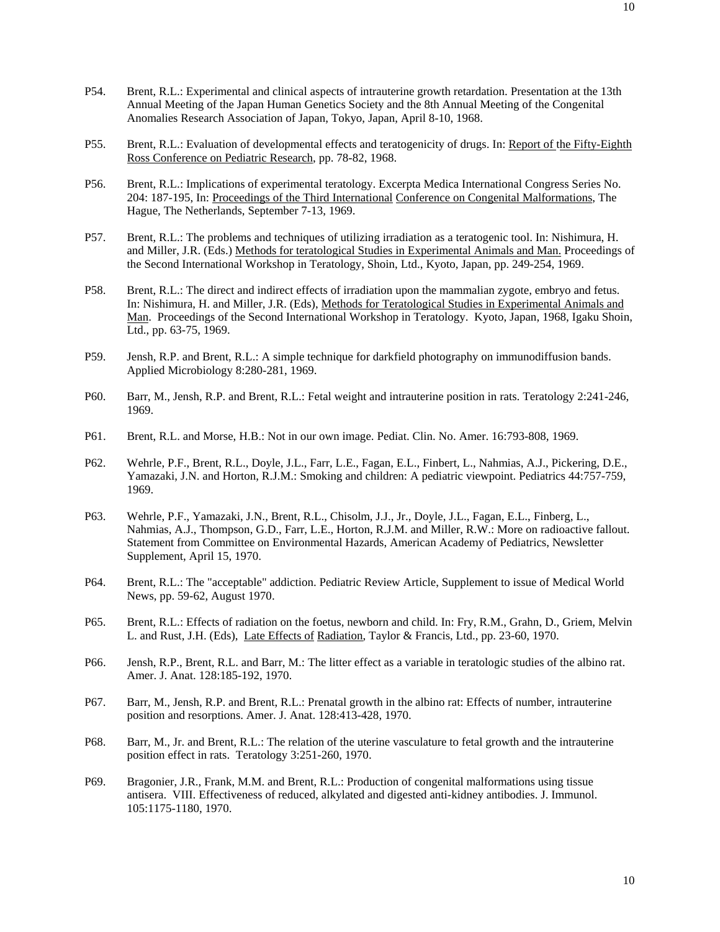- P54. Brent, R.L.: Experimental and clinical aspects of intrauterine growth retardation. Presentation at the 13th Annual Meeting of the Japan Human Genetics Society and the 8th Annual Meeting of the Congenital Anomalies Research Association of Japan, Tokyo, Japan, April 8-10, 1968.
- P55. Brent, R.L.: Evaluation of developmental effects and teratogenicity of drugs. In: Report of the Fifty-Eighth Ross Conference on Pediatric Research, pp. 78-82, 1968.
- P56. Brent, R.L.: Implications of experimental teratology. Excerpta Medica International Congress Series No. 204: 187-195, In: Proceedings of the Third International Conference on Congenital Malformations, The Hague, The Netherlands, September 7-13, 1969.
- P57. Brent, R.L.: The problems and techniques of utilizing irradiation as a teratogenic tool. In: Nishimura, H. and Miller, J.R. (Eds.) Methods for teratological Studies in Experimental Animals and Man. Proceedings of the Second International Workshop in Teratology, Shoin, Ltd., Kyoto, Japan, pp. 249-254, 1969.
- P58. Brent, R.L.: The direct and indirect effects of irradiation upon the mammalian zygote, embryo and fetus. In: Nishimura, H. and Miller, J.R. (Eds), Methods for Teratological Studies in Experimental Animals and Man. Proceedings of the Second International Workshop in Teratology. Kyoto, Japan, 1968, Igaku Shoin, Ltd., pp. 63-75, 1969.
- P59. Jensh, R.P. and Brent, R.L.: A simple technique for darkfield photography on immunodiffusion bands. Applied Microbiology 8:280-281, 1969.
- P60. Barr, M., Jensh, R.P. and Brent, R.L.: Fetal weight and intrauterine position in rats. Teratology 2:241-246, 1969.
- P61. Brent, R.L. and Morse, H.B.: Not in our own image. Pediat. Clin. No. Amer. 16:793-808, 1969.
- P62. Wehrle, P.F., Brent, R.L., Doyle, J.L., Farr, L.E., Fagan, E.L., Finbert, L., Nahmias, A.J., Pickering, D.E., Yamazaki, J.N. and Horton, R.J.M.: Smoking and children: A pediatric viewpoint. Pediatrics 44:757-759, 1969.
- P63. Wehrle, P.F., Yamazaki, J.N., Brent, R.L., Chisolm, J.J., Jr., Doyle, J.L., Fagan, E.L., Finberg, L., Nahmias, A.J., Thompson, G.D., Farr, L.E., Horton, R.J.M. and Miller, R.W.: More on radioactive fallout. Statement from Committee on Environmental Hazards, American Academy of Pediatrics, Newsletter Supplement, April 15, 1970.
- P64. Brent, R.L.: The "acceptable" addiction. Pediatric Review Article, Supplement to issue of Medical World News, pp. 59-62, August 1970.
- P65. Brent, R.L.: Effects of radiation on the foetus, newborn and child. In: Fry, R.M., Grahn, D., Griem, Melvin L. and Rust, J.H. (Eds), Late Effects of Radiation, Taylor & Francis, Ltd., pp. 23-60, 1970.
- P66. Jensh, R.P., Brent, R.L. and Barr, M.: The litter effect as a variable in teratologic studies of the albino rat. Amer. J. Anat. 128:185-192, 1970.
- P67. Barr, M., Jensh, R.P. and Brent, R.L.: Prenatal growth in the albino rat: Effects of number, intrauterine position and resorptions. Amer. J. Anat. 128:413-428, 1970.
- P68. Barr, M., Jr. and Brent, R.L.: The relation of the uterine vasculature to fetal growth and the intrauterine position effect in rats. Teratology 3:251-260, 1970.
- P69. Bragonier, J.R., Frank, M.M. and Brent, R.L.: Production of congenital malformations using tissue antisera. VIII. Effectiveness of reduced, alkylated and digested anti-kidney antibodies. J. Immunol. 105:1175-1180, 1970.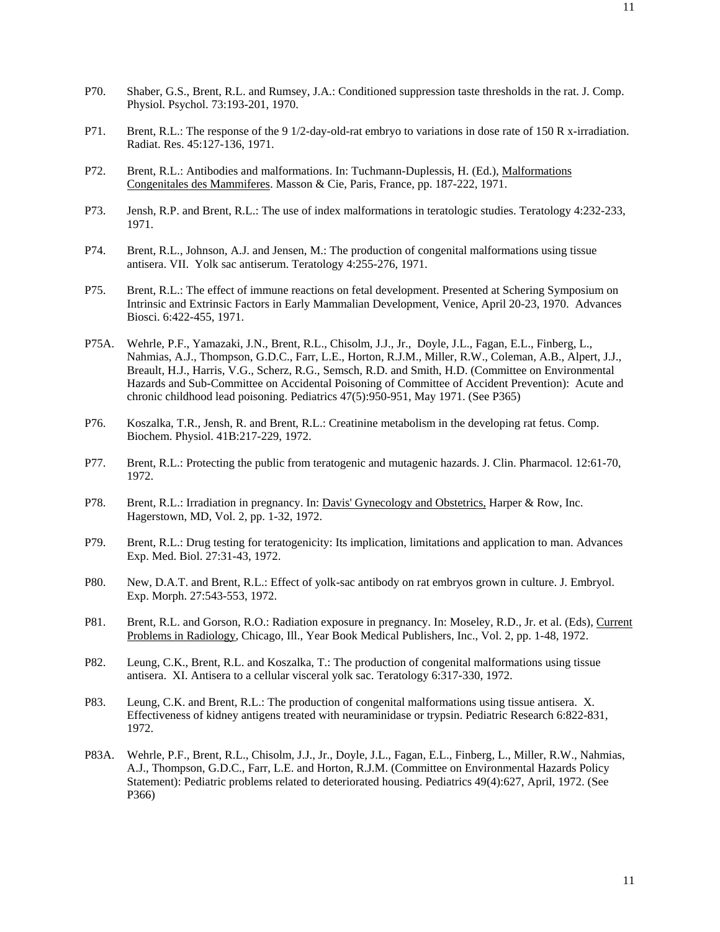- P70. Shaber, G.S., Brent, R.L. and Rumsey, J.A.: Conditioned suppression taste thresholds in the rat. J. Comp. Physiol. Psychol. 73:193-201, 1970.
- P71. Brent, R.L.: The response of the 9 1/2-day-old-rat embryo to variations in dose rate of 150 R x-irradiation. Radiat. Res. 45:127-136, 1971.
- P72. Brent, R.L.: Antibodies and malformations. In: Tuchmann-Duplessis, H. (Ed.), Malformations Congenitales des Mammiferes. Masson & Cie, Paris, France, pp. 187-222, 1971.
- P73. Jensh, R.P. and Brent, R.L.: The use of index malformations in teratologic studies. Teratology 4:232-233, 1971.
- P74. Brent, R.L., Johnson, A.J. and Jensen, M.: The production of congenital malformations using tissue antisera. VII. Yolk sac antiserum. Teratology 4:255-276, 1971.
- P75. Brent, R.L.: The effect of immune reactions on fetal development. Presented at Schering Symposium on Intrinsic and Extrinsic Factors in Early Mammalian Development, Venice, April 20-23, 1970. Advances Biosci. 6:422-455, 1971.
- P75A. Wehrle, P.F., Yamazaki, J.N., Brent, R.L., Chisolm, J.J., Jr., Doyle, J.L., Fagan, E.L., Finberg, L., Nahmias, A.J., Thompson, G.D.C., Farr, L.E., Horton, R.J.M., Miller, R.W., Coleman, A.B., Alpert, J.J., Breault, H.J., Harris, V.G., Scherz, R.G., Semsch, R.D. and Smith, H.D. (Committee on Environmental Hazards and Sub-Committee on Accidental Poisoning of Committee of Accident Prevention): Acute and chronic childhood lead poisoning. Pediatrics 47(5):950-951, May 1971. (See P365)
- P76. Koszalka, T.R., Jensh, R. and Brent, R.L.: Creatinine metabolism in the developing rat fetus. Comp. Biochem. Physiol. 41B:217-229, 1972.
- P77. Brent, R.L.: Protecting the public from teratogenic and mutagenic hazards. J. Clin. Pharmacol. 12:61-70, 1972.
- P78. Brent, R.L.: Irradiation in pregnancy. In: Davis' Gynecology and Obstetrics, Harper & Row, Inc. Hagerstown, MD, Vol. 2, pp. 1-32, 1972.
- P79. Brent, R.L.: Drug testing for teratogenicity: Its implication, limitations and application to man. Advances Exp. Med. Biol. 27:31-43, 1972.
- P80. New, D.A.T. and Brent, R.L.: Effect of yolk-sac antibody on rat embryos grown in culture. J. Embryol. Exp. Morph. 27:543-553, 1972.
- P81. Brent, R.L. and Gorson, R.O.: Radiation exposure in pregnancy. In: Moseley, R.D., Jr. et al. (Eds), Current Problems in Radiology, Chicago, Ill., Year Book Medical Publishers, Inc., Vol. 2, pp. 1-48, 1972.
- P82. Leung, C.K., Brent, R.L. and Koszalka, T.: The production of congenital malformations using tissue antisera. XI. Antisera to a cellular visceral yolk sac. Teratology 6:317-330, 1972.
- P83. Leung, C.K. and Brent, R.L.: The production of congenital malformations using tissue antisera. X. Effectiveness of kidney antigens treated with neuraminidase or trypsin. Pediatric Research 6:822-831, 1972.
- P83A. Wehrle, P.F., Brent, R.L., Chisolm, J.J., Jr., Doyle, J.L., Fagan, E.L., Finberg, L., Miller, R.W., Nahmias, A.J., Thompson, G.D.C., Farr, L.E. and Horton, R.J.M. (Committee on Environmental Hazards Policy Statement): Pediatric problems related to deteriorated housing. Pediatrics 49(4):627, April, 1972. (See P366)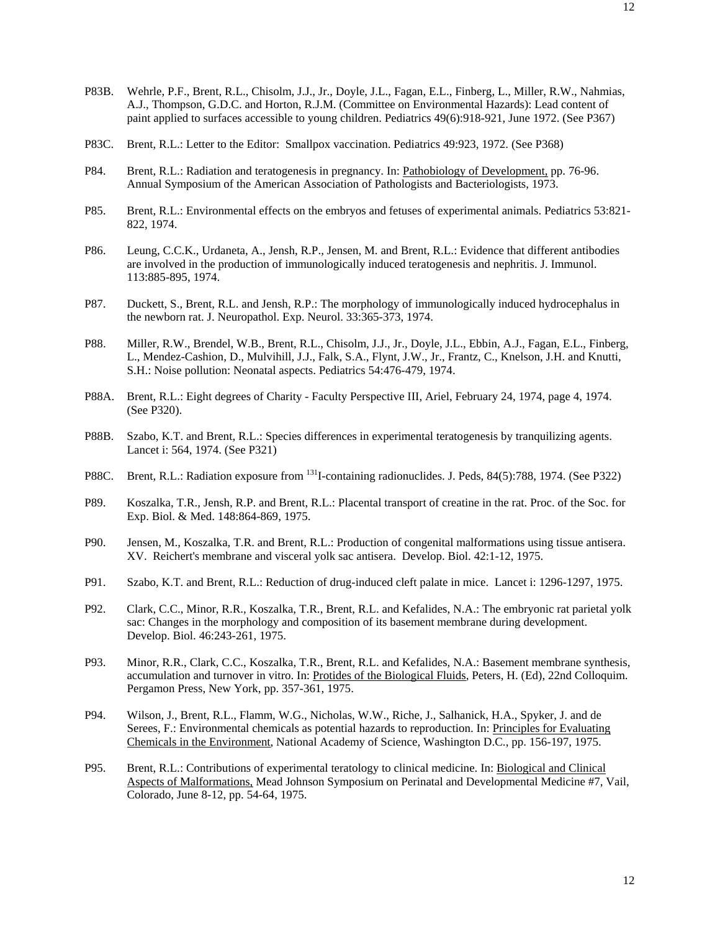- P83B. Wehrle, P.F., Brent, R.L., Chisolm, J.J., Jr., Doyle, J.L., Fagan, E.L., Finberg, L., Miller, R.W., Nahmias, A.J., Thompson, G.D.C. and Horton, R.J.M. (Committee on Environmental Hazards): Lead content of paint applied to surfaces accessible to young children. Pediatrics 49(6):918-921, June 1972. (See P367)
- P83C. Brent, R.L.: Letter to the Editor: Smallpox vaccination. Pediatrics 49:923, 1972. (See P368)
- P84. Brent, R.L.: Radiation and teratogenesis in pregnancy. In: Pathobiology of Development, pp. 76-96. Annual Symposium of the American Association of Pathologists and Bacteriologists, 1973.
- P85. Brent, R.L.: Environmental effects on the embryos and fetuses of experimental animals. Pediatrics 53:821- 822, 1974.
- P86. Leung, C.C.K., Urdaneta, A., Jensh, R.P., Jensen, M. and Brent, R.L.: Evidence that different antibodies are involved in the production of immunologically induced teratogenesis and nephritis. J. Immunol. 113:885-895, 1974.
- P87. Duckett, S., Brent, R.L. and Jensh, R.P.: The morphology of immunologically induced hydrocephalus in the newborn rat. J. Neuropathol. Exp. Neurol. 33:365-373, 1974.
- P88. Miller, R.W., Brendel, W.B., Brent, R.L., Chisolm, J.J., Jr., Doyle, J.L., Ebbin, A.J., Fagan, E.L., Finberg, L., Mendez-Cashion, D., Mulvihill, J.J., Falk, S.A., Flynt, J.W., Jr., Frantz, C., Knelson, J.H. and Knutti, S.H.: Noise pollution: Neonatal aspects. Pediatrics 54:476-479, 1974.
- P88A. Brent, R.L.: Eight degrees of Charity Faculty Perspective III, Ariel, February 24, 1974, page 4, 1974. (See P320).
- P88B. Szabo, K.T. and Brent, R.L.: Species differences in experimental teratogenesis by tranquilizing agents. Lancet i: 564, 1974. (See P321)
- P88C. Brent, R.L.: Radiation exposure from 131I-containing radionuclides. J. Peds, 84(5):788, 1974. (See P322)
- P89. Koszalka, T.R., Jensh, R.P. and Brent, R.L.: Placental transport of creatine in the rat. Proc. of the Soc. for Exp. Biol. & Med. 148:864-869, 1975.
- P90. Jensen, M., Koszalka, T.R. and Brent, R.L.: Production of congenital malformations using tissue antisera. XV. Reichert's membrane and visceral yolk sac antisera. Develop. Biol. 42:1-12, 1975.
- P91. Szabo, K.T. and Brent, R.L.: Reduction of drug-induced cleft palate in mice. Lancet i: 1296-1297, 1975.
- P92. Clark, C.C., Minor, R.R., Koszalka, T.R., Brent, R.L. and Kefalides, N.A.: The embryonic rat parietal yolk sac: Changes in the morphology and composition of its basement membrane during development. Develop. Biol. 46:243-261, 1975.
- P93. Minor, R.R., Clark, C.C., Koszalka, T.R., Brent, R.L. and Kefalides, N.A.: Basement membrane synthesis, accumulation and turnover in vitro. In: Protides of the Biological Fluids, Peters, H. (Ed), 22nd Colloquim. Pergamon Press, New York, pp. 357-361, 1975.
- P94. Wilson, J., Brent, R.L., Flamm, W.G., Nicholas, W.W., Riche, J., Salhanick, H.A., Spyker, J. and de Serees, F.: Environmental chemicals as potential hazards to reproduction. In: Principles for Evaluating Chemicals in the Environment, National Academy of Science, Washington D.C., pp. 156-197, 1975.
- P95. Brent, R.L.: Contributions of experimental teratology to clinical medicine. In: Biological and Clinical Aspects of Malformations, Mead Johnson Symposium on Perinatal and Developmental Medicine #7, Vail, Colorado, June 8-12, pp. 54-64, 1975.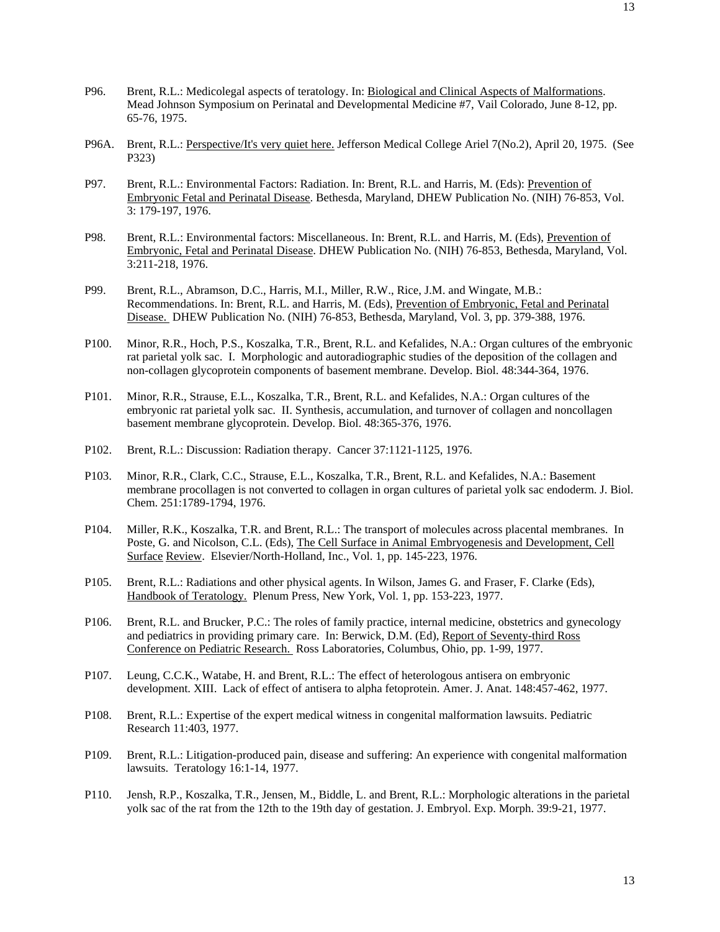- P96. Brent, R.L.: Medicolegal aspects of teratology. In: Biological and Clinical Aspects of Malformations. Mead Johnson Symposium on Perinatal and Developmental Medicine #7, Vail Colorado, June 8-12, pp. 65-76, 1975.
- P96A. Brent, R.L.: Perspective/It's very quiet here. Jefferson Medical College Ariel 7(No.2), April 20, 1975. (See P323)
- P97. Brent, R.L.: Environmental Factors: Radiation. In: Brent, R.L. and Harris, M. (Eds): Prevention of Embryonic Fetal and Perinatal Disease. Bethesda, Maryland, DHEW Publication No. (NIH) 76-853, Vol. 3: 179-197, 1976.
- P98. Brent, R.L.: Environmental factors: Miscellaneous. In: Brent, R.L. and Harris, M. (Eds), Prevention of Embryonic, Fetal and Perinatal Disease. DHEW Publication No. (NIH) 76-853, Bethesda, Maryland, Vol. 3:211-218, 1976.
- P99. Brent, R.L., Abramson, D.C., Harris, M.I., Miller, R.W., Rice, J.M. and Wingate, M.B.: Recommendations. In: Brent, R.L. and Harris, M. (Eds), Prevention of Embryonic, Fetal and Perinatal Disease. DHEW Publication No. (NIH) 76-853, Bethesda, Maryland, Vol. 3, pp. 379-388, 1976.
- P100. Minor, R.R., Hoch, P.S., Koszalka, T.R., Brent, R.L. and Kefalides, N.A.: Organ cultures of the embryonic rat parietal yolk sac. I. Morphologic and autoradiographic studies of the deposition of the collagen and non-collagen glycoprotein components of basement membrane. Develop. Biol. 48:344-364, 1976.
- P101. Minor, R.R., Strause, E.L., Koszalka, T.R., Brent, R.L. and Kefalides, N.A.: Organ cultures of the embryonic rat parietal yolk sac. II. Synthesis, accumulation, and turnover of collagen and noncollagen basement membrane glycoprotein. Develop. Biol. 48:365-376, 1976.
- P102. Brent, R.L.: Discussion: Radiation therapy. Cancer 37:1121-1125, 1976.
- P103. Minor, R.R., Clark, C.C., Strause, E.L., Koszalka, T.R., Brent, R.L. and Kefalides, N.A.: Basement membrane procollagen is not converted to collagen in organ cultures of parietal yolk sac endoderm. J. Biol. Chem. 251:1789-1794, 1976.
- P104. Miller, R.K., Koszalka, T.R. and Brent, R.L.: The transport of molecules across placental membranes. In Poste, G. and Nicolson, C.L. (Eds), The Cell Surface in Animal Embryogenesis and Development, Cell Surface Review. Elsevier/North-Holland, Inc., Vol. 1, pp. 145-223, 1976.
- P105. Brent, R.L.: Radiations and other physical agents. In Wilson, James G. and Fraser, F. Clarke (Eds), Handbook of Teratology. Plenum Press, New York, Vol. 1, pp. 153-223, 1977.
- P106. Brent, R.L. and Brucker, P.C.: The roles of family practice, internal medicine, obstetrics and gynecology and pediatrics in providing primary care. In: Berwick, D.M. (Ed), Report of Seventy-third Ross Conference on Pediatric Research. Ross Laboratories, Columbus, Ohio, pp. 1-99, 1977.
- P107. Leung, C.C.K., Watabe, H. and Brent, R.L.: The effect of heterologous antisera on embryonic development. XIII. Lack of effect of antisera to alpha fetoprotein. Amer. J. Anat. 148:457-462, 1977.
- P108. Brent, R.L.: Expertise of the expert medical witness in congenital malformation lawsuits. Pediatric Research 11:403, 1977.
- P109. Brent, R.L.: Litigation-produced pain, disease and suffering: An experience with congenital malformation lawsuits. Teratology 16:1-14, 1977.
- P110. Jensh, R.P., Koszalka, T.R., Jensen, M., Biddle, L. and Brent, R.L.: Morphologic alterations in the parietal yolk sac of the rat from the 12th to the 19th day of gestation. J. Embryol. Exp. Morph. 39:9-21, 1977.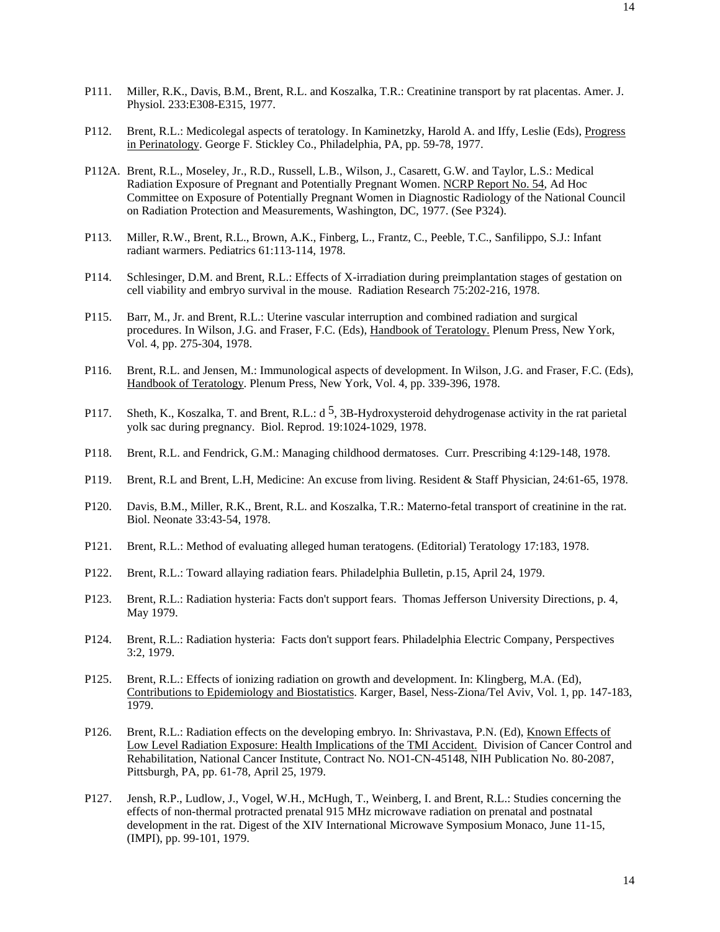- P111. Miller, R.K., Davis, B.M., Brent, R.L. and Koszalka, T.R.: Creatinine transport by rat placentas. Amer. J. Physiol. 233:E308-E315, 1977.
- P112. Brent, R.L.: Medicolegal aspects of teratology. In Kaminetzky, Harold A. and Iffy, Leslie (Eds), Progress in Perinatology. George F. Stickley Co., Philadelphia, PA, pp. 59-78, 1977.
- P112A. Brent, R.L., Moseley, Jr., R.D., Russell, L.B., Wilson, J., Casarett, G.W. and Taylor, L.S.: Medical Radiation Exposure of Pregnant and Potentially Pregnant Women. NCRP Report No. 54, Ad Hoc Committee on Exposure of Potentially Pregnant Women in Diagnostic Radiology of the National Council on Radiation Protection and Measurements, Washington, DC, 1977. (See P324).
- P113. Miller, R.W., Brent, R.L., Brown, A.K., Finberg, L., Frantz, C., Peeble, T.C., Sanfilippo, S.J.: Infant radiant warmers. Pediatrics 61:113-114, 1978.
- P114. Schlesinger, D.M. and Brent, R.L.: Effects of X-irradiation during preimplantation stages of gestation on cell viability and embryo survival in the mouse. Radiation Research 75:202-216, 1978.
- P115. Barr, M., Jr. and Brent, R.L.: Uterine vascular interruption and combined radiation and surgical procedures. In Wilson, J.G. and Fraser, F.C. (Eds), Handbook of Teratology. Plenum Press, New York, Vol. 4, pp. 275-304, 1978.
- P116. Brent, R.L. and Jensen, M.: Immunological aspects of development. In Wilson, J.G. and Fraser, F.C. (Eds), Handbook of Teratology. Plenum Press, New York, Vol. 4, pp. 339-396, 1978.
- P117. Sheth, K., Koszalka, T. and Brent, R.L.:  $d^5$ , 3B-Hydroxysteroid dehydrogenase activity in the rat parietal yolk sac during pregnancy. Biol. Reprod. 19:1024-1029, 1978.
- P118. Brent, R.L. and Fendrick, G.M.: Managing childhood dermatoses. Curr. Prescribing 4:129-148, 1978.
- P119. Brent, R.L and Brent, L.H, Medicine: An excuse from living. Resident & Staff Physician, 24:61-65, 1978.
- P120. Davis, B.M., Miller, R.K., Brent, R.L. and Koszalka, T.R.: Materno-fetal transport of creatinine in the rat. Biol. Neonate 33:43-54, 1978.
- P121. Brent, R.L.: Method of evaluating alleged human teratogens. (Editorial) Teratology 17:183, 1978.
- P122. Brent, R.L.: Toward allaying radiation fears. Philadelphia Bulletin, p.15, April 24, 1979.
- P123. Brent, R.L.: Radiation hysteria: Facts don't support fears. Thomas Jefferson University Directions, p. 4, May 1979.
- P124. Brent, R.L.: Radiation hysteria: Facts don't support fears. Philadelphia Electric Company, Perspectives 3:2, 1979.
- P125. Brent, R.L.: Effects of ionizing radiation on growth and development. In: Klingberg, M.A. (Ed), Contributions to Epidemiology and Biostatistics. Karger, Basel, Ness-Ziona/Tel Aviv, Vol. 1, pp. 147-183, 1979.
- P126. Brent, R.L.: Radiation effects on the developing embryo. In: Shrivastava, P.N. (Ed), Known Effects of Low Level Radiation Exposure: Health Implications of the TMI Accident. Division of Cancer Control and Rehabilitation, National Cancer Institute, Contract No. NO1-CN-45148, NIH Publication No. 80-2087, Pittsburgh, PA, pp. 61-78, April 25, 1979.
- P127. Jensh, R.P., Ludlow, J., Vogel, W.H., McHugh, T., Weinberg, I. and Brent, R.L.: Studies concerning the effects of non-thermal protracted prenatal 915 MHz microwave radiation on prenatal and postnatal development in the rat. Digest of the XIV International Microwave Symposium Monaco, June 11-15, (IMPI), pp. 99-101, 1979.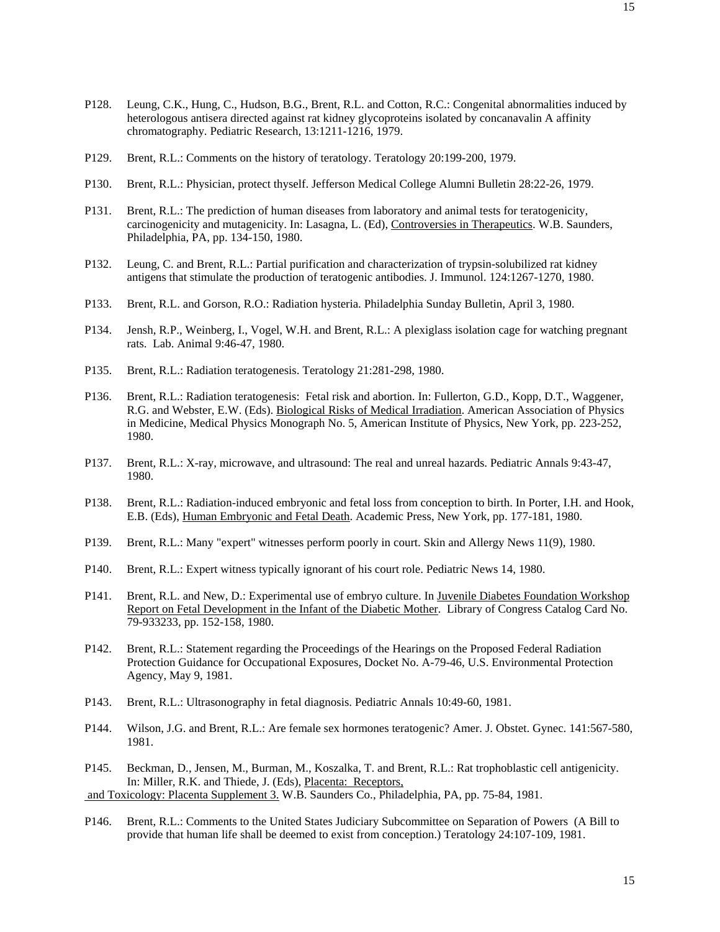- P128. Leung, C.K., Hung, C., Hudson, B.G., Brent, R.L. and Cotton, R.C.: Congenital abnormalities induced by heterologous antisera directed against rat kidney glycoproteins isolated by concanavalin A affinity chromatography. Pediatric Research, 13:1211-1216, 1979.
- P129. Brent, R.L.: Comments on the history of teratology. Teratology 20:199-200, 1979.
- P130. Brent, R.L.: Physician, protect thyself. Jefferson Medical College Alumni Bulletin 28:22-26, 1979.
- P131. Brent, R.L.: The prediction of human diseases from laboratory and animal tests for teratogenicity, carcinogenicity and mutagenicity. In: Lasagna, L. (Ed), Controversies in Therapeutics. W.B. Saunders, Philadelphia, PA, pp. 134-150, 1980.
- P132. Leung, C. and Brent, R.L.: Partial purification and characterization of trypsin-solubilized rat kidney antigens that stimulate the production of teratogenic antibodies. J. Immunol. 124:1267-1270, 1980.
- P133. Brent, R.L. and Gorson, R.O.: Radiation hysteria. Philadelphia Sunday Bulletin, April 3, 1980.
- P134. Jensh, R.P., Weinberg, I., Vogel, W.H. and Brent, R.L.: A plexiglass isolation cage for watching pregnant rats. Lab. Animal 9:46-47, 1980.
- P135. Brent, R.L.: Radiation teratogenesis. Teratology 21:281-298, 1980.
- P136. Brent, R.L.: Radiation teratogenesis: Fetal risk and abortion. In: Fullerton, G.D., Kopp, D.T., Waggener, R.G. and Webster, E.W. (Eds). Biological Risks of Medical Irradiation. American Association of Physics in Medicine, Medical Physics Monograph No. 5, American Institute of Physics, New York, pp. 223-252, 1980.
- P137. Brent, R.L.: X-ray, microwave, and ultrasound: The real and unreal hazards. Pediatric Annals 9:43-47, 1980.
- P138. Brent, R.L.: Radiation-induced embryonic and fetal loss from conception to birth. In Porter, I.H. and Hook, E.B. (Eds), Human Embryonic and Fetal Death. Academic Press, New York, pp. 177-181, 1980.
- P139. Brent, R.L.: Many "expert" witnesses perform poorly in court. Skin and Allergy News 11(9), 1980.
- P140. Brent, R.L.: Expert witness typically ignorant of his court role. Pediatric News 14, 1980.
- P141. Brent, R.L. and New, D.: Experimental use of embryo culture. In Juvenile Diabetes Foundation Workshop Report on Fetal Development in the Infant of the Diabetic Mother. Library of Congress Catalog Card No. 79-933233, pp. 152-158, 1980.
- P142. Brent, R.L.: Statement regarding the Proceedings of the Hearings on the Proposed Federal Radiation Protection Guidance for Occupational Exposures, Docket No. A-79-46, U.S. Environmental Protection Agency, May 9, 1981.
- P143. Brent, R.L.: Ultrasonography in fetal diagnosis. Pediatric Annals 10:49-60, 1981.
- P144. Wilson, J.G. and Brent, R.L.: Are female sex hormones teratogenic? Amer. J. Obstet. Gynec. 141:567-580, 1981.
- P145. Beckman, D., Jensen, M., Burman, M., Koszalka, T. and Brent, R.L.: Rat trophoblastic cell antigenicity. In: Miller, R.K. and Thiede, J. (Eds), Placenta: Receptors,

and Toxicology: Placenta Supplement 3. W.B. Saunders Co., Philadelphia, PA, pp. 75-84, 1981.

P146. Brent, R.L.: Comments to the United States Judiciary Subcommittee on Separation of Powers (A Bill to provide that human life shall be deemed to exist from conception.) Teratology 24:107-109, 1981.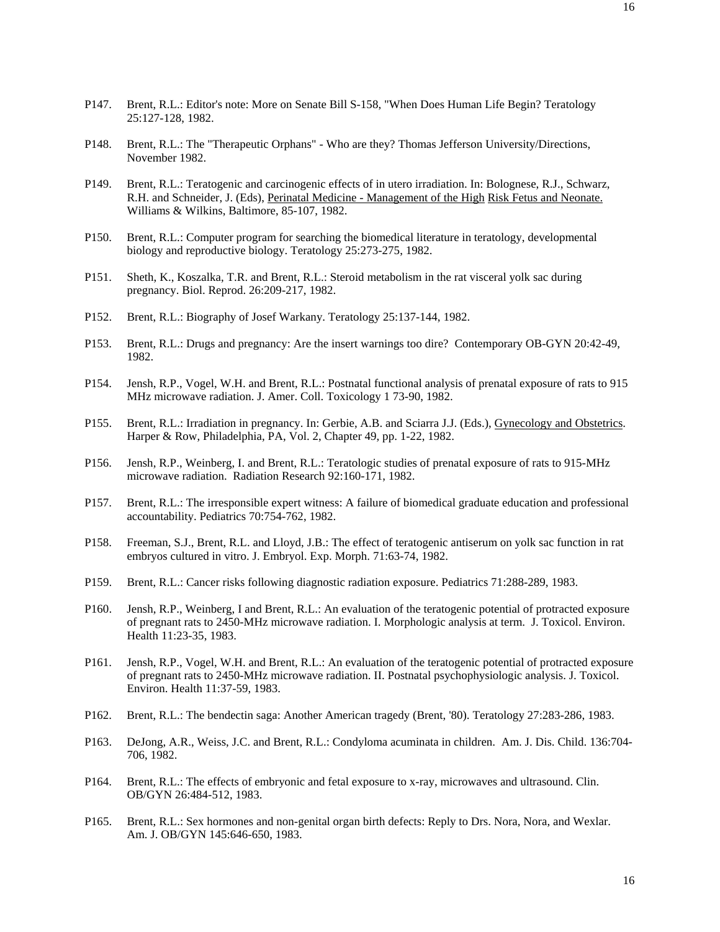- P147. Brent, R.L.: Editor's note: More on Senate Bill S-158, "When Does Human Life Begin? Teratology 25:127-128, 1982.
- P148. Brent, R.L.: The "Therapeutic Orphans" Who are they? Thomas Jefferson University/Directions, November 1982.
- P149. Brent, R.L.: Teratogenic and carcinogenic effects of in utero irradiation. In: Bolognese, R.J., Schwarz, R.H. and Schneider, J. (Eds), Perinatal Medicine - Management of the High Risk Fetus and Neonate. Williams & Wilkins, Baltimore, 85-107, 1982.
- P150. Brent, R.L.: Computer program for searching the biomedical literature in teratology, developmental biology and reproductive biology. Teratology 25:273-275, 1982.
- P151. Sheth, K., Koszalka, T.R. and Brent, R.L.: Steroid metabolism in the rat visceral yolk sac during pregnancy. Biol. Reprod. 26:209-217, 1982.
- P152. Brent, R.L.: Biography of Josef Warkany. Teratology 25:137-144, 1982.
- P153. Brent, R.L.: Drugs and pregnancy: Are the insert warnings too dire? Contemporary OB-GYN 20:42-49, 1982.
- P154. Jensh, R.P., Vogel, W.H. and Brent, R.L.: Postnatal functional analysis of prenatal exposure of rats to 915 MHz microwave radiation. J. Amer. Coll. Toxicology 1 73-90, 1982.
- P155. Brent, R.L.: Irradiation in pregnancy. In: Gerbie, A.B. and Sciarra J.J. (Eds.), Gynecology and Obstetrics. Harper & Row, Philadelphia, PA, Vol. 2, Chapter 49, pp. 1-22, 1982.
- P156. Jensh, R.P., Weinberg, I. and Brent, R.L.: Teratologic studies of prenatal exposure of rats to 915-MHz microwave radiation. Radiation Research 92:160-171, 1982.
- P157. Brent, R.L.: The irresponsible expert witness: A failure of biomedical graduate education and professional accountability. Pediatrics 70:754-762, 1982.
- P158. Freeman, S.J., Brent, R.L. and Lloyd, J.B.: The effect of teratogenic antiserum on yolk sac function in rat embryos cultured in vitro. J. Embryol. Exp. Morph. 71:63-74, 1982.
- P159. Brent, R.L.: Cancer risks following diagnostic radiation exposure. Pediatrics 71:288-289, 1983.
- P160. Jensh, R.P., Weinberg, I and Brent, R.L.: An evaluation of the teratogenic potential of protracted exposure of pregnant rats to 2450-MHz microwave radiation. I. Morphologic analysis at term. J. Toxicol. Environ. Health 11:23-35, 1983.
- P161. Jensh, R.P., Vogel, W.H. and Brent, R.L.: An evaluation of the teratogenic potential of protracted exposure of pregnant rats to 2450-MHz microwave radiation. II. Postnatal psychophysiologic analysis. J. Toxicol. Environ. Health 11:37-59, 1983.
- P162. Brent, R.L.: The bendectin saga: Another American tragedy (Brent, '80). Teratology 27:283-286, 1983.
- P163. DeJong, A.R., Weiss, J.C. and Brent, R.L.: Condyloma acuminata in children. Am. J. Dis. Child. 136:704- 706, 1982.
- P164. Brent, R.L.: The effects of embryonic and fetal exposure to x-ray, microwaves and ultrasound. Clin. OB/GYN 26:484-512, 1983.
- P165. Brent, R.L.: Sex hormones and non-genital organ birth defects: Reply to Drs. Nora, Nora, and Wexlar. Am. J. OB/GYN 145:646-650, 1983.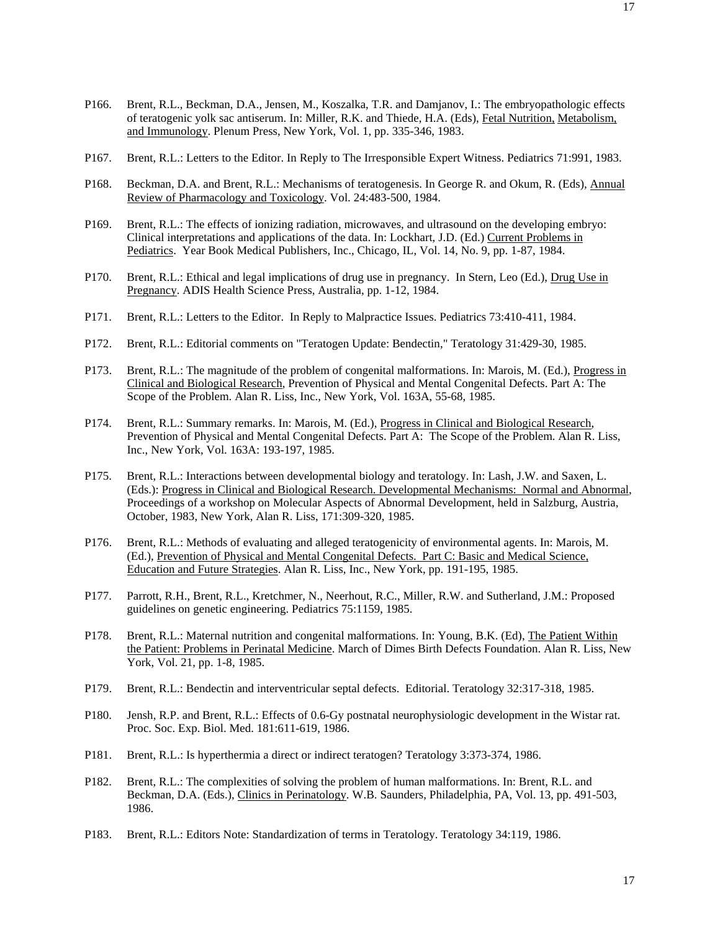- P166. Brent, R.L., Beckman, D.A., Jensen, M., Koszalka, T.R. and Damjanov, I.: The embryopathologic effects of teratogenic yolk sac antiserum. In: Miller, R.K. and Thiede, H.A. (Eds), Fetal Nutrition, Metabolism, and Immunology. Plenum Press, New York, Vol. 1, pp. 335-346, 1983.
- P167. Brent, R.L.: Letters to the Editor. In Reply to The Irresponsible Expert Witness. Pediatrics 71:991, 1983.
- P168. Beckman, D.A. and Brent, R.L.: Mechanisms of teratogenesis. In George R. and Okum, R. (Eds), Annual Review of Pharmacology and Toxicology. Vol. 24:483-500, 1984.
- P169. Brent, R.L.: The effects of ionizing radiation, microwaves, and ultrasound on the developing embryo: Clinical interpretations and applications of the data. In: Lockhart, J.D. (Ed.) Current Problems in Pediatrics. Year Book Medical Publishers, Inc., Chicago, IL, Vol. 14, No. 9, pp. 1-87, 1984.
- P170. Brent, R.L.: Ethical and legal implications of drug use in pregnancy. In Stern, Leo (Ed.), Drug Use in Pregnancy. ADIS Health Science Press, Australia, pp. 1-12, 1984.
- P171. Brent, R.L.: Letters to the Editor. In Reply to Malpractice Issues. Pediatrics 73:410-411, 1984.
- P172. Brent, R.L.: Editorial comments on "Teratogen Update: Bendectin," Teratology 31:429-30, 1985.
- P173. Brent, R.L.: The magnitude of the problem of congenital malformations. In: Marois, M. (Ed.), Progress in Clinical and Biological Research, Prevention of Physical and Mental Congenital Defects. Part A: The Scope of the Problem. Alan R. Liss, Inc., New York, Vol. 163A, 55-68, 1985.
- P174. Brent, R.L.: Summary remarks. In: Marois, M. (Ed.), Progress in Clinical and Biological Research, Prevention of Physical and Mental Congenital Defects. Part A: The Scope of the Problem. Alan R. Liss, Inc., New York, Vol. 163A: 193-197, 1985.
- P175. Brent, R.L.: Interactions between developmental biology and teratology. In: Lash, J.W. and Saxen, L. (Eds.): Progress in Clinical and Biological Research. Developmental Mechanisms: Normal and Abnormal, Proceedings of a workshop on Molecular Aspects of Abnormal Development, held in Salzburg, Austria, October, 1983, New York, Alan R. Liss, 171:309-320, 1985.
- P176. Brent, R.L.: Methods of evaluating and alleged teratogenicity of environmental agents. In: Marois, M. (Ed.), Prevention of Physical and Mental Congenital Defects. Part C: Basic and Medical Science, Education and Future Strategies. Alan R. Liss, Inc., New York, pp. 191-195, 1985.
- P177. Parrott, R.H., Brent, R.L., Kretchmer, N., Neerhout, R.C., Miller, R.W. and Sutherland, J.M.: Proposed guidelines on genetic engineering. Pediatrics 75:1159, 1985.
- P178. Brent, R.L.: Maternal nutrition and congenital malformations. In: Young, B.K. (Ed), The Patient Within the Patient: Problems in Perinatal Medicine. March of Dimes Birth Defects Foundation. Alan R. Liss, New York, Vol. 21, pp. 1-8, 1985.
- P179. Brent, R.L.: Bendectin and interventricular septal defects. Editorial. Teratology 32:317-318, 1985.
- P180. Jensh, R.P. and Brent, R.L.: Effects of 0.6-Gy postnatal neurophysiologic development in the Wistar rat. Proc. Soc. Exp. Biol. Med. 181:611-619, 1986.
- P181. Brent, R.L.: Is hyperthermia a direct or indirect teratogen? Teratology 3:373-374, 1986.
- P182. Brent, R.L.: The complexities of solving the problem of human malformations. In: Brent, R.L. and Beckman, D.A. (Eds.), Clinics in Perinatology. W.B. Saunders, Philadelphia, PA, Vol. 13, pp. 491-503, 1986.
- P183. Brent, R.L.: Editors Note: Standardization of terms in Teratology. Teratology 34:119, 1986.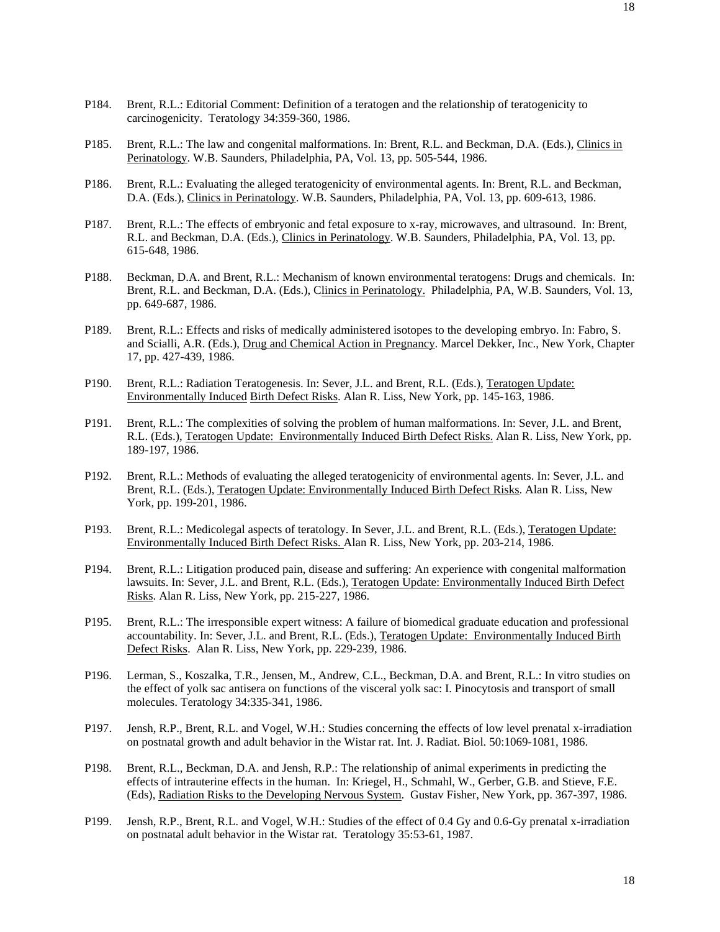- P184. Brent, R.L.: Editorial Comment: Definition of a teratogen and the relationship of teratogenicity to carcinogenicity. Teratology 34:359-360, 1986.
- P185. Brent, R.L.: The law and congenital malformations. In: Brent, R.L. and Beckman, D.A. (Eds.), Clinics in Perinatology. W.B. Saunders, Philadelphia, PA, Vol. 13, pp. 505-544, 1986.
- P186. Brent, R.L.: Evaluating the alleged teratogenicity of environmental agents. In: Brent, R.L. and Beckman, D.A. (Eds.), Clinics in Perinatology. W.B. Saunders, Philadelphia, PA, Vol. 13, pp. 609-613, 1986.
- P187. Brent, R.L.: The effects of embryonic and fetal exposure to x-ray, microwaves, and ultrasound. In: Brent, R.L. and Beckman, D.A. (Eds.), Clinics in Perinatology. W.B. Saunders, Philadelphia, PA, Vol. 13, pp. 615-648, 1986.
- P188. Beckman, D.A. and Brent, R.L.: Mechanism of known environmental teratogens: Drugs and chemicals. In: Brent, R.L. and Beckman, D.A. (Eds.), Clinics in Perinatology. Philadelphia, PA, W.B. Saunders, Vol. 13, pp. 649-687, 1986.
- P189. Brent, R.L.: Effects and risks of medically administered isotopes to the developing embryo. In: Fabro, S. and Scialli, A.R. (Eds.), Drug and Chemical Action in Pregnancy. Marcel Dekker, Inc., New York, Chapter 17, pp. 427-439, 1986.
- P190. Brent, R.L.: Radiation Teratogenesis. In: Sever, J.L. and Brent, R.L. (Eds.), Teratogen Update: Environmentally Induced Birth Defect Risks. Alan R. Liss, New York, pp. 145-163, 1986.
- P191. Brent, R.L.: The complexities of solving the problem of human malformations. In: Sever, J.L. and Brent, R.L. (Eds.), Teratogen Update: Environmentally Induced Birth Defect Risks. Alan R. Liss, New York, pp. 189-197, 1986.
- P192. Brent, R.L.: Methods of evaluating the alleged teratogenicity of environmental agents. In: Sever, J.L. and Brent, R.L. (Eds.), Teratogen Update: Environmentally Induced Birth Defect Risks. Alan R. Liss, New York, pp. 199-201, 1986.
- P193. Brent, R.L.: Medicolegal aspects of teratology. In Sever, J.L. and Brent, R.L. (Eds.), Teratogen Update: Environmentally Induced Birth Defect Risks. Alan R. Liss, New York, pp. 203-214, 1986.
- P194. Brent, R.L.: Litigation produced pain, disease and suffering: An experience with congenital malformation lawsuits. In: Sever, J.L. and Brent, R.L. (Eds.), Teratogen Update: Environmentally Induced Birth Defect Risks. Alan R. Liss, New York, pp. 215-227, 1986.
- P195. Brent, R.L.: The irresponsible expert witness: A failure of biomedical graduate education and professional accountability. In: Sever, J.L. and Brent, R.L. (Eds.), Teratogen Update: Environmentally Induced Birth Defect Risks. Alan R. Liss, New York, pp. 229-239, 1986.
- P196. Lerman, S., Koszalka, T.R., Jensen, M., Andrew, C.L., Beckman, D.A. and Brent, R.L.: In vitro studies on the effect of yolk sac antisera on functions of the visceral yolk sac: I. Pinocytosis and transport of small molecules. Teratology 34:335-341, 1986.
- P197. Jensh, R.P., Brent, R.L. and Vogel, W.H.: Studies concerning the effects of low level prenatal x-irradiation on postnatal growth and adult behavior in the Wistar rat. Int. J. Radiat. Biol. 50:1069-1081, 1986.
- P198. Brent, R.L., Beckman, D.A. and Jensh, R.P.: The relationship of animal experiments in predicting the effects of intrauterine effects in the human. In: Kriegel, H., Schmahl, W., Gerber, G.B. and Stieve, F.E. (Eds), Radiation Risks to the Developing Nervous System. Gustav Fisher, New York, pp. 367-397, 1986.
- P199. Jensh, R.P., Brent, R.L. and Vogel, W.H.: Studies of the effect of 0.4 Gy and 0.6-Gy prenatal x-irradiation on postnatal adult behavior in the Wistar rat. Teratology 35:53-61, 1987.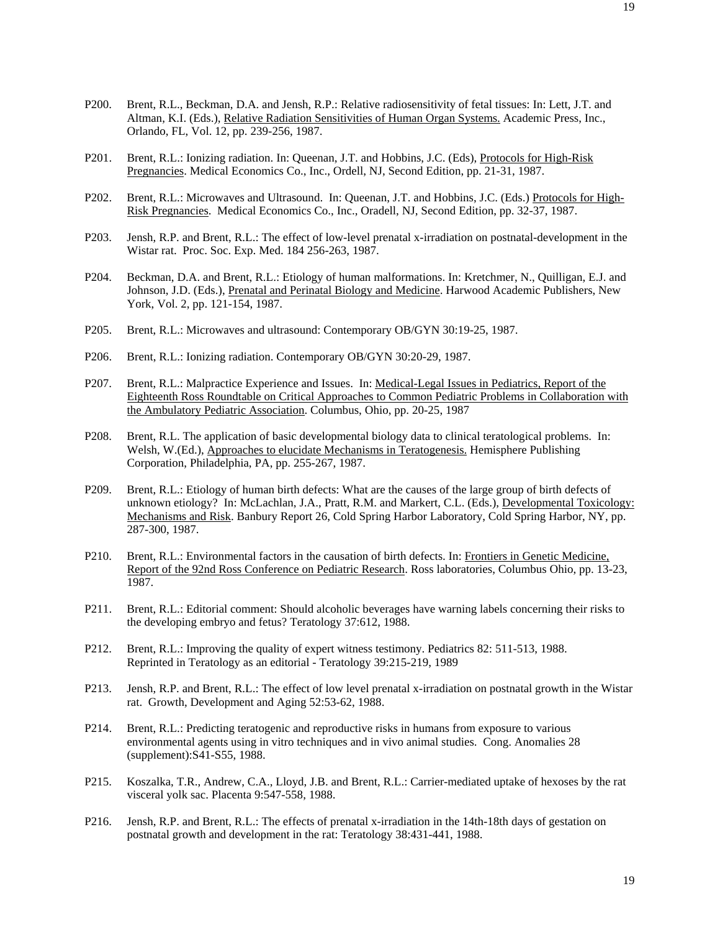- P200. Brent, R.L., Beckman, D.A. and Jensh, R.P.: Relative radiosensitivity of fetal tissues: In: Lett, J.T. and Altman, K.I. (Eds.), Relative Radiation Sensitivities of Human Organ Systems. Academic Press, Inc., Orlando, FL, Vol. 12, pp. 239-256, 1987.
- P201. Brent, R.L.: Ionizing radiation. In: Queenan, J.T. and Hobbins, J.C. (Eds), Protocols for High-Risk Pregnancies. Medical Economics Co., Inc., Ordell, NJ, Second Edition, pp. 21-31, 1987.
- P202. Brent, R.L.: Microwaves and Ultrasound. In: Queenan, J.T. and Hobbins, J.C. (Eds.) Protocols for High-Risk Pregnancies. Medical Economics Co., Inc., Oradell, NJ, Second Edition, pp. 32-37, 1987.
- P203. Jensh, R.P. and Brent, R.L.: The effect of low-level prenatal x-irradiation on postnatal-development in the Wistar rat. Proc. Soc. Exp. Med. 184 256-263, 1987.
- P204. Beckman, D.A. and Brent, R.L.: Etiology of human malformations. In: Kretchmer, N., Quilligan, E.J. and Johnson, J.D. (Eds.), Prenatal and Perinatal Biology and Medicine. Harwood Academic Publishers, New York, Vol. 2, pp. 121-154, 1987.
- P205. Brent, R.L.: Microwaves and ultrasound: Contemporary OB/GYN 30:19-25, 1987.
- P206. Brent, R.L.: Ionizing radiation. Contemporary OB/GYN 30:20-29, 1987.
- P207. Brent, R.L.: Malpractice Experience and Issues. In: Medical-Legal Issues in Pediatrics, Report of the Eighteenth Ross Roundtable on Critical Approaches to Common Pediatric Problems in Collaboration with the Ambulatory Pediatric Association. Columbus, Ohio, pp. 20-25, 1987
- P208. Brent, R.L. The application of basic developmental biology data to clinical teratological problems. In: Welsh, W.(Ed.), Approaches to elucidate Mechanisms in Teratogenesis. Hemisphere Publishing Corporation, Philadelphia, PA, pp. 255-267, 1987.
- P209. Brent, R.L.: Etiology of human birth defects: What are the causes of the large group of birth defects of unknown etiology? In: McLachlan, J.A., Pratt, R.M. and Markert, C.L. (Eds.), Developmental Toxicology: Mechanisms and Risk. Banbury Report 26, Cold Spring Harbor Laboratory, Cold Spring Harbor, NY, pp. 287-300, 1987.
- P210. Brent, R.L.: Environmental factors in the causation of birth defects. In: Frontiers in Genetic Medicine, Report of the 92nd Ross Conference on Pediatric Research. Ross laboratories, Columbus Ohio, pp. 13-23, 1987.
- P211. Brent, R.L.: Editorial comment: Should alcoholic beverages have warning labels concerning their risks to the developing embryo and fetus? Teratology 37:612, 1988.
- P212. Brent, R.L.: Improving the quality of expert witness testimony. Pediatrics 82: 511-513, 1988. Reprinted in Teratology as an editorial - Teratology 39:215-219, 1989
- P213. Jensh, R.P. and Brent, R.L.: The effect of low level prenatal x-irradiation on postnatal growth in the Wistar rat. Growth, Development and Aging 52:53-62, 1988.
- P214. Brent, R.L.: Predicting teratogenic and reproductive risks in humans from exposure to various environmental agents using in vitro techniques and in vivo animal studies. Cong. Anomalies 28 (supplement):S41-S55, 1988.
- P215. Koszalka, T.R., Andrew, C.A., Lloyd, J.B. and Brent, R.L.: Carrier-mediated uptake of hexoses by the rat visceral yolk sac. Placenta 9:547-558, 1988.
- P216. Jensh, R.P. and Brent, R.L.: The effects of prenatal x-irradiation in the 14th-18th days of gestation on postnatal growth and development in the rat: Teratology 38:431-441, 1988.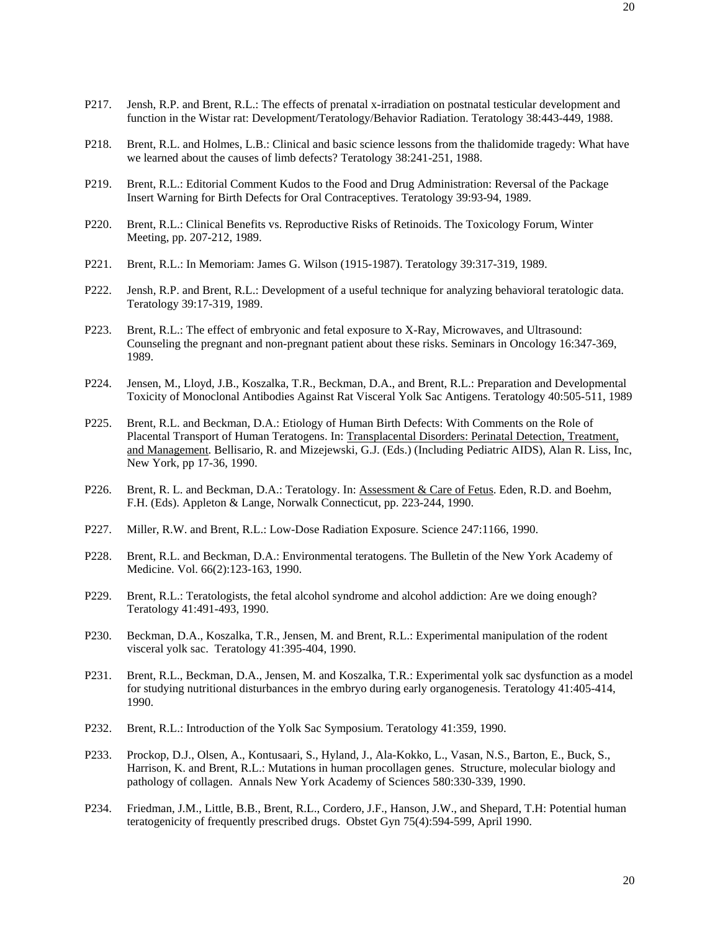- P217. Jensh, R.P. and Brent, R.L.: The effects of prenatal x-irradiation on postnatal testicular development and function in the Wistar rat: Development/Teratology/Behavior Radiation. Teratology 38:443-449, 1988.
- P218. Brent, R.L. and Holmes, L.B.: Clinical and basic science lessons from the thalidomide tragedy: What have we learned about the causes of limb defects? Teratology 38:241-251, 1988.
- P219. Brent, R.L.: Editorial Comment Kudos to the Food and Drug Administration: Reversal of the Package Insert Warning for Birth Defects for Oral Contraceptives. Teratology 39:93-94, 1989.
- P220. Brent, R.L.: Clinical Benefits vs. Reproductive Risks of Retinoids. The Toxicology Forum, Winter Meeting, pp. 207-212, 1989.
- P221. Brent, R.L.: In Memoriam: James G. Wilson (1915-1987). Teratology 39:317-319, 1989.
- P222. Jensh, R.P. and Brent, R.L.: Development of a useful technique for analyzing behavioral teratologic data. Teratology 39:17-319, 1989.
- P223. Brent, R.L.: The effect of embryonic and fetal exposure to X-Ray, Microwaves, and Ultrasound: Counseling the pregnant and non-pregnant patient about these risks. Seminars in Oncology 16:347-369, 1989.
- P224. Jensen, M., Lloyd, J.B., Koszalka, T.R., Beckman, D.A., and Brent, R.L.: Preparation and Developmental Toxicity of Monoclonal Antibodies Against Rat Visceral Yolk Sac Antigens. Teratology 40:505-511, 1989
- P225. Brent, R.L. and Beckman, D.A.: Etiology of Human Birth Defects: With Comments on the Role of Placental Transport of Human Teratogens. In: Transplacental Disorders: Perinatal Detection, Treatment, and Management. Bellisario, R. and Mizejewski, G.J. (Eds.) (Including Pediatric AIDS), Alan R. Liss, Inc, New York, pp 17-36, 1990.
- P226. Brent, R. L. and Beckman, D.A.: Teratology. In: Assessment & Care of Fetus. Eden, R.D. and Boehm, F.H. (Eds). Appleton & Lange, Norwalk Connecticut, pp. 223-244, 1990.
- P227. Miller, R.W. and Brent, R.L.: Low-Dose Radiation Exposure. Science 247:1166, 1990.
- P228. Brent, R.L. and Beckman, D.A.: Environmental teratogens. The Bulletin of the New York Academy of Medicine. Vol. 66(2):123-163, 1990.
- P229. Brent, R.L.: Teratologists, the fetal alcohol syndrome and alcohol addiction: Are we doing enough? Teratology 41:491-493, 1990.
- P230. Beckman, D.A., Koszalka, T.R., Jensen, M. and Brent, R.L.: Experimental manipulation of the rodent visceral yolk sac. Teratology 41:395-404, 1990.
- P231. Brent, R.L., Beckman, D.A., Jensen, M. and Koszalka, T.R.: Experimental yolk sac dysfunction as a model for studying nutritional disturbances in the embryo during early organogenesis. Teratology 41:405-414, 1990.
- P232. Brent, R.L.: Introduction of the Yolk Sac Symposium. Teratology 41:359, 1990.
- P233. Prockop, D.J., Olsen, A., Kontusaari, S., Hyland, J., Ala-Kokko, L., Vasan, N.S., Barton, E., Buck, S., Harrison, K. and Brent, R.L.: Mutations in human procollagen genes. Structure, molecular biology and pathology of collagen. Annals New York Academy of Sciences 580:330-339, 1990.
- P234. Friedman, J.M., Little, B.B., Brent, R.L., Cordero, J.F., Hanson, J.W., and Shepard, T.H: Potential human teratogenicity of frequently prescribed drugs. Obstet Gyn 75(4):594-599, April 1990.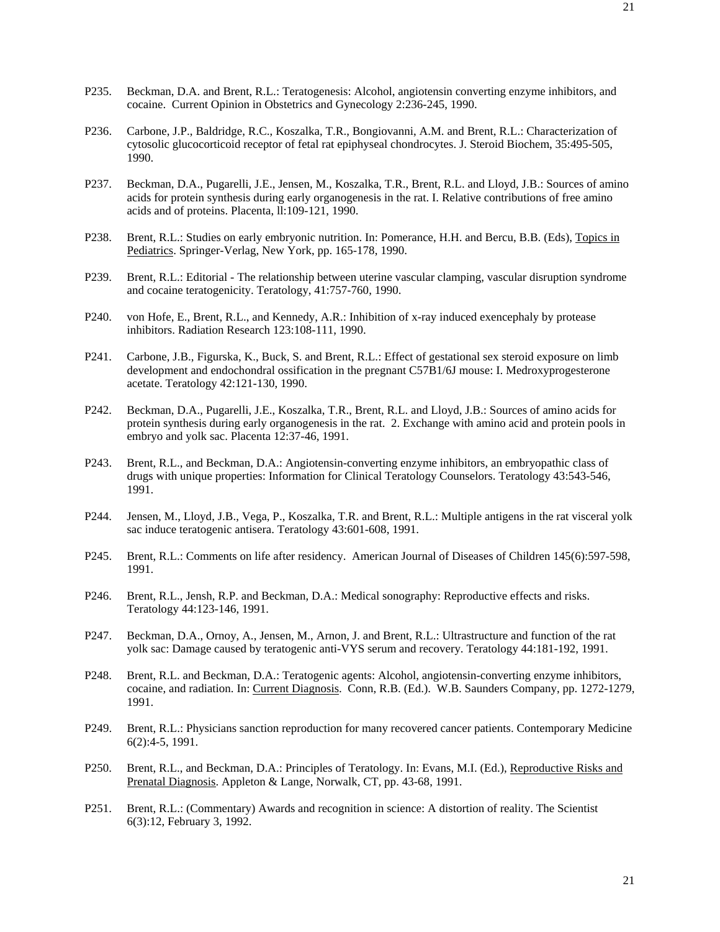- P235. Beckman, D.A. and Brent, R.L.: Teratogenesis: Alcohol, angiotensin converting enzyme inhibitors, and cocaine. Current Opinion in Obstetrics and Gynecology 2:236-245, 1990.
- P236. Carbone, J.P., Baldridge, R.C., Koszalka, T.R., Bongiovanni, A.M. and Brent, R.L.: Characterization of cytosolic glucocorticoid receptor of fetal rat epiphyseal chondrocytes. J. Steroid Biochem, 35:495-505, 1990.
- P237. Beckman, D.A., Pugarelli, J.E., Jensen, M., Koszalka, T.R., Brent, R.L. and Lloyd, J.B.: Sources of amino acids for protein synthesis during early organogenesis in the rat. I. Relative contributions of free amino acids and of proteins. Placenta, ll:109-121, 1990.
- P238. Brent, R.L.: Studies on early embryonic nutrition. In: Pomerance, H.H. and Bercu, B.B. (Eds), Topics in Pediatrics. Springer-Verlag, New York, pp. 165-178, 1990.
- P239. Brent, R.L.: Editorial The relationship between uterine vascular clamping, vascular disruption syndrome and cocaine teratogenicity. Teratology, 41:757-760, 1990.
- P240. von Hofe, E., Brent, R.L., and Kennedy, A.R.: Inhibition of x-ray induced exencephaly by protease inhibitors. Radiation Research 123:108-111, 1990.
- P241. Carbone, J.B., Figurska, K., Buck, S. and Brent, R.L.: Effect of gestational sex steroid exposure on limb development and endochondral ossification in the pregnant C57B1/6J mouse: I. Medroxyprogesterone acetate. Teratology 42:121-130, 1990.
- P242. Beckman, D.A., Pugarelli, J.E., Koszalka, T.R., Brent, R.L. and Lloyd, J.B.: Sources of amino acids for protein synthesis during early organogenesis in the rat. 2. Exchange with amino acid and protein pools in embryo and yolk sac. Placenta 12:37-46, 1991.
- P243. Brent, R.L., and Beckman, D.A.: Angiotensin-converting enzyme inhibitors, an embryopathic class of drugs with unique properties: Information for Clinical Teratology Counselors. Teratology 43:543-546, 1991.
- P244. Jensen, M., Lloyd, J.B., Vega, P., Koszalka, T.R. and Brent, R.L.: Multiple antigens in the rat visceral yolk sac induce teratogenic antisera. Teratology 43:601-608, 1991.
- P245. Brent, R.L.: Comments on life after residency. American Journal of Diseases of Children 145(6):597-598, 1991.
- P246. Brent, R.L., Jensh, R.P. and Beckman, D.A.: Medical sonography: Reproductive effects and risks. Teratology 44:123-146, 1991.
- P247. Beckman, D.A., Ornoy, A., Jensen, M., Arnon, J. and Brent, R.L.: Ultrastructure and function of the rat yolk sac: Damage caused by teratogenic anti-VYS serum and recovery. Teratology 44:181-192, 1991.
- P248. Brent, R.L. and Beckman, D.A.: Teratogenic agents: Alcohol, angiotensin-converting enzyme inhibitors, cocaine, and radiation. In: Current Diagnosis. Conn, R.B. (Ed.). W.B. Saunders Company, pp. 1272-1279, 1991.
- P249. Brent, R.L.: Physicians sanction reproduction for many recovered cancer patients. Contemporary Medicine 6(2):4-5, 1991.
- P250. Brent, R.L., and Beckman, D.A.: Principles of Teratology. In: Evans, M.I. (Ed.), Reproductive Risks and Prenatal Diagnosis. Appleton & Lange, Norwalk, CT, pp. 43-68, 1991.
- P251. Brent, R.L.: (Commentary) Awards and recognition in science: A distortion of reality. The Scientist 6(3):12, February 3, 1992.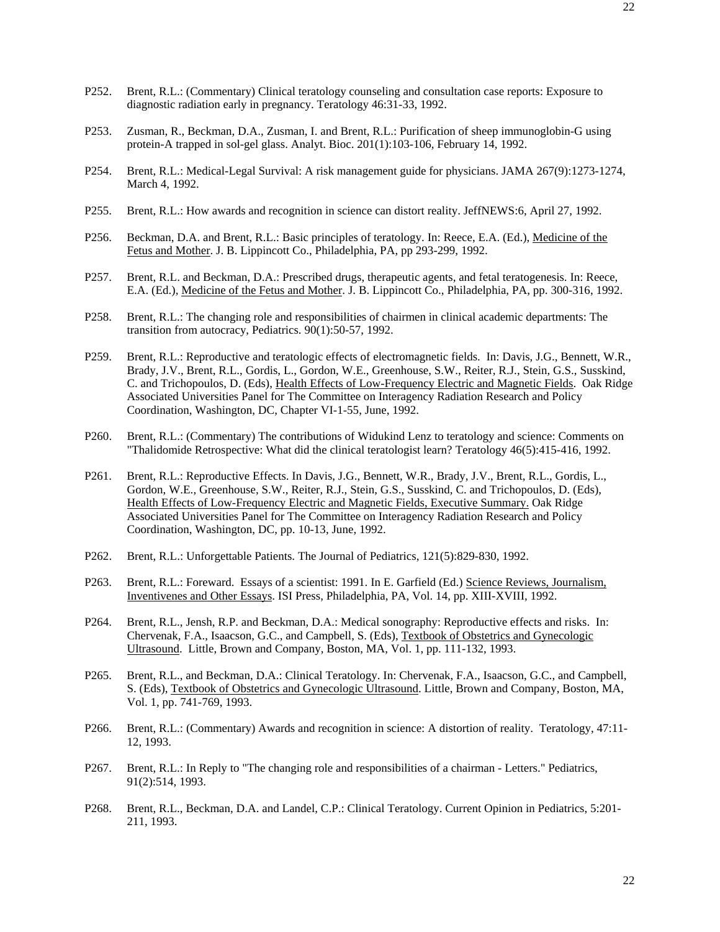- P252. Brent, R.L.: (Commentary) Clinical teratology counseling and consultation case reports: Exposure to diagnostic radiation early in pregnancy. Teratology 46:31-33, 1992.
- P253. Zusman, R., Beckman, D.A., Zusman, I. and Brent, R.L.: Purification of sheep immunoglobin-G using protein-A trapped in sol-gel glass. Analyt. Bioc. 201(1):103-106, February 14, 1992.
- P254. Brent, R.L.: Medical-Legal Survival: A risk management guide for physicians. JAMA 267(9):1273-1274, March 4, 1992.
- P255. Brent, R.L.: How awards and recognition in science can distort reality. JeffNEWS:6, April 27, 1992.
- P256. Beckman, D.A. and Brent, R.L.: Basic principles of teratology. In: Reece, E.A. (Ed.), Medicine of the Fetus and Mother. J. B. Lippincott Co., Philadelphia, PA, pp 293-299, 1992.
- P257. Brent, R.L. and Beckman, D.A.: Prescribed drugs, therapeutic agents, and fetal teratogenesis. In: Reece, E.A. (Ed.), Medicine of the Fetus and Mother. J. B. Lippincott Co., Philadelphia, PA, pp. 300-316, 1992.
- P258. Brent, R.L.: The changing role and responsibilities of chairmen in clinical academic departments: The transition from autocracy, Pediatrics. 90(1):50-57, 1992.
- P259. Brent, R.L.: Reproductive and teratologic effects of electromagnetic fields. In: Davis, J.G., Bennett, W.R., Brady, J.V., Brent, R.L., Gordis, L., Gordon, W.E., Greenhouse, S.W., Reiter, R.J., Stein, G.S., Susskind, C. and Trichopoulos, D. (Eds), Health Effects of Low-Frequency Electric and Magnetic Fields. Oak Ridge Associated Universities Panel for The Committee on Interagency Radiation Research and Policy Coordination, Washington, DC, Chapter VI-1-55, June, 1992.
- P260. Brent, R.L.: (Commentary) The contributions of Widukind Lenz to teratology and science: Comments on "Thalidomide Retrospective: What did the clinical teratologist learn? Teratology 46(5):415-416, 1992.
- P261. Brent, R.L.: Reproductive Effects. In Davis, J.G., Bennett, W.R., Brady, J.V., Brent, R.L., Gordis, L., Gordon, W.E., Greenhouse, S.W., Reiter, R.J., Stein, G.S., Susskind, C. and Trichopoulos, D. (Eds), Health Effects of Low-Frequency Electric and Magnetic Fields, Executive Summary. Oak Ridge Associated Universities Panel for The Committee on Interagency Radiation Research and Policy Coordination, Washington, DC, pp. 10-13, June, 1992.
- P262. Brent, R.L.: Unforgettable Patients. The Journal of Pediatrics, 121(5):829-830, 1992.
- P263. Brent, R.L.: Foreward. Essays of a scientist: 1991. In E. Garfield (Ed.) Science Reviews, Journalism, Inventivenes and Other Essays. ISI Press, Philadelphia, PA, Vol. 14, pp. XIII-XVIII, 1992.
- P264. Brent, R.L., Jensh, R.P. and Beckman, D.A.: Medical sonography: Reproductive effects and risks. In: Chervenak, F.A., Isaacson, G.C., and Campbell, S. (Eds), Textbook of Obstetrics and Gynecologic Ultrasound. Little, Brown and Company, Boston, MA, Vol. 1, pp. 111-132, 1993.
- P265. Brent, R.L., and Beckman, D.A.: Clinical Teratology. In: Chervenak, F.A., Isaacson, G.C., and Campbell, S. (Eds), Textbook of Obstetrics and Gynecologic Ultrasound. Little, Brown and Company, Boston, MA, Vol. 1, pp. 741-769, 1993.
- P266. Brent, R.L.: (Commentary) Awards and recognition in science: A distortion of reality. Teratology, 47:11- 12, 1993.
- P267. Brent, R.L.: In Reply to "The changing role and responsibilities of a chairman Letters." Pediatrics, 91(2):514, 1993.
- P268. Brent, R.L., Beckman, D.A. and Landel, C.P.: Clinical Teratology. Current Opinion in Pediatrics, 5:201- 211, 1993.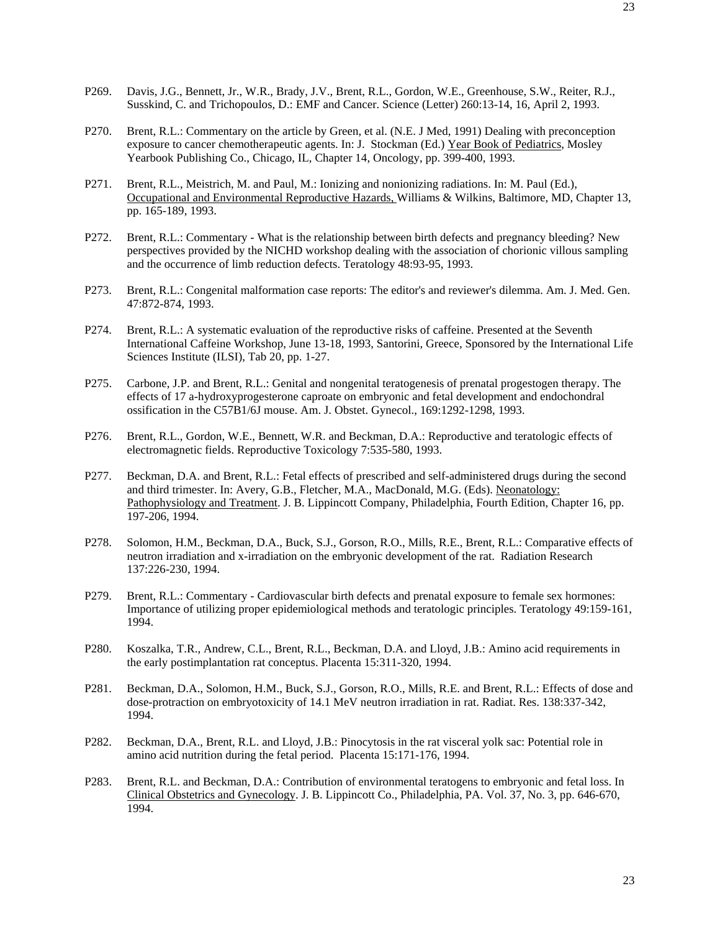- P269. Davis, J.G., Bennett, Jr., W.R., Brady, J.V., Brent, R.L., Gordon, W.E., Greenhouse, S.W., Reiter, R.J., Susskind, C. and Trichopoulos, D.: EMF and Cancer. Science (Letter) 260:13-14, 16, April 2, 1993.
- P270. Brent, R.L.: Commentary on the article by Green, et al. (N.E. J Med, 1991) Dealing with preconception exposure to cancer chemotherapeutic agents. In: J. Stockman (Ed.) Year Book of Pediatrics, Mosley Yearbook Publishing Co., Chicago, IL, Chapter 14, Oncology, pp. 399-400, 1993.
- P271. Brent, R.L., Meistrich, M. and Paul, M.: Ionizing and nonionizing radiations. In: M. Paul (Ed.), Occupational and Environmental Reproductive Hazards, Williams & Wilkins, Baltimore, MD, Chapter 13, pp. 165-189, 1993.
- P272. Brent, R.L.: Commentary What is the relationship between birth defects and pregnancy bleeding? New perspectives provided by the NICHD workshop dealing with the association of chorionic villous sampling and the occurrence of limb reduction defects. Teratology 48:93-95, 1993.
- P273. Brent, R.L.: Congenital malformation case reports: The editor's and reviewer's dilemma. Am. J. Med. Gen. 47:872-874, 1993.
- P274. Brent, R.L.: A systematic evaluation of the reproductive risks of caffeine. Presented at the Seventh International Caffeine Workshop, June 13-18, 1993, Santorini, Greece, Sponsored by the International Life Sciences Institute (ILSI), Tab 20, pp. 1-27.
- P275. Carbone, J.P. and Brent, R.L.: Genital and nongenital teratogenesis of prenatal progestogen therapy. The effects of 17 a-hydroxyprogesterone caproate on embryonic and fetal development and endochondral ossification in the C57B1/6J mouse. Am. J. Obstet. Gynecol., 169:1292-1298, 1993.
- P276. Brent, R.L., Gordon, W.E., Bennett, W.R. and Beckman, D.A.: Reproductive and teratologic effects of electromagnetic fields. Reproductive Toxicology 7:535-580, 1993.
- P277. Beckman, D.A. and Brent, R.L.: Fetal effects of prescribed and self-administered drugs during the second and third trimester. In: Avery, G.B., Fletcher, M.A., MacDonald, M.G. (Eds). Neonatology: Pathophysiology and Treatment. J. B. Lippincott Company, Philadelphia, Fourth Edition, Chapter 16, pp. 197-206, 1994.
- P278. Solomon, H.M., Beckman, D.A., Buck, S.J., Gorson, R.O., Mills, R.E., Brent, R.L.: Comparative effects of neutron irradiation and x-irradiation on the embryonic development of the rat. Radiation Research 137:226-230, 1994.
- P279. Brent, R.L.: Commentary Cardiovascular birth defects and prenatal exposure to female sex hormones: Importance of utilizing proper epidemiological methods and teratologic principles. Teratology 49:159-161, 1994.
- P280. Koszalka, T.R., Andrew, C.L., Brent, R.L., Beckman, D.A. and Lloyd, J.B.: Amino acid requirements in the early postimplantation rat conceptus. Placenta 15:311-320, 1994.
- P281. Beckman, D.A., Solomon, H.M., Buck, S.J., Gorson, R.O., Mills, R.E. and Brent, R.L.: Effects of dose and dose-protraction on embryotoxicity of 14.1 MeV neutron irradiation in rat. Radiat. Res. 138:337-342, 1994.
- P282. Beckman, D.A., Brent, R.L. and Lloyd, J.B.: Pinocytosis in the rat visceral yolk sac: Potential role in amino acid nutrition during the fetal period. Placenta 15:171-176, 1994.
- P283. Brent, R.L. and Beckman, D.A.: Contribution of environmental teratogens to embryonic and fetal loss. In Clinical Obstetrics and Gynecology. J. B. Lippincott Co., Philadelphia, PA. Vol. 37, No. 3, pp. 646-670, 1994.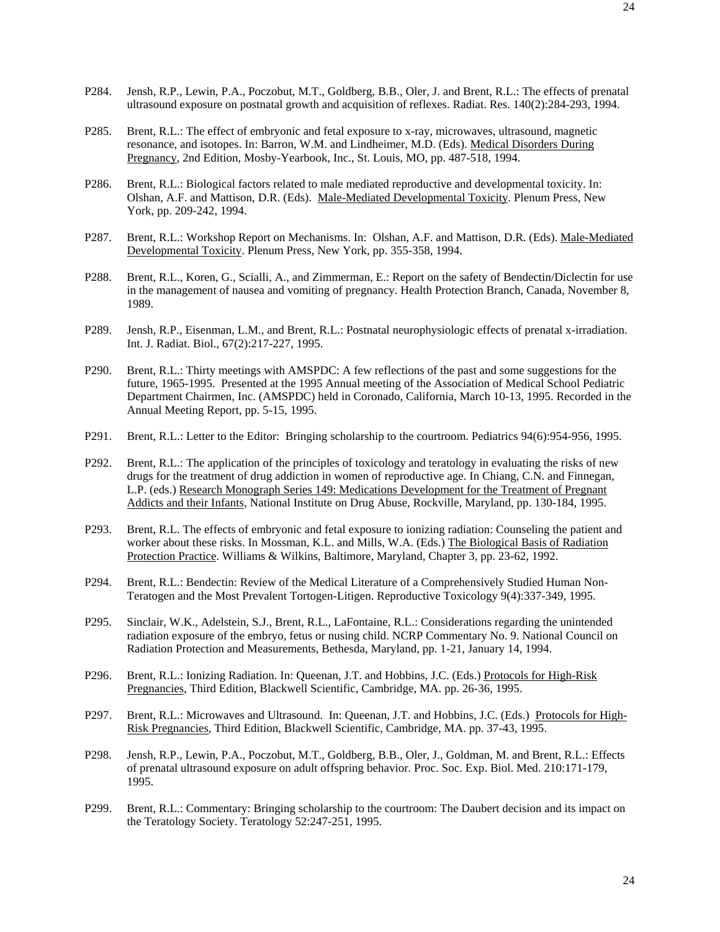- P284. Jensh, R.P., Lewin, P.A., Poczobut, M.T., Goldberg, B.B., Oler, J. and Brent, R.L.: The effects of prenatal ultrasound exposure on postnatal growth and acquisition of reflexes. Radiat. Res. 140(2):284-293, 1994.
- P285. Brent, R.L.: The effect of embryonic and fetal exposure to x-ray, microwaves, ultrasound, magnetic resonance, and isotopes. In: Barron, W.M. and Lindheimer, M.D. (Eds). Medical Disorders During Pregnancy, 2nd Edition, Mosby-Yearbook, Inc., St. Louis, MO, pp. 487-518, 1994.
- P286. Brent, R.L.: Biological factors related to male mediated reproductive and developmental toxicity. In: Olshan, A.F. and Mattison, D.R. (Eds). Male-Mediated Developmental Toxicity. Plenum Press, New York, pp. 209-242, 1994.
- P287. Brent, R.L.: Workshop Report on Mechanisms. In: Olshan, A.F. and Mattison, D.R. (Eds). Male-Mediated Developmental Toxicity. Plenum Press, New York, pp. 355-358, 1994.
- P288. Brent, R.L., Koren, G., Scialli, A., and Zimmerman, E.: Report on the safety of Bendectin/Diclectin for use in the management of nausea and vomiting of pregnancy. Health Protection Branch, Canada, November 8, 1989.
- P289. Jensh, R.P., Eisenman, L.M., and Brent, R.L.: Postnatal neurophysiologic effects of prenatal x-irradiation. Int. J. Radiat. Biol., 67(2):217-227, 1995.
- P290. Brent, R.L.: Thirty meetings with AMSPDC: A few reflections of the past and some suggestions for the future, 1965-1995. Presented at the 1995 Annual meeting of the Association of Medical School Pediatric Department Chairmen, Inc. (AMSPDC) held in Coronado, California, March 10-13, 1995. Recorded in the Annual Meeting Report, pp. 5-15, 1995.
- P291. Brent, R.L.: Letter to the Editor: Bringing scholarship to the courtroom. Pediatrics 94(6):954-956, 1995.
- P292. Brent, R.L.: The application of the principles of toxicology and teratology in evaluating the risks of new drugs for the treatment of drug addiction in women of reproductive age. In Chiang, C.N. and Finnegan, L.P. (eds.) Research Monograph Series 149: Medications Development for the Treatment of Pregnant Addicts and their Infants, National Institute on Drug Abuse, Rockville, Maryland, pp. 130-184, 1995.
- P293. Brent, R.L. The effects of embryonic and fetal exposure to ionizing radiation: Counseling the patient and worker about these risks. In Mossman, K.L. and Mills, W.A. (Eds.) The Biological Basis of Radiation Protection Practice. Williams & Wilkins, Baltimore, Maryland, Chapter 3, pp. 23-62, 1992.
- P294. Brent, R.L.: Bendectin: Review of the Medical Literature of a Comprehensively Studied Human Non-Teratogen and the Most Prevalent Tortogen-Litigen. Reproductive Toxicology 9(4):337-349, 1995.
- P295. Sinclair, W.K., Adelstein, S.J., Brent, R.L., LaFontaine, R.L.: Considerations regarding the unintended radiation exposure of the embryo, fetus or nusing child. NCRP Commentary No. 9. National Council on Radiation Protection and Measurements, Bethesda, Maryland, pp. 1-21, January 14, 1994.
- P296. Brent, R.L.: Ionizing Radiation. In: Queenan, J.T. and Hobbins, J.C. (Eds.) Protocols for High-Risk Pregnancies, Third Edition, Blackwell Scientific, Cambridge, MA. pp. 26-36, 1995.
- P297. Brent, R.L.: Microwaves and Ultrasound. In: Queenan, J.T. and Hobbins, J.C. (Eds.) Protocols for High-Risk Pregnancies, Third Edition, Blackwell Scientific, Cambridge, MA. pp. 37-43, 1995.
- P298. Jensh, R.P., Lewin, P.A., Poczobut, M.T., Goldberg, B.B., Oler, J., Goldman, M. and Brent, R.L.: Effects of prenatal ultrasound exposure on adult offspring behavior. Proc. Soc. Exp. Biol. Med. 210:171-179, 1995.
- P299. Brent, R.L.: Commentary: Bringing scholarship to the courtroom: The Daubert decision and its impact on the Teratology Society. Teratology 52:247-251, 1995.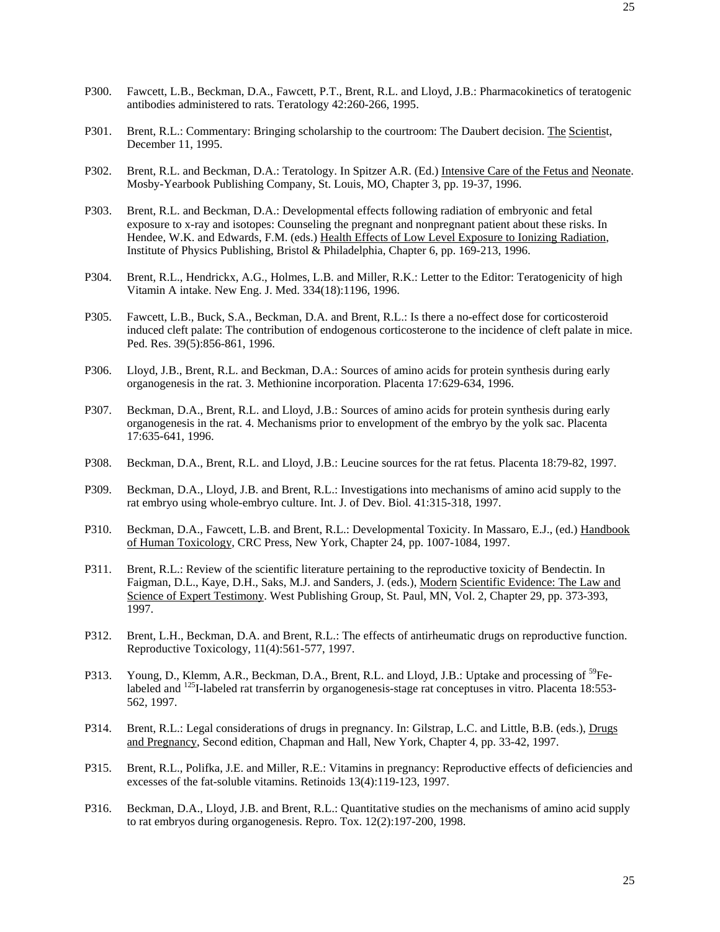- P300. Fawcett, L.B., Beckman, D.A., Fawcett, P.T., Brent, R.L. and Lloyd, J.B.: Pharmacokinetics of teratogenic antibodies administered to rats. Teratology 42:260-266, 1995.
- P301. Brent, R.L.: Commentary: Bringing scholarship to the courtroom: The Daubert decision. The Scientist, December 11, 1995.
- P302. Brent, R.L. and Beckman, D.A.: Teratology. In Spitzer A.R. (Ed.) Intensive Care of the Fetus and Neonate. Mosby-Yearbook Publishing Company, St. Louis, MO, Chapter 3, pp. 19-37, 1996.
- P303. Brent, R.L. and Beckman, D.A.: Developmental effects following radiation of embryonic and fetal exposure to x-ray and isotopes: Counseling the pregnant and nonpregnant patient about these risks. In Hendee, W.K. and Edwards, F.M. (eds.) Health Effects of Low Level Exposure to Ionizing Radiation, Institute of Physics Publishing, Bristol & Philadelphia, Chapter 6, pp. 169-213, 1996.
- P304. Brent, R.L., Hendrickx, A.G., Holmes, L.B. and Miller, R.K.: Letter to the Editor: Teratogenicity of high Vitamin A intake. New Eng. J. Med. 334(18):1196, 1996.
- P305. Fawcett, L.B., Buck, S.A., Beckman, D.A. and Brent, R.L.: Is there a no-effect dose for corticosteroid induced cleft palate: The contribution of endogenous corticosterone to the incidence of cleft palate in mice. Ped. Res. 39(5):856-861, 1996.
- P306. Lloyd, J.B., Brent, R.L. and Beckman, D.A.: Sources of amino acids for protein synthesis during early organogenesis in the rat. 3. Methionine incorporation. Placenta 17:629-634, 1996.
- P307. Beckman, D.A., Brent, R.L. and Lloyd, J.B.: Sources of amino acids for protein synthesis during early organogenesis in the rat. 4. Mechanisms prior to envelopment of the embryo by the yolk sac. Placenta 17:635-641, 1996.
- P308. Beckman, D.A., Brent, R.L. and Lloyd, J.B.: Leucine sources for the rat fetus. Placenta 18:79-82, 1997.
- P309. Beckman, D.A., Lloyd, J.B. and Brent, R.L.: Investigations into mechanisms of amino acid supply to the rat embryo using whole-embryo culture. Int. J. of Dev. Biol. 41:315-318, 1997.
- P310. Beckman, D.A., Fawcett, L.B. and Brent, R.L.: Developmental Toxicity. In Massaro, E.J., (ed.) Handbook of Human Toxicology, CRC Press, New York, Chapter 24, pp. 1007-1084, 1997.
- P311. Brent, R.L.: Review of the scientific literature pertaining to the reproductive toxicity of Bendectin. In Faigman, D.L., Kaye, D.H., Saks, M.J. and Sanders, J. (eds.), Modern Scientific Evidence: The Law and Science of Expert Testimony. West Publishing Group, St. Paul, MN, Vol. 2, Chapter 29, pp. 373-393, 1997.
- P312. Brent, L.H., Beckman, D.A. and Brent, R.L.: The effects of antirheumatic drugs on reproductive function. Reproductive Toxicology, 11(4):561-577, 1997.
- P313. Young, D., Klemm, A.R., Beckman, D.A., Brent, R.L. and Lloyd, J.B.: Uptake and processing of <sup>59</sup>Felabeled and <sup>125</sup>I-labeled rat transferrin by organogenesis-stage rat conceptuses in vitro. Placenta 18:553-562, 1997.
- P314. Brent, R.L.: Legal considerations of drugs in pregnancy. In: Gilstrap, L.C. and Little, B.B. (eds.), Drugs and Pregnancy, Second edition, Chapman and Hall, New York, Chapter 4, pp. 33-42, 1997.
- P315. Brent, R.L., Polifka, J.E. and Miller, R.E.: Vitamins in pregnancy: Reproductive effects of deficiencies and excesses of the fat-soluble vitamins. Retinoids 13(4):119-123, 1997.
- P316. Beckman, D.A., Lloyd, J.B. and Brent, R.L.: Quantitative studies on the mechanisms of amino acid supply to rat embryos during organogenesis. Repro. Tox. 12(2):197-200, 1998.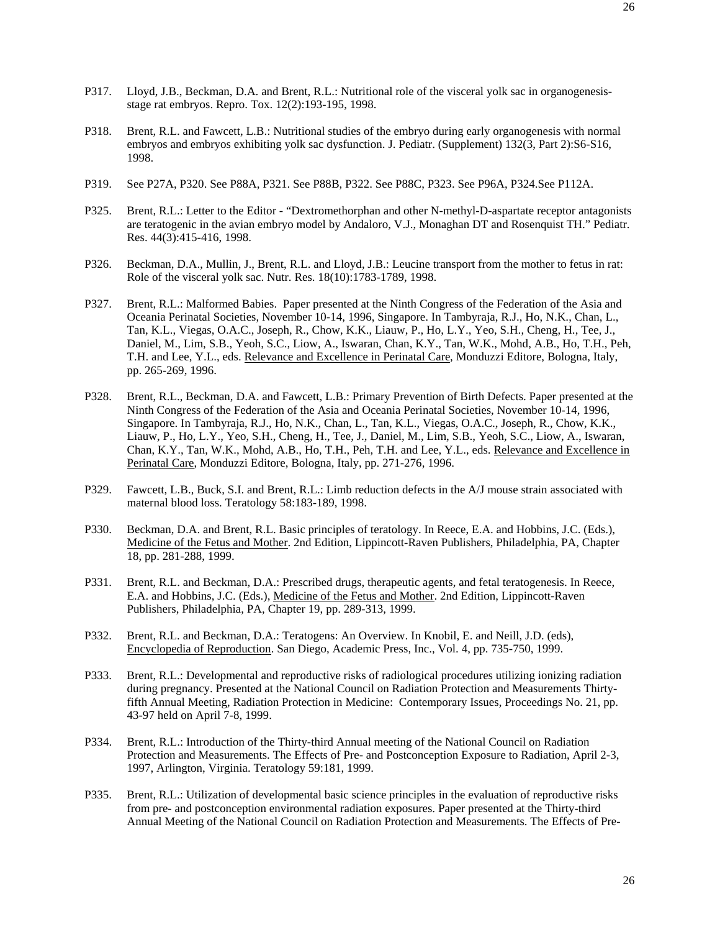- P317. Lloyd, J.B., Beckman, D.A. and Brent, R.L.: Nutritional role of the visceral yolk sac in organogenesisstage rat embryos. Repro. Tox. 12(2):193-195, 1998.
- P318. Brent, R.L. and Fawcett, L.B.: Nutritional studies of the embryo during early organogenesis with normal embryos and embryos exhibiting yolk sac dysfunction. J. Pediatr. (Supplement) 132(3, Part 2):S6-S16, 1998.
- P319. See P27A, P320. See P88A, P321. See P88B, P322. See P88C, P323. See P96A, P324.See P112A.
- P325. Brent, R.L.: Letter to the Editor "Dextromethorphan and other N-methyl-D-aspartate receptor antagonists are teratogenic in the avian embryo model by Andaloro, V.J., Monaghan DT and Rosenquist TH." Pediatr. Res. 44(3):415-416, 1998.
- P326. Beckman, D.A., Mullin, J., Brent, R.L. and Lloyd, J.B.: Leucine transport from the mother to fetus in rat: Role of the visceral yolk sac. Nutr. Res. 18(10):1783-1789, 1998.
- P327. Brent, R.L.: Malformed Babies. Paper presented at the Ninth Congress of the Federation of the Asia and Oceania Perinatal Societies, November 10-14, 1996, Singapore. In Tambyraja, R.J., Ho, N.K., Chan, L., Tan, K.L., Viegas, O.A.C., Joseph, R., Chow, K.K., Liauw, P., Ho, L.Y., Yeo, S.H., Cheng, H., Tee, J., Daniel, M., Lim, S.B., Yeoh, S.C., Liow, A., Iswaran, Chan, K.Y., Tan, W.K., Mohd, A.B., Ho, T.H., Peh, T.H. and Lee, Y.L., eds. Relevance and Excellence in Perinatal Care, Monduzzi Editore, Bologna, Italy, pp. 265-269, 1996.
- P328. Brent, R.L., Beckman, D.A. and Fawcett, L.B.: Primary Prevention of Birth Defects. Paper presented at the Ninth Congress of the Federation of the Asia and Oceania Perinatal Societies, November 10-14, 1996, Singapore. In Tambyraja, R.J., Ho, N.K., Chan, L., Tan, K.L., Viegas, O.A.C., Joseph, R., Chow, K.K., Liauw, P., Ho, L.Y., Yeo, S.H., Cheng, H., Tee, J., Daniel, M., Lim, S.B., Yeoh, S.C., Liow, A., Iswaran, Chan, K.Y., Tan, W.K., Mohd, A.B., Ho, T.H., Peh, T.H. and Lee, Y.L., eds. Relevance and Excellence in Perinatal Care, Monduzzi Editore, Bologna, Italy, pp. 271-276, 1996.
- P329. Fawcett, L.B., Buck, S.I. and Brent, R.L.: Limb reduction defects in the A/J mouse strain associated with maternal blood loss. Teratology 58:183-189, 1998.
- P330. Beckman, D.A. and Brent, R.L. Basic principles of teratology. In Reece, E.A. and Hobbins, J.C. (Eds.), Medicine of the Fetus and Mother. 2nd Edition, Lippincott-Raven Publishers, Philadelphia, PA, Chapter 18, pp. 281-288, 1999.
- P331. Brent, R.L. and Beckman, D.A.: Prescribed drugs, therapeutic agents, and fetal teratogenesis. In Reece, E.A. and Hobbins, J.C. (Eds.), Medicine of the Fetus and Mother. 2nd Edition, Lippincott-Raven Publishers, Philadelphia, PA, Chapter 19, pp. 289-313, 1999.
- P332. Brent, R.L. and Beckman, D.A.: Teratogens: An Overview. In Knobil, E. and Neill, J.D. (eds), Encyclopedia of Reproduction. San Diego, Academic Press, Inc., Vol. 4, pp. 735-750, 1999.
- P333. Brent, R.L.: Developmental and reproductive risks of radiological procedures utilizing ionizing radiation during pregnancy. Presented at the National Council on Radiation Protection and Measurements Thirtyfifth Annual Meeting, Radiation Protection in Medicine: Contemporary Issues, Proceedings No. 21, pp. 43-97 held on April 7-8, 1999.
- P334. Brent, R.L.: Introduction of the Thirty-third Annual meeting of the National Council on Radiation Protection and Measurements. The Effects of Pre- and Postconception Exposure to Radiation, April 2-3, 1997, Arlington, Virginia. Teratology 59:181, 1999.
- P335. Brent, R.L.: Utilization of developmental basic science principles in the evaluation of reproductive risks from pre- and postconception environmental radiation exposures. Paper presented at the Thirty-third Annual Meeting of the National Council on Radiation Protection and Measurements. The Effects of Pre-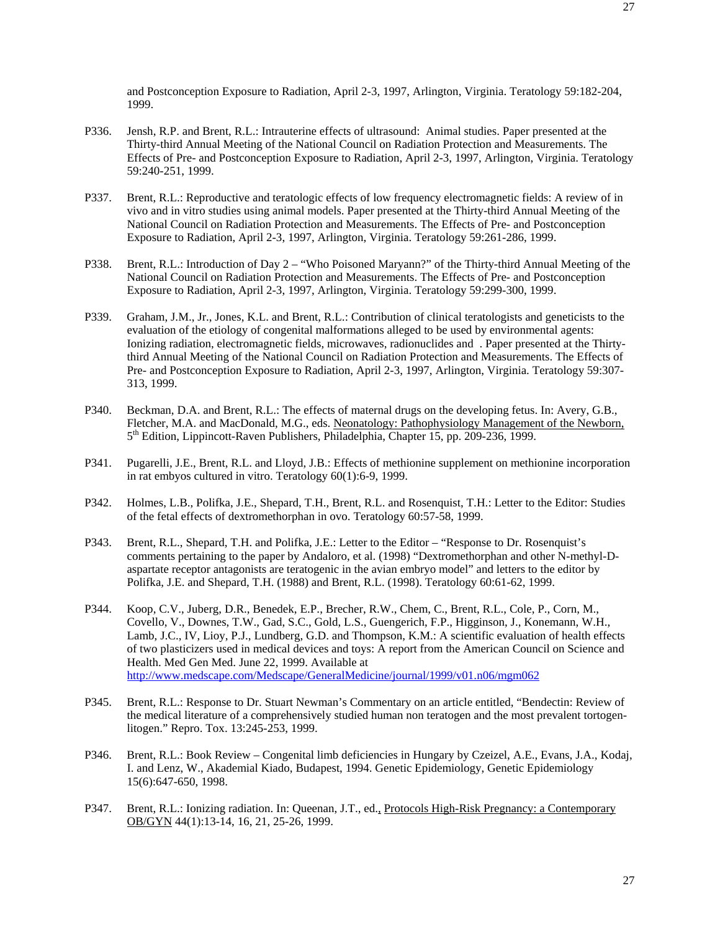and Postconception Exposure to Radiation, April 2-3, 1997, Arlington, Virginia. Teratology 59:182-204, 1999.

- P336. Jensh, R.P. and Brent, R.L.: Intrauterine effects of ultrasound: Animal studies. Paper presented at the Thirty-third Annual Meeting of the National Council on Radiation Protection and Measurements. The Effects of Pre- and Postconception Exposure to Radiation, April 2-3, 1997, Arlington, Virginia. Teratology 59:240-251, 1999.
- P337. Brent, R.L.: Reproductive and teratologic effects of low frequency electromagnetic fields: A review of in vivo and in vitro studies using animal models. Paper presented at the Thirty-third Annual Meeting of the National Council on Radiation Protection and Measurements. The Effects of Pre- and Postconception Exposure to Radiation, April 2-3, 1997, Arlington, Virginia. Teratology 59:261-286, 1999.
- P338. Brent, R.L.: Introduction of Day 2 "Who Poisoned Maryann?" of the Thirty-third Annual Meeting of the National Council on Radiation Protection and Measurements. The Effects of Pre- and Postconception Exposure to Radiation, April 2-3, 1997, Arlington, Virginia. Teratology 59:299-300, 1999.
- P339. Graham, J.M., Jr., Jones, K.L. and Brent, R.L.: Contribution of clinical teratologists and geneticists to the evaluation of the etiology of congenital malformations alleged to be used by environmental agents: Ionizing radiation, electromagnetic fields, microwaves, radionuclides and . Paper presented at the Thirtythird Annual Meeting of the National Council on Radiation Protection and Measurements. The Effects of Pre- and Postconception Exposure to Radiation, April 2-3, 1997, Arlington, Virginia. Teratology 59:307- 313, 1999.
- P340. Beckman, D.A. and Brent, R.L.: The effects of maternal drugs on the developing fetus. In: Avery, G.B., Fletcher, M.A. and MacDonald, M.G., eds. Neonatology: Pathophysiology Management of the Newborn, 5th Edition, Lippincott-Raven Publishers, Philadelphia, Chapter 15, pp. 209-236, 1999.
- P341. Pugarelli, J.E., Brent, R.L. and Lloyd, J.B.: Effects of methionine supplement on methionine incorporation in rat embyos cultured in vitro. Teratology 60(1):6-9, 1999.
- P342. Holmes, L.B., Polifka, J.E., Shepard, T.H., Brent, R.L. and Rosenquist, T.H.: Letter to the Editor: Studies of the fetal effects of dextromethorphan in ovo. Teratology 60:57-58, 1999.
- P343. Brent, R.L., Shepard, T.H. and Polifka, J.E.: Letter to the Editor "Response to Dr. Rosenquist's comments pertaining to the paper by Andaloro, et al. (1998) "Dextromethorphan and other N-methyl-Daspartate receptor antagonists are teratogenic in the avian embryo model" and letters to the editor by Polifka, J.E. and Shepard, T.H. (1988) and Brent, R.L. (1998). Teratology 60:61-62, 1999.
- P344. Koop, C.V., Juberg, D.R., Benedek, E.P., Brecher, R.W., Chem, C., Brent, R.L., Cole, P., Corn, M., Covello, V., Downes, T.W., Gad, S.C., Gold, L.S., Guengerich, F.P., Higginson, J., Konemann, W.H., Lamb, J.C., IV, Lioy, P.J., Lundberg, G.D. and Thompson, K.M.: A scientific evaluation of health effects of two plasticizers used in medical devices and toys: A report from the American Council on Science and Health. Med Gen Med. June 22, 1999. Available at http://www.medscape.com/Medscape/GeneralMedicine/journal/1999/v01.n06/mgm062
- P345. Brent, R.L.: Response to Dr. Stuart Newman's Commentary on an article entitled, "Bendectin: Review of the medical literature of a comprehensively studied human non teratogen and the most prevalent tortogenlitogen." Repro. Tox. 13:245-253, 1999.
- P346. Brent, R.L.: Book Review Congenital limb deficiencies in Hungary by Czeizel, A.E., Evans, J.A., Kodaj, I. and Lenz, W., Akademial Kiado, Budapest, 1994. Genetic Epidemiology, Genetic Epidemiology 15(6):647-650, 1998.
- P347. Brent, R.L.: Ionizing radiation. In: Queenan, J.T., ed., Protocols High-Risk Pregnancy: a Contemporary OB/GYN 44(1):13-14, 16, 21, 25-26, 1999.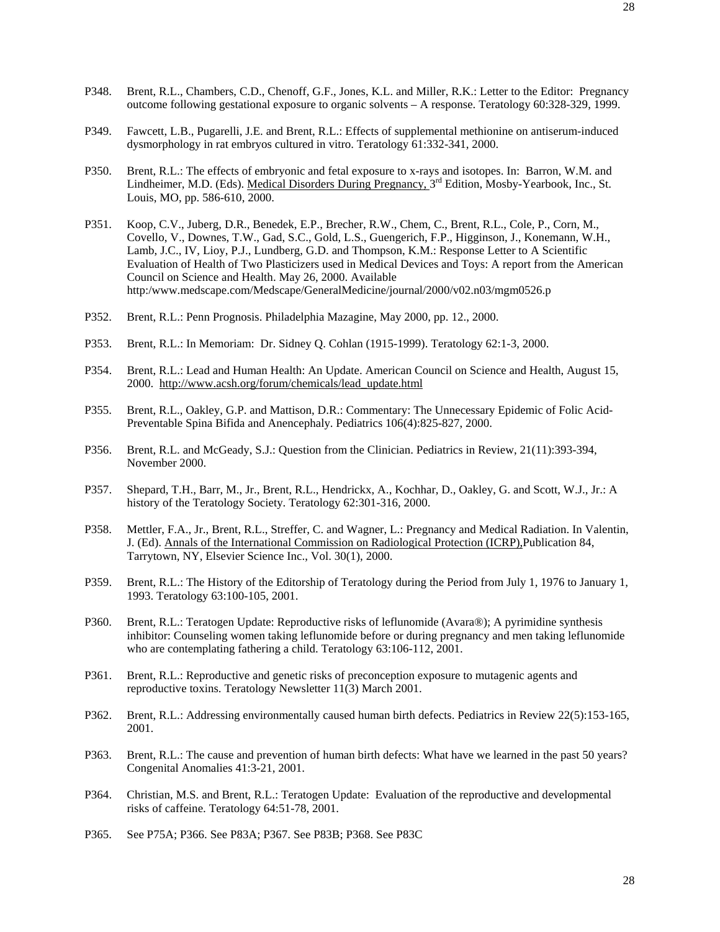- P348. Brent, R.L., Chambers, C.D., Chenoff, G.F., Jones, K.L. and Miller, R.K.: Letter to the Editor: Pregnancy outcome following gestational exposure to organic solvents – A response. Teratology 60:328-329, 1999.
- P349. Fawcett, L.B., Pugarelli, J.E. and Brent, R.L.: Effects of supplemental methionine on antiserum-induced dysmorphology in rat embryos cultured in vitro. Teratology 61:332-341, 2000.
- P350. Brent, R.L.: The effects of embryonic and fetal exposure to x-rays and isotopes. In: Barron, W.M. and Lindheimer, M.D. (Eds). Medical Disorders During Pregnancy, 3rd Edition, Mosby-Yearbook, Inc., St. Louis, MO, pp. 586-610, 2000.
- P351. Koop, C.V., Juberg, D.R., Benedek, E.P., Brecher, R.W., Chem, C., Brent, R.L., Cole, P., Corn, M., Covello, V., Downes, T.W., Gad, S.C., Gold, L.S., Guengerich, F.P., Higginson, J., Konemann, W.H., Lamb, J.C., IV, Lioy, P.J., Lundberg, G.D. and Thompson, K.M.: Response Letter to A Scientific Evaluation of Health of Two Plasticizers used in Medical Devices and Toys: A report from the American Council on Science and Health. May 26, 2000. Available http:/www.medscape.com/Medscape/GeneralMedicine/journal/2000/v02.n03/mgm0526.p
- P352. Brent, R.L.: Penn Prognosis. Philadelphia Mazagine, May 2000, pp. 12., 2000.
- P353. Brent, R.L.: In Memoriam: Dr. Sidney Q. Cohlan (1915-1999). Teratology 62:1-3, 2000.
- P354. Brent, R.L.: Lead and Human Health: An Update. American Council on Science and Health, August 15, 2000. http://www.acsh.org/forum/chemicals/lead\_update.html
- P355. Brent, R.L., Oakley, G.P. and Mattison, D.R.: Commentary: The Unnecessary Epidemic of Folic Acid-Preventable Spina Bifida and Anencephaly. Pediatrics 106(4):825-827, 2000.
- P356. Brent, R.L. and McGeady, S.J.: Question from the Clinician. Pediatrics in Review, 21(11):393-394, November 2000.
- P357. Shepard, T.H., Barr, M., Jr., Brent, R.L., Hendrickx, A., Kochhar, D., Oakley, G. and Scott, W.J., Jr.: A history of the Teratology Society. Teratology 62:301-316, 2000.
- P358. Mettler, F.A., Jr., Brent, R.L., Streffer, C. and Wagner, L.: Pregnancy and Medical Radiation. In Valentin, J. (Ed). Annals of the International Commission on Radiological Protection (ICRP),Publication 84, Tarrytown, NY, Elsevier Science Inc., Vol. 30(1), 2000.
- P359. Brent, R.L.: The History of the Editorship of Teratology during the Period from July 1, 1976 to January 1, 1993. Teratology 63:100-105, 2001.
- P360. Brent, R.L.: Teratogen Update: Reproductive risks of leflunomide (Avara®); A pyrimidine synthesis inhibitor: Counseling women taking leflunomide before or during pregnancy and men taking leflunomide who are contemplating fathering a child. Teratology 63:106-112, 2001.
- P361. Brent, R.L.: Reproductive and genetic risks of preconception exposure to mutagenic agents and reproductive toxins. Teratology Newsletter 11(3) March 2001.
- P362. Brent, R.L.: Addressing environmentally caused human birth defects. Pediatrics in Review 22(5):153-165, 2001.
- P363. Brent, R.L.: The cause and prevention of human birth defects: What have we learned in the past 50 years? Congenital Anomalies 41:3-21, 2001.
- P364. Christian, M.S. and Brent, R.L.: Teratogen Update: Evaluation of the reproductive and developmental risks of caffeine. Teratology 64:51-78, 2001.
- P365. See P75A; P366. See P83A; P367. See P83B; P368. See P83C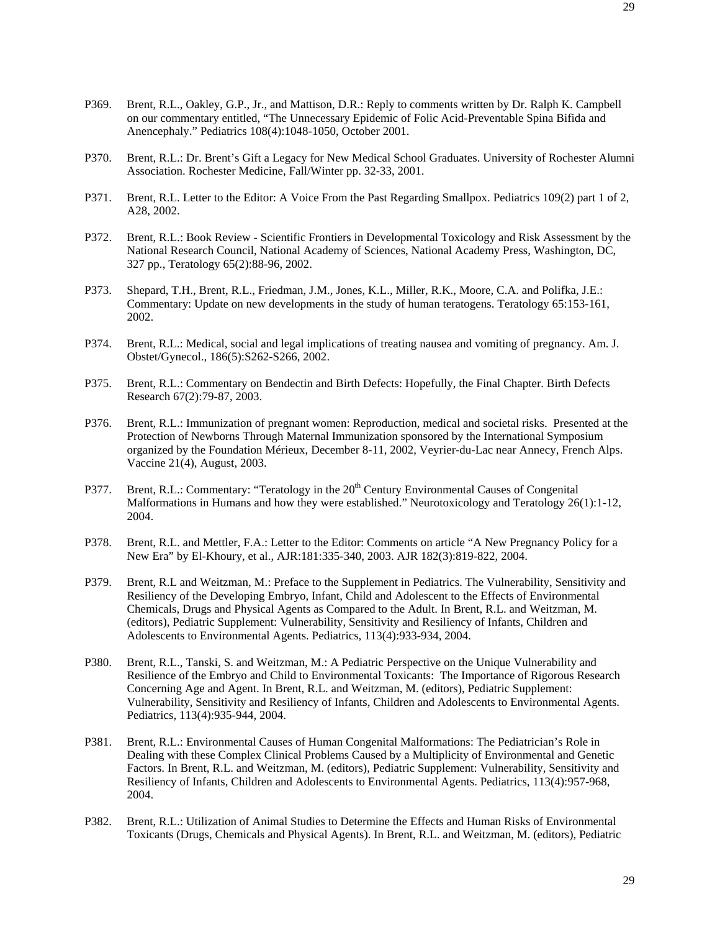- P369. Brent, R.L., Oakley, G.P., Jr., and Mattison, D.R.: Reply to comments written by Dr. Ralph K. Campbell on our commentary entitled, "The Unnecessary Epidemic of Folic Acid-Preventable Spina Bifida and Anencephaly." Pediatrics 108(4):1048-1050, October 2001.
- P370. Brent, R.L.: Dr. Brent's Gift a Legacy for New Medical School Graduates. University of Rochester Alumni Association. Rochester Medicine, Fall/Winter pp. 32-33, 2001.
- P371. Brent, R.L. Letter to the Editor: A Voice From the Past Regarding Smallpox. Pediatrics 109(2) part 1 of 2, A28, 2002.
- P372. Brent, R.L.: Book Review Scientific Frontiers in Developmental Toxicology and Risk Assessment by the National Research Council, National Academy of Sciences, National Academy Press, Washington, DC, 327 pp., Teratology 65(2):88-96, 2002.
- P373. Shepard, T.H., Brent, R.L., Friedman, J.M., Jones, K.L., Miller, R.K., Moore, C.A. and Polifka, J.E.: Commentary: Update on new developments in the study of human teratogens. Teratology 65:153-161, 2002.
- P374. Brent, R.L.: Medical, social and legal implications of treating nausea and vomiting of pregnancy. Am. J. Obstet/Gynecol., 186(5):S262-S266, 2002.
- P375. Brent, R.L.: Commentary on Bendectin and Birth Defects: Hopefully, the Final Chapter. Birth Defects Research 67(2):79-87, 2003.
- P376. Brent, R.L.: Immunization of pregnant women: Reproduction, medical and societal risks. Presented at the Protection of Newborns Through Maternal Immunization sponsored by the International Symposium organized by the Foundation Mérieux, December 8-11, 2002, Veyrier-du-Lac near Annecy, French Alps. Vaccine 21(4), August, 2003.
- P377. Brent, R.L.: Commentary: "Teratology in the 20<sup>th</sup> Century Environmental Causes of Congenital Malformations in Humans and how they were established." Neurotoxicology and Teratology 26(1):1-12, 2004.
- P378. Brent, R.L. and Mettler, F.A.: Letter to the Editor: Comments on article "A New Pregnancy Policy for a New Era" by El-Khoury, et al., AJR:181:335-340, 2003. AJR 182(3):819-822, 2004.
- P379. Brent, R.L and Weitzman, M.: Preface to the Supplement in Pediatrics. The Vulnerability, Sensitivity and Resiliency of the Developing Embryo, Infant, Child and Adolescent to the Effects of Environmental Chemicals, Drugs and Physical Agents as Compared to the Adult. In Brent, R.L. and Weitzman, M. (editors), Pediatric Supplement: Vulnerability, Sensitivity and Resiliency of Infants, Children and Adolescents to Environmental Agents. Pediatrics, 113(4):933-934, 2004.
- P380. Brent, R.L., Tanski, S. and Weitzman, M.: A Pediatric Perspective on the Unique Vulnerability and Resilience of the Embryo and Child to Environmental Toxicants: The Importance of Rigorous Research Concerning Age and Agent. In Brent, R.L. and Weitzman, M. (editors), Pediatric Supplement: Vulnerability, Sensitivity and Resiliency of Infants, Children and Adolescents to Environmental Agents. Pediatrics, 113(4):935-944, 2004.
- P381. Brent, R.L.: Environmental Causes of Human Congenital Malformations: The Pediatrician's Role in Dealing with these Complex Clinical Problems Caused by a Multiplicity of Environmental and Genetic Factors. In Brent, R.L. and Weitzman, M. (editors), Pediatric Supplement: Vulnerability, Sensitivity and Resiliency of Infants, Children and Adolescents to Environmental Agents. Pediatrics, 113(4):957-968, 2004.
- P382. Brent, R.L.: Utilization of Animal Studies to Determine the Effects and Human Risks of Environmental Toxicants (Drugs, Chemicals and Physical Agents). In Brent, R.L. and Weitzman, M. (editors), Pediatric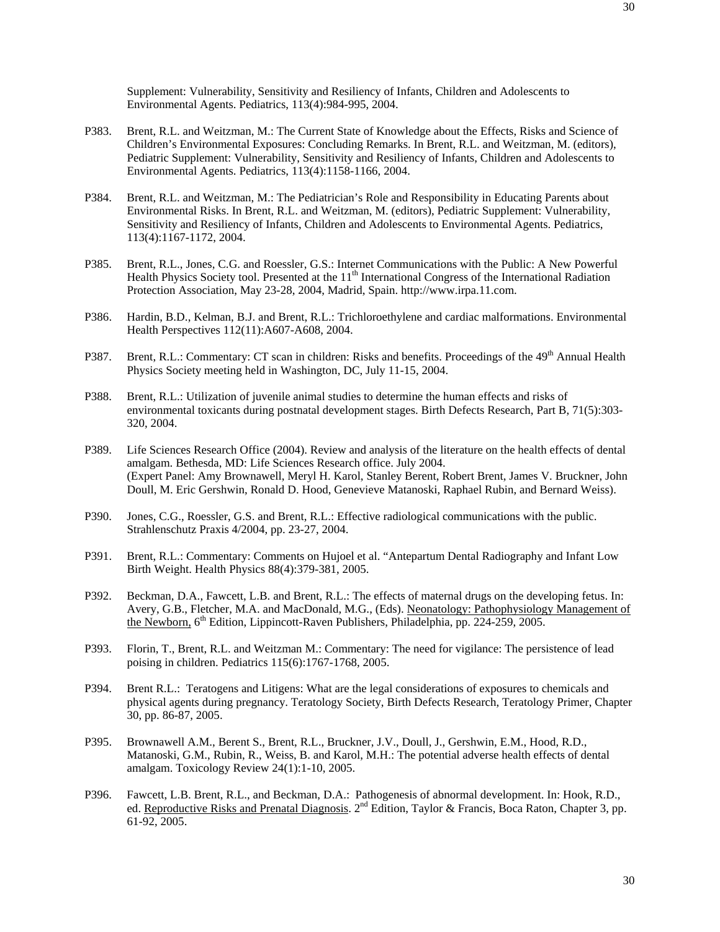Supplement: Vulnerability, Sensitivity and Resiliency of Infants, Children and Adolescents to Environmental Agents. Pediatrics, 113(4):984-995, 2004.

- P383. Brent, R.L. and Weitzman, M.: The Current State of Knowledge about the Effects, Risks and Science of Children's Environmental Exposures: Concluding Remarks. In Brent, R.L. and Weitzman, M. (editors), Pediatric Supplement: Vulnerability, Sensitivity and Resiliency of Infants, Children and Adolescents to Environmental Agents. Pediatrics, 113(4):1158-1166, 2004.
- P384. Brent, R.L. and Weitzman, M.: The Pediatrician's Role and Responsibility in Educating Parents about Environmental Risks. In Brent, R.L. and Weitzman, M. (editors), Pediatric Supplement: Vulnerability, Sensitivity and Resiliency of Infants, Children and Adolescents to Environmental Agents. Pediatrics, 113(4):1167-1172, 2004.
- P385. Brent, R.L., Jones, C.G. and Roessler, G.S.: Internet Communications with the Public: A New Powerful Health Physics Society tool. Presented at the  $11<sup>th</sup>$  International Congress of the International Radiation Protection Association, May 23-28, 2004, Madrid, Spain. http://www.irpa.11.com.
- P386. Hardin, B.D., Kelman, B.J. and Brent, R.L.: Trichloroethylene and cardiac malformations. Environmental Health Perspectives 112(11):A607-A608, 2004.
- P387. Brent, R.L.: Commentary: CT scan in children: Risks and benefits. Proceedings of the 49<sup>th</sup> Annual Health Physics Society meeting held in Washington, DC, July 11-15, 2004.
- P388. Brent, R.L.: Utilization of juvenile animal studies to determine the human effects and risks of environmental toxicants during postnatal development stages. Birth Defects Research, Part B, 71(5):303- 320, 2004.
- P389. Life Sciences Research Office (2004). Review and analysis of the literature on the health effects of dental amalgam. Bethesda, MD: Life Sciences Research office. July 2004. (Expert Panel: Amy Brownawell, Meryl H. Karol, Stanley Berent, Robert Brent, James V. Bruckner, John Doull, M. Eric Gershwin, Ronald D. Hood, Genevieve Matanoski, Raphael Rubin, and Bernard Weiss).
- P390. Jones, C.G., Roessler, G.S. and Brent, R.L.: Effective radiological communications with the public. Strahlenschutz Praxis 4/2004, pp. 23-27, 2004.
- P391. Brent, R.L.: Commentary: Comments on Hujoel et al. "Antepartum Dental Radiography and Infant Low Birth Weight. Health Physics 88(4):379-381, 2005.
- P392. Beckman, D.A., Fawcett, L.B. and Brent, R.L.: The effects of maternal drugs on the developing fetus. In: Avery, G.B., Fletcher, M.A. and MacDonald, M.G., (Eds). Neonatology: Pathophysiology Management of the Newborn, 6<sup>th</sup> Edition, Lippincott-Raven Publishers, Philadelphia, pp. 224-259, 2005.
- P393. Florin, T., Brent, R.L. and Weitzman M.: Commentary: The need for vigilance: The persistence of lead poising in children. Pediatrics 115(6):1767-1768, 2005.
- P394. Brent R.L.: Teratogens and Litigens: What are the legal considerations of exposures to chemicals and physical agents during pregnancy. Teratology Society, Birth Defects Research, Teratology Primer, Chapter 30, pp. 86-87, 2005.
- P395. Brownawell A.M., Berent S., Brent, R.L., Bruckner, J.V., Doull, J., Gershwin, E.M., Hood, R.D., Matanoski, G.M., Rubin, R., Weiss, B. and Karol, M.H.: The potential adverse health effects of dental amalgam. Toxicology Review 24(1):1-10, 2005.
- P396. Fawcett, L.B. Brent, R.L., and Beckman, D.A.: Pathogenesis of abnormal development. In: Hook, R.D., ed. Reproductive Risks and Prenatal Diagnosis. 2<sup>nd</sup> Edition, Taylor & Francis, Boca Raton, Chapter 3, pp. 61-92, 2005.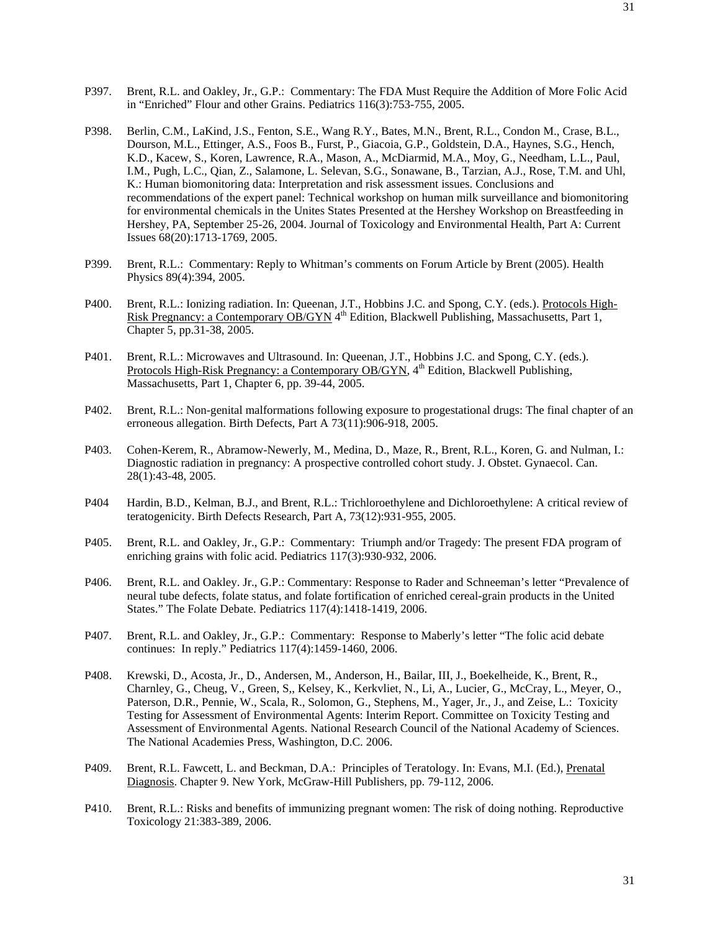- P397. Brent, R.L. and Oakley, Jr., G.P.: Commentary: The FDA Must Require the Addition of More Folic Acid in "Enriched" Flour and other Grains. Pediatrics 116(3):753-755, 2005.
- P398. Berlin, C.M., LaKind, J.S., Fenton, S.E., Wang R.Y., Bates, M.N., Brent, R.L., Condon M., Crase, B.L., Dourson, M.L., Ettinger, A.S., Foos B., Furst, P., Giacoia, G.P., Goldstein, D.A., Haynes, S.G., Hench, K.D., Kacew, S., Koren, Lawrence, R.A., Mason, A., McDiarmid, M.A., Moy, G., Needham, L.L., Paul, I.M., Pugh, L.C., Qian, Z., Salamone, L. Selevan, S.G., Sonawane, B., Tarzian, A.J., Rose, T.M. and Uhl, K.: Human biomonitoring data: Interpretation and risk assessment issues. Conclusions and recommendations of the expert panel: Technical workshop on human milk surveillance and biomonitoring for environmental chemicals in the Unites States Presented at the Hershey Workshop on Breastfeeding in Hershey, PA, September 25-26, 2004. Journal of Toxicology and Environmental Health, Part A: Current Issues 68(20):1713-1769, 2005.
- P399. Brent, R.L.: Commentary: Reply to Whitman's comments on Forum Article by Brent (2005). Health Physics 89(4):394, 2005.
- P400. Brent, R.L.: Ionizing radiation. In: Queenan, J.T., Hobbins J.C. and Spong, C.Y. (eds.). Protocols High-Risk Pregnancy: a Contemporary OB/GYN 4<sup>th</sup> Edition, Blackwell Publishing, Massachusetts, Part 1, Chapter 5, pp.31-38, 2005.
- P401. Brent, R.L.: Microwaves and Ultrasound. In: Queenan, J.T., Hobbins J.C. and Spong, C.Y. (eds.). Protocols High-Risk Pregnancy: a Contemporary OB/GYN, 4<sup>th</sup> Edition, Blackwell Publishing, Massachusetts, Part 1, Chapter 6, pp. 39-44, 2005.
- P402. Brent, R.L.: Non-genital malformations following exposure to progestational drugs: The final chapter of an erroneous allegation. Birth Defects, Part A 73(11):906-918, 2005.
- P403. Cohen-Kerem, R., Abramow-Newerly, M., Medina, D., Maze, R., Brent, R.L., Koren, G. and Nulman, I.: Diagnostic radiation in pregnancy: A prospective controlled cohort study. J. Obstet. Gynaecol. Can. 28(1):43-48, 2005.
- P404 Hardin, B.D., Kelman, B.J., and Brent, R.L.: Trichloroethylene and Dichloroethylene: A critical review of teratogenicity. Birth Defects Research, Part A, 73(12):931-955, 2005.
- P405. Brent, R.L. and Oakley, Jr., G.P.: Commentary: Triumph and/or Tragedy: The present FDA program of enriching grains with folic acid. Pediatrics 117(3):930-932, 2006.
- P406. Brent, R.L. and Oakley. Jr., G.P.: Commentary: Response to Rader and Schneeman's letter "Prevalence of neural tube defects, folate status, and folate fortification of enriched cereal-grain products in the United States." The Folate Debate. Pediatrics 117(4):1418-1419, 2006.
- P407. Brent, R.L. and Oakley, Jr., G.P.: Commentary: Response to Maberly's letter "The folic acid debate continues: In reply." Pediatrics 117(4):1459-1460, 2006.
- P408. Krewski, D., Acosta, Jr., D., Andersen, M., Anderson, H., Bailar, III, J., Boekelheide, K., Brent, R., Charnley, G., Cheug, V., Green, S,, Kelsey, K., Kerkvliet, N., Li, A., Lucier, G., McCray, L., Meyer, O., Paterson, D.R., Pennie, W., Scala, R., Solomon, G., Stephens, M., Yager, Jr., J., and Zeise, L.: Toxicity Testing for Assessment of Environmental Agents: Interim Report. Committee on Toxicity Testing and Assessment of Environmental Agents. National Research Council of the National Academy of Sciences. The National Academies Press, Washington, D.C. 2006.
- P409. Brent, R.L. Fawcett, L. and Beckman, D.A.: Principles of Teratology. In: Evans, M.I. (Ed.), Prenatal Diagnosis. Chapter 9. New York, McGraw-Hill Publishers, pp. 79-112, 2006.
- P410. Brent, R.L.: Risks and benefits of immunizing pregnant women: The risk of doing nothing. Reproductive Toxicology 21:383-389, 2006.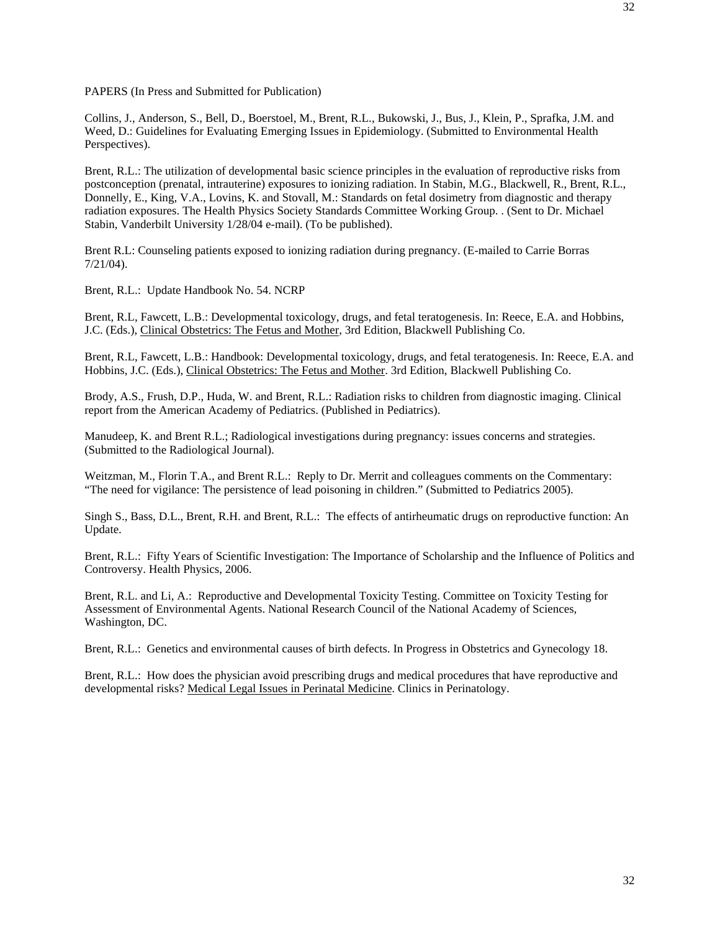PAPERS (In Press and Submitted for Publication)

Collins, J., Anderson, S., Bell, D., Boerstoel, M., Brent, R.L., Bukowski, J., Bus, J., Klein, P., Sprafka, J.M. and Weed, D.: Guidelines for Evaluating Emerging Issues in Epidemiology. (Submitted to Environmental Health Perspectives).

Brent, R.L.: The utilization of developmental basic science principles in the evaluation of reproductive risks from postconception (prenatal, intrauterine) exposures to ionizing radiation. In Stabin, M.G., Blackwell, R., Brent, R.L., Donnelly, E., King, V.A., Lovins, K. and Stovall, M.: Standards on fetal dosimetry from diagnostic and therapy radiation exposures. The Health Physics Society Standards Committee Working Group. . (Sent to Dr. Michael Stabin, Vanderbilt University 1/28/04 e-mail). (To be published).

Brent R.L: Counseling patients exposed to ionizing radiation during pregnancy. (E-mailed to Carrie Borras 7/21/04).

Brent, R.L.: Update Handbook No. 54. NCRP

Brent, R.L, Fawcett, L.B.: Developmental toxicology, drugs, and fetal teratogenesis. In: Reece, E.A. and Hobbins, J.C. (Eds.), Clinical Obstetrics: The Fetus and Mother, 3rd Edition, Blackwell Publishing Co.

Brent, R.L, Fawcett, L.B.: Handbook: Developmental toxicology, drugs, and fetal teratogenesis. In: Reece, E.A. and Hobbins, J.C. (Eds.), Clinical Obstetrics: The Fetus and Mother. 3rd Edition, Blackwell Publishing Co.

Brody, A.S., Frush, D.P., Huda, W. and Brent, R.L.: Radiation risks to children from diagnostic imaging. Clinical report from the American Academy of Pediatrics. (Published in Pediatrics).

Manudeep, K. and Brent R.L.; Radiological investigations during pregnancy: issues concerns and strategies. (Submitted to the Radiological Journal).

Weitzman, M., Florin T.A., and Brent R.L.: Reply to Dr. Merrit and colleagues comments on the Commentary: "The need for vigilance: The persistence of lead poisoning in children." (Submitted to Pediatrics 2005).

Singh S., Bass, D.L., Brent, R.H. and Brent, R.L.: The effects of antirheumatic drugs on reproductive function: An Update.

Brent, R.L.: Fifty Years of Scientific Investigation: The Importance of Scholarship and the Influence of Politics and Controversy. Health Physics, 2006.

Brent, R.L. and Li, A.: Reproductive and Developmental Toxicity Testing. Committee on Toxicity Testing for Assessment of Environmental Agents. National Research Council of the National Academy of Sciences, Washington, DC.

Brent, R.L.: Genetics and environmental causes of birth defects. In Progress in Obstetrics and Gynecology 18.

Brent, R.L.: How does the physician avoid prescribing drugs and medical procedures that have reproductive and developmental risks? Medical Legal Issues in Perinatal Medicine. Clinics in Perinatology.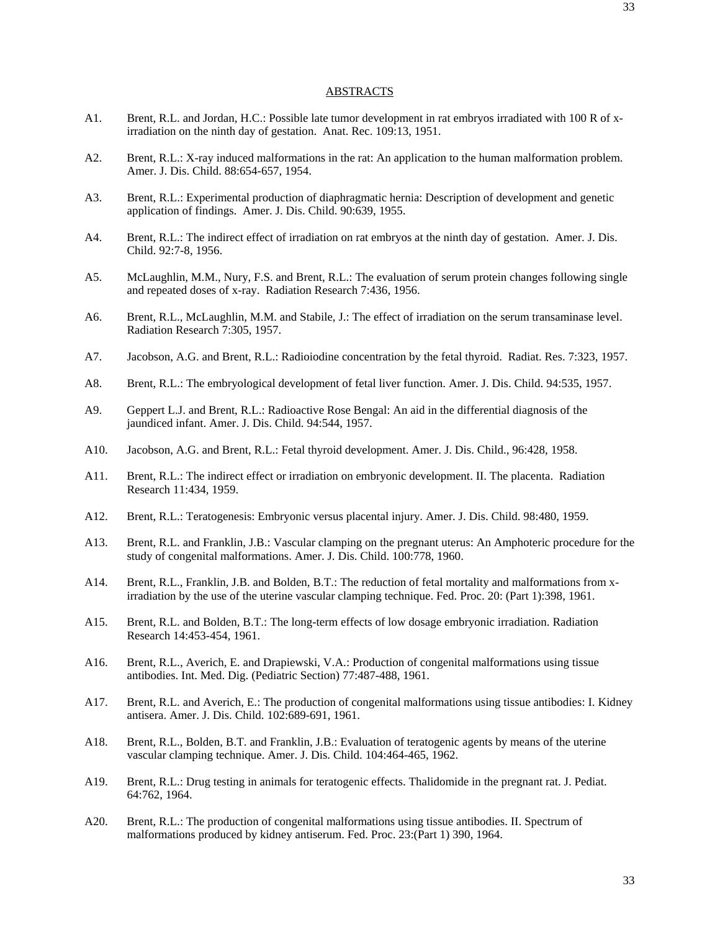### ABSTRACTS

- A1. Brent, R.L. and Jordan, H.C.: Possible late tumor development in rat embryos irradiated with 100 R of xirradiation on the ninth day of gestation. Anat. Rec. 109:13, 1951.
- A2. Brent, R.L.: X-ray induced malformations in the rat: An application to the human malformation problem. Amer. J. Dis. Child. 88:654-657, 1954.
- A3. Brent, R.L.: Experimental production of diaphragmatic hernia: Description of development and genetic application of findings. Amer. J. Dis. Child. 90:639, 1955.
- A4. Brent, R.L.: The indirect effect of irradiation on rat embryos at the ninth day of gestation. Amer. J. Dis. Child. 92:7-8, 1956.
- A5. McLaughlin, M.M., Nury, F.S. and Brent, R.L.: The evaluation of serum protein changes following single and repeated doses of x-ray. Radiation Research 7:436, 1956.
- A6. Brent, R.L., McLaughlin, M.M. and Stabile, J.: The effect of irradiation on the serum transaminase level. Radiation Research 7:305, 1957.
- A7. Jacobson, A.G. and Brent, R.L.: Radioiodine concentration by the fetal thyroid. Radiat. Res. 7:323, 1957.
- A8. Brent, R.L.: The embryological development of fetal liver function. Amer. J. Dis. Child. 94:535, 1957.
- A9. Geppert L.J. and Brent, R.L.: Radioactive Rose Bengal: An aid in the differential diagnosis of the jaundiced infant. Amer. J. Dis. Child. 94:544, 1957.
- A10. Jacobson, A.G. and Brent, R.L.: Fetal thyroid development. Amer. J. Dis. Child., 96:428, 1958.
- A11. Brent, R.L.: The indirect effect or irradiation on embryonic development. II. The placenta. Radiation Research 11:434, 1959.
- A12. Brent, R.L.: Teratogenesis: Embryonic versus placental injury. Amer. J. Dis. Child. 98:480, 1959.
- A13. Brent, R.L. and Franklin, J.B.: Vascular clamping on the pregnant uterus: An Amphoteric procedure for the study of congenital malformations. Amer. J. Dis. Child. 100:778, 1960.
- A14. Brent, R.L., Franklin, J.B. and Bolden, B.T.: The reduction of fetal mortality and malformations from xirradiation by the use of the uterine vascular clamping technique. Fed. Proc. 20: (Part 1):398, 1961.
- A15. Brent, R.L. and Bolden, B.T.: The long-term effects of low dosage embryonic irradiation. Radiation Research 14:453-454, 1961.
- A16. Brent, R.L., Averich, E. and Drapiewski, V.A.: Production of congenital malformations using tissue antibodies. Int. Med. Dig. (Pediatric Section) 77:487-488, 1961.
- A17. Brent, R.L. and Averich, E.: The production of congenital malformations using tissue antibodies: I. Kidney antisera. Amer. J. Dis. Child. 102:689-691, 1961.
- A18. Brent, R.L., Bolden, B.T. and Franklin, J.B.: Evaluation of teratogenic agents by means of the uterine vascular clamping technique. Amer. J. Dis. Child. 104:464-465, 1962.
- A19. Brent, R.L.: Drug testing in animals for teratogenic effects. Thalidomide in the pregnant rat. J. Pediat. 64:762, 1964.
- A20. Brent, R.L.: The production of congenital malformations using tissue antibodies. II. Spectrum of malformations produced by kidney antiserum. Fed. Proc. 23:(Part 1) 390, 1964.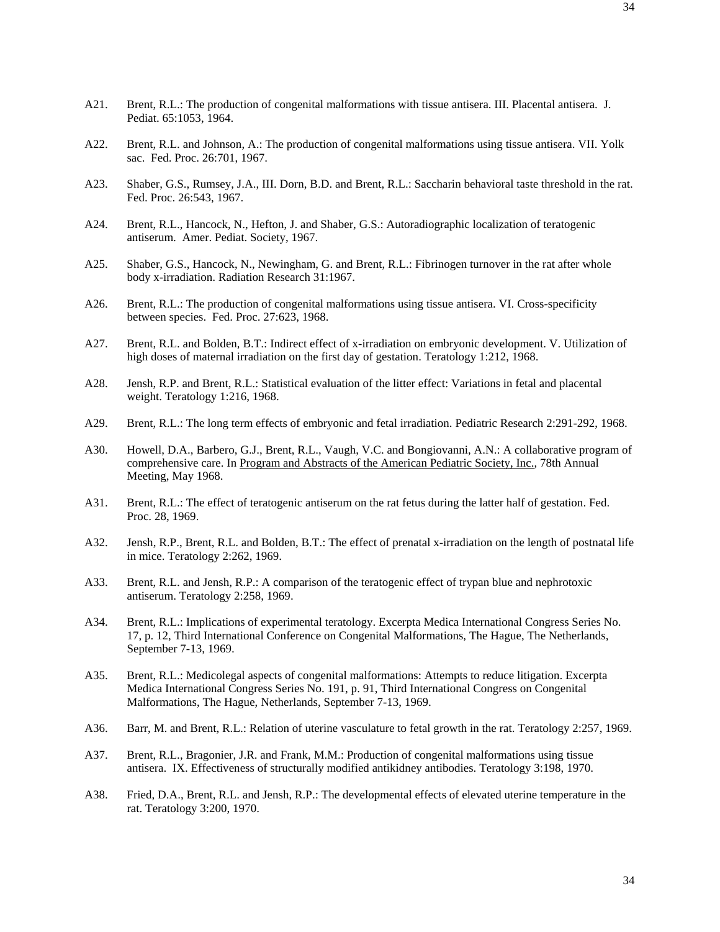- A22. Brent, R.L. and Johnson, A.: The production of congenital malformations using tissue antisera. VII. Yolk sac. Fed. Proc. 26:701, 1967.
- A23. Shaber, G.S., Rumsey, J.A., III. Dorn, B.D. and Brent, R.L.: Saccharin behavioral taste threshold in the rat. Fed. Proc. 26:543, 1967.
- A24. Brent, R.L., Hancock, N., Hefton, J. and Shaber, G.S.: Autoradiographic localization of teratogenic antiserum. Amer. Pediat. Society, 1967.
- A25. Shaber, G.S., Hancock, N., Newingham, G. and Brent, R.L.: Fibrinogen turnover in the rat after whole body x-irradiation. Radiation Research 31:1967.
- A26. Brent, R.L.: The production of congenital malformations using tissue antisera. VI. Cross-specificity between species. Fed. Proc. 27:623, 1968.
- A27. Brent, R.L. and Bolden, B.T.: Indirect effect of x-irradiation on embryonic development. V. Utilization of high doses of maternal irradiation on the first day of gestation. Teratology 1:212, 1968.
- A28. Jensh, R.P. and Brent, R.L.: Statistical evaluation of the litter effect: Variations in fetal and placental weight. Teratology 1:216, 1968.
- A29. Brent, R.L.: The long term effects of embryonic and fetal irradiation. Pediatric Research 2:291-292, 1968.
- A30. Howell, D.A., Barbero, G.J., Brent, R.L., Vaugh, V.C. and Bongiovanni, A.N.: A collaborative program of comprehensive care. In Program and Abstracts of the American Pediatric Society, Inc., 78th Annual Meeting, May 1968.
- A31. Brent, R.L.: The effect of teratogenic antiserum on the rat fetus during the latter half of gestation. Fed. Proc. 28, 1969.
- A32. Jensh, R.P., Brent, R.L. and Bolden, B.T.: The effect of prenatal x-irradiation on the length of postnatal life in mice. Teratology 2:262, 1969.
- A33. Brent, R.L. and Jensh, R.P.: A comparison of the teratogenic effect of trypan blue and nephrotoxic antiserum. Teratology 2:258, 1969.
- A34. Brent, R.L.: Implications of experimental teratology. Excerpta Medica International Congress Series No. 17, p. 12, Third International Conference on Congenital Malformations, The Hague, The Netherlands, September 7-13, 1969.
- A35. Brent, R.L.: Medicolegal aspects of congenital malformations: Attempts to reduce litigation. Excerpta Medica International Congress Series No. 191, p. 91, Third International Congress on Congenital Malformations, The Hague, Netherlands, September 7-13, 1969.
- A36. Barr, M. and Brent, R.L.: Relation of uterine vasculature to fetal growth in the rat. Teratology 2:257, 1969.
- A37. Brent, R.L., Bragonier, J.R. and Frank, M.M.: Production of congenital malformations using tissue antisera. IX. Effectiveness of structurally modified antikidney antibodies. Teratology 3:198, 1970.
- A38. Fried, D.A., Brent, R.L. and Jensh, R.P.: The developmental effects of elevated uterine temperature in the rat. Teratology 3:200, 1970.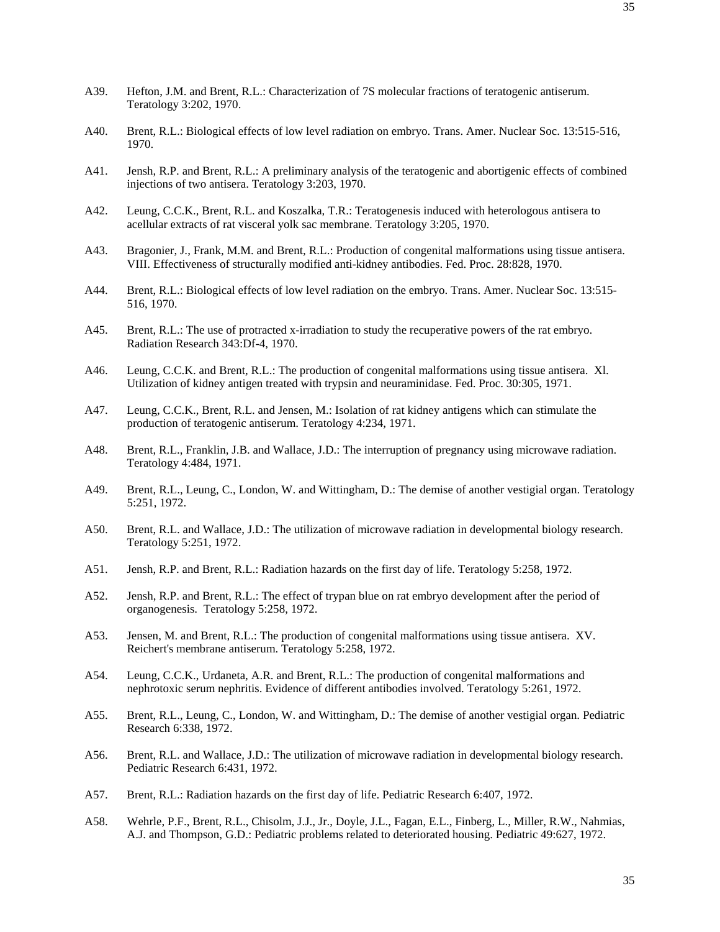- A39. Hefton, J.M. and Brent, R.L.: Characterization of 7S molecular fractions of teratogenic antiserum. Teratology 3:202, 1970.
- A40. Brent, R.L.: Biological effects of low level radiation on embryo. Trans. Amer. Nuclear Soc. 13:515-516, 1970.
- A41. Jensh, R.P. and Brent, R.L.: A preliminary analysis of the teratogenic and abortigenic effects of combined injections of two antisera. Teratology 3:203, 1970.
- A42. Leung, C.C.K., Brent, R.L. and Koszalka, T.R.: Teratogenesis induced with heterologous antisera to acellular extracts of rat visceral yolk sac membrane. Teratology 3:205, 1970.
- A43. Bragonier, J., Frank, M.M. and Brent, R.L.: Production of congenital malformations using tissue antisera. VIII. Effectiveness of structurally modified anti-kidney antibodies. Fed. Proc. 28:828, 1970.
- A44. Brent, R.L.: Biological effects of low level radiation on the embryo. Trans. Amer. Nuclear Soc. 13:515- 516, 1970.
- A45. Brent, R.L.: The use of protracted x-irradiation to study the recuperative powers of the rat embryo. Radiation Research 343:Df-4, 1970.
- A46. Leung, C.C.K. and Brent, R.L.: The production of congenital malformations using tissue antisera. Xl. Utilization of kidney antigen treated with trypsin and neuraminidase. Fed. Proc. 30:305, 1971.
- A47. Leung, C.C.K., Brent, R.L. and Jensen, M.: Isolation of rat kidney antigens which can stimulate the production of teratogenic antiserum. Teratology 4:234, 1971.
- A48. Brent, R.L., Franklin, J.B. and Wallace, J.D.: The interruption of pregnancy using microwave radiation. Teratology 4:484, 1971.
- A49. Brent, R.L., Leung, C., London, W. and Wittingham, D.: The demise of another vestigial organ. Teratology 5:251, 1972.
- A50. Brent, R.L. and Wallace, J.D.: The utilization of microwave radiation in developmental biology research. Teratology 5:251, 1972.
- A51. Jensh, R.P. and Brent, R.L.: Radiation hazards on the first day of life. Teratology 5:258, 1972.
- A52. Jensh, R.P. and Brent, R.L.: The effect of trypan blue on rat embryo development after the period of organogenesis. Teratology 5:258, 1972.
- A53. Jensen, M. and Brent, R.L.: The production of congenital malformations using tissue antisera. XV. Reichert's membrane antiserum. Teratology 5:258, 1972.
- A54. Leung, C.C.K., Urdaneta, A.R. and Brent, R.L.: The production of congenital malformations and nephrotoxic serum nephritis. Evidence of different antibodies involved. Teratology 5:261, 1972.
- A55. Brent, R.L., Leung, C., London, W. and Wittingham, D.: The demise of another vestigial organ. Pediatric Research 6:338, 1972.
- A56. Brent, R.L. and Wallace, J.D.: The utilization of microwave radiation in developmental biology research. Pediatric Research 6:431, 1972.
- A57. Brent, R.L.: Radiation hazards on the first day of life. Pediatric Research 6:407, 1972.
- A58. Wehrle, P.F., Brent, R.L., Chisolm, J.J., Jr., Doyle, J.L., Fagan, E.L., Finberg, L., Miller, R.W., Nahmias, A.J. and Thompson, G.D.: Pediatric problems related to deteriorated housing. Pediatric 49:627, 1972.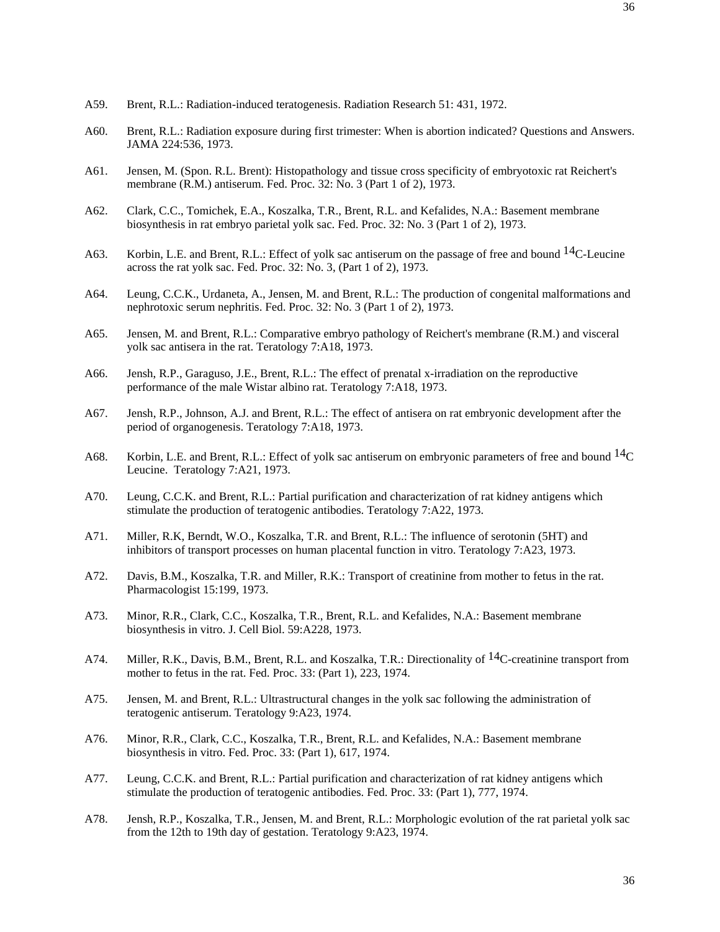- A59. Brent, R.L.: Radiation-induced teratogenesis. Radiation Research 51: 431, 1972.
- A60. Brent, R.L.: Radiation exposure during first trimester: When is abortion indicated? Questions and Answers. JAMA 224:536, 1973.
- A61. Jensen, M. (Spon. R.L. Brent): Histopathology and tissue cross specificity of embryotoxic rat Reichert's membrane (R.M.) antiserum. Fed. Proc. 32: No. 3 (Part 1 of 2), 1973.
- A62. Clark, C.C., Tomichek, E.A., Koszalka, T.R., Brent, R.L. and Kefalides, N.A.: Basement membrane biosynthesis in rat embryo parietal yolk sac. Fed. Proc. 32: No. 3 (Part 1 of 2), 1973.
- A63. Korbin, L.E. and Brent, R.L.: Effect of yolk sac antiserum on the passage of free and bound <sup>14</sup>C-Leucine across the rat yolk sac. Fed. Proc. 32: No. 3, (Part 1 of 2), 1973.
- A64. Leung, C.C.K., Urdaneta, A., Jensen, M. and Brent, R.L.: The production of congenital malformations and nephrotoxic serum nephritis. Fed. Proc. 32: No. 3 (Part 1 of 2), 1973.
- A65. Jensen, M. and Brent, R.L.: Comparative embryo pathology of Reichert's membrane (R.M.) and visceral yolk sac antisera in the rat. Teratology 7:A18, 1973.
- A66. Jensh, R.P., Garaguso, J.E., Brent, R.L.: The effect of prenatal x-irradiation on the reproductive performance of the male Wistar albino rat. Teratology 7:A18, 1973.
- A67. Jensh, R.P., Johnson, A.J. and Brent, R.L.: The effect of antisera on rat embryonic development after the period of organogenesis. Teratology 7:A18, 1973.
- A68. Korbin, L.E. and Brent, R.L.: Effect of yolk sac antiserum on embryonic parameters of free and bound <sup>14</sup>C Leucine. Teratology 7:A21, 1973.
- A70. Leung, C.C.K. and Brent, R.L.: Partial purification and characterization of rat kidney antigens which stimulate the production of teratogenic antibodies. Teratology 7:A22, 1973.
- A71. Miller, R.K, Berndt, W.O., Koszalka, T.R. and Brent, R.L.: The influence of serotonin (5HT) and inhibitors of transport processes on human placental function in vitro. Teratology 7:A23, 1973.
- A72. Davis, B.M., Koszalka, T.R. and Miller, R.K.: Transport of creatinine from mother to fetus in the rat. Pharmacologist 15:199, 1973.
- A73. Minor, R.R., Clark, C.C., Koszalka, T.R., Brent, R.L. and Kefalides, N.A.: Basement membrane biosynthesis in vitro. J. Cell Biol. 59:A228, 1973.
- A74. Miller, R.K., Davis, B.M., Brent, R.L. and Koszalka, T.R.: Directionality of <sup>14</sup>C-creatinine transport from mother to fetus in the rat. Fed. Proc. 33: (Part 1), 223, 1974.
- A75. Jensen, M. and Brent, R.L.: Ultrastructural changes in the yolk sac following the administration of teratogenic antiserum. Teratology 9:A23, 1974.
- A76. Minor, R.R., Clark, C.C., Koszalka, T.R., Brent, R.L. and Kefalides, N.A.: Basement membrane biosynthesis in vitro. Fed. Proc. 33: (Part 1), 617, 1974.
- A77. Leung, C.C.K. and Brent, R.L.: Partial purification and characterization of rat kidney antigens which stimulate the production of teratogenic antibodies. Fed. Proc. 33: (Part 1), 777, 1974.
- A78. Jensh, R.P., Koszalka, T.R., Jensen, M. and Brent, R.L.: Morphologic evolution of the rat parietal yolk sac from the 12th to 19th day of gestation. Teratology 9:A23, 1974.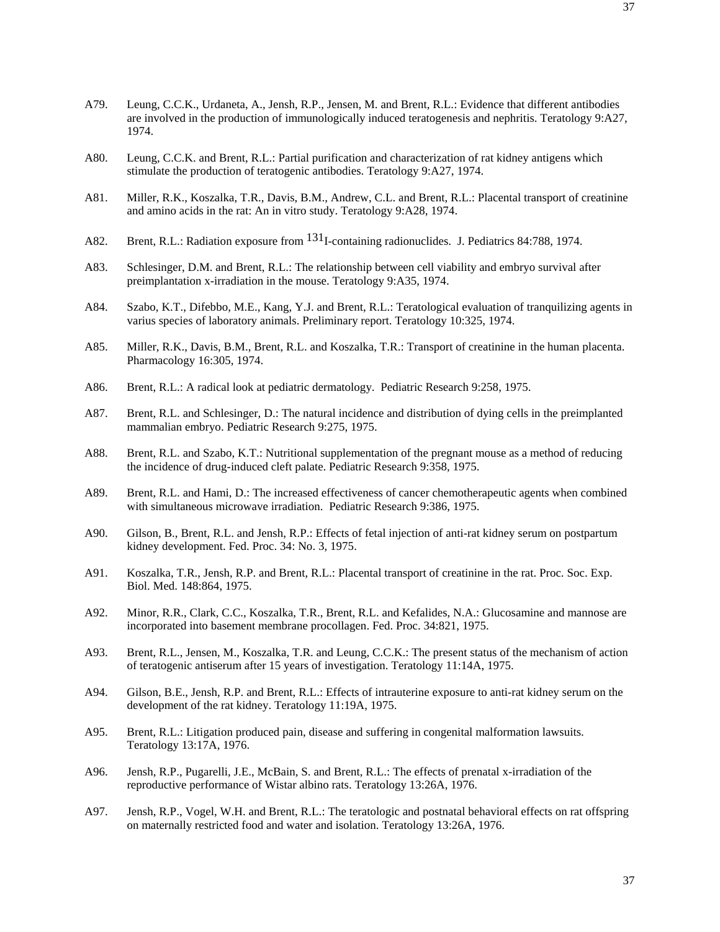- A79. Leung, C.C.K., Urdaneta, A., Jensh, R.P., Jensen, M. and Brent, R.L.: Evidence that different antibodies are involved in the production of immunologically induced teratogenesis and nephritis. Teratology 9:A27, 1974.
- A80. Leung, C.C.K. and Brent, R.L.: Partial purification and characterization of rat kidney antigens which stimulate the production of teratogenic antibodies. Teratology 9:A27, 1974.
- A81. Miller, R.K., Koszalka, T.R., Davis, B.M., Andrew, C.L. and Brent, R.L.: Placental transport of creatinine and amino acids in the rat: An in vitro study. Teratology 9:A28, 1974.
- A82. Brent, R.L.: Radiation exposure from <sup>131</sup>I-containing radionuclides. J. Pediatrics 84:788, 1974.
- A83. Schlesinger, D.M. and Brent, R.L.: The relationship between cell viability and embryo survival after preimplantation x-irradiation in the mouse. Teratology 9:A35, 1974.
- A84. Szabo, K.T., Difebbo, M.E., Kang, Y.J. and Brent, R.L.: Teratological evaluation of tranquilizing agents in varius species of laboratory animals. Preliminary report. Teratology 10:325, 1974.
- A85. Miller, R.K., Davis, B.M., Brent, R.L. and Koszalka, T.R.: Transport of creatinine in the human placenta. Pharmacology 16:305, 1974.
- A86. Brent, R.L.: A radical look at pediatric dermatology. Pediatric Research 9:258, 1975.
- A87. Brent, R.L. and Schlesinger, D.: The natural incidence and distribution of dying cells in the preimplanted mammalian embryo. Pediatric Research 9:275, 1975.
- A88. Brent, R.L. and Szabo, K.T.: Nutritional supplementation of the pregnant mouse as a method of reducing the incidence of drug-induced cleft palate. Pediatric Research 9:358, 1975.
- A89. Brent, R.L. and Hami, D.: The increased effectiveness of cancer chemotherapeutic agents when combined with simultaneous microwave irradiation. Pediatric Research 9:386, 1975.
- A90. Gilson, B., Brent, R.L. and Jensh, R.P.: Effects of fetal injection of anti-rat kidney serum on postpartum kidney development. Fed. Proc. 34: No. 3, 1975.
- A91. Koszalka, T.R., Jensh, R.P. and Brent, R.L.: Placental transport of creatinine in the rat. Proc. Soc. Exp. Biol. Med. 148:864, 1975.
- A92. Minor, R.R., Clark, C.C., Koszalka, T.R., Brent, R.L. and Kefalides, N.A.: Glucosamine and mannose are incorporated into basement membrane procollagen. Fed. Proc. 34:821, 1975.
- A93. Brent, R.L., Jensen, M., Koszalka, T.R. and Leung, C.C.K.: The present status of the mechanism of action of teratogenic antiserum after 15 years of investigation. Teratology 11:14A, 1975.
- A94. Gilson, B.E., Jensh, R.P. and Brent, R.L.: Effects of intrauterine exposure to anti-rat kidney serum on the development of the rat kidney. Teratology 11:19A, 1975.
- A95. Brent, R.L.: Litigation produced pain, disease and suffering in congenital malformation lawsuits. Teratology 13:17A, 1976.
- A96. Jensh, R.P., Pugarelli, J.E., McBain, S. and Brent, R.L.: The effects of prenatal x-irradiation of the reproductive performance of Wistar albino rats. Teratology 13:26A, 1976.
- A97. Jensh, R.P., Vogel, W.H. and Brent, R.L.: The teratologic and postnatal behavioral effects on rat offspring on maternally restricted food and water and isolation. Teratology 13:26A, 1976.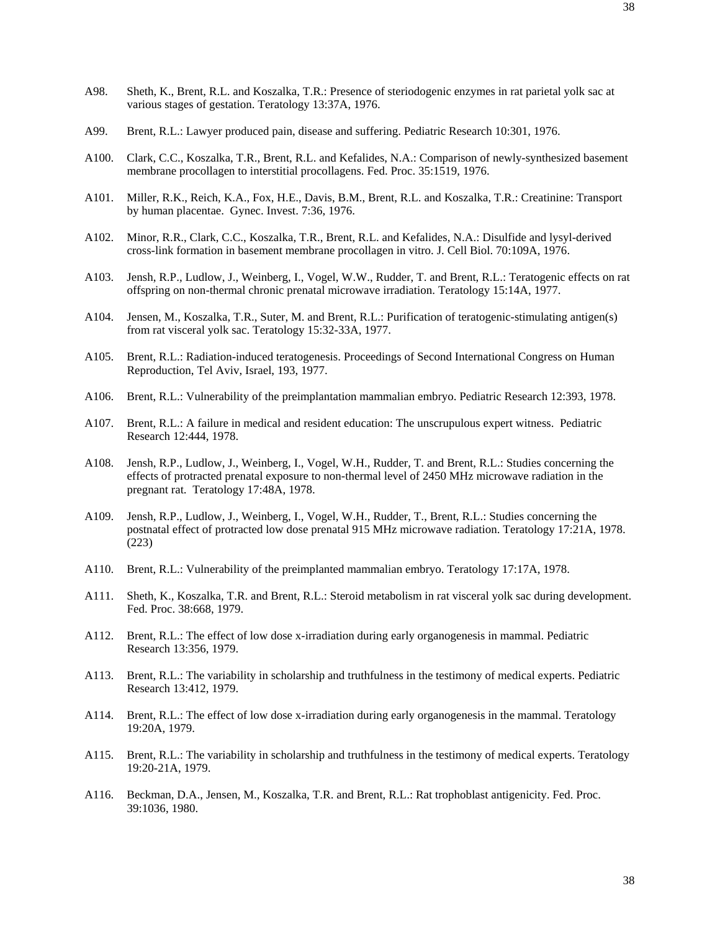- A98. Sheth, K., Brent, R.L. and Koszalka, T.R.: Presence of steriodogenic enzymes in rat parietal yolk sac at various stages of gestation. Teratology 13:37A, 1976.
- A99. Brent, R.L.: Lawyer produced pain, disease and suffering. Pediatric Research 10:301, 1976.
- A100. Clark, C.C., Koszalka, T.R., Brent, R.L. and Kefalides, N.A.: Comparison of newly-synthesized basement membrane procollagen to interstitial procollagens. Fed. Proc. 35:1519, 1976.
- A101. Miller, R.K., Reich, K.A., Fox, H.E., Davis, B.M., Brent, R.L. and Koszalka, T.R.: Creatinine: Transport by human placentae. Gynec. Invest. 7:36, 1976.
- A102. Minor, R.R., Clark, C.C., Koszalka, T.R., Brent, R.L. and Kefalides, N.A.: Disulfide and lysyl-derived cross-link formation in basement membrane procollagen in vitro. J. Cell Biol. 70:109A, 1976.
- A103. Jensh, R.P., Ludlow, J., Weinberg, I., Vogel, W.W., Rudder, T. and Brent, R.L.: Teratogenic effects on rat offspring on non-thermal chronic prenatal microwave irradiation. Teratology 15:14A, 1977.
- A104. Jensen, M., Koszalka, T.R., Suter, M. and Brent, R.L.: Purification of teratogenic-stimulating antigen(s) from rat visceral yolk sac. Teratology 15:32-33A, 1977.
- A105. Brent, R.L.: Radiation-induced teratogenesis. Proceedings of Second International Congress on Human Reproduction, Tel Aviv, Israel, 193, 1977.
- A106. Brent, R.L.: Vulnerability of the preimplantation mammalian embryo. Pediatric Research 12:393, 1978.
- A107. Brent, R.L.: A failure in medical and resident education: The unscrupulous expert witness. Pediatric Research 12:444, 1978.
- A108. Jensh, R.P., Ludlow, J., Weinberg, I., Vogel, W.H., Rudder, T. and Brent, R.L.: Studies concerning the effects of protracted prenatal exposure to non-thermal level of 2450 MHz microwave radiation in the pregnant rat. Teratology 17:48A, 1978.
- A109. Jensh, R.P., Ludlow, J., Weinberg, I., Vogel, W.H., Rudder, T., Brent, R.L.: Studies concerning the postnatal effect of protracted low dose prenatal 915 MHz microwave radiation. Teratology 17:21A, 1978. (223)
- A110. Brent, R.L.: Vulnerability of the preimplanted mammalian embryo. Teratology 17:17A, 1978.
- A111. Sheth, K., Koszalka, T.R. and Brent, R.L.: Steroid metabolism in rat visceral yolk sac during development. Fed. Proc. 38:668, 1979.
- A112. Brent, R.L.: The effect of low dose x-irradiation during early organogenesis in mammal. Pediatric Research 13:356, 1979.
- A113. Brent, R.L.: The variability in scholarship and truthfulness in the testimony of medical experts. Pediatric Research 13:412, 1979.
- A114. Brent, R.L.: The effect of low dose x-irradiation during early organogenesis in the mammal. Teratology 19:20A, 1979.
- A115. Brent, R.L.: The variability in scholarship and truthfulness in the testimony of medical experts. Teratology 19:20-21A, 1979.
- A116. Beckman, D.A., Jensen, M., Koszalka, T.R. and Brent, R.L.: Rat trophoblast antigenicity. Fed. Proc. 39:1036, 1980.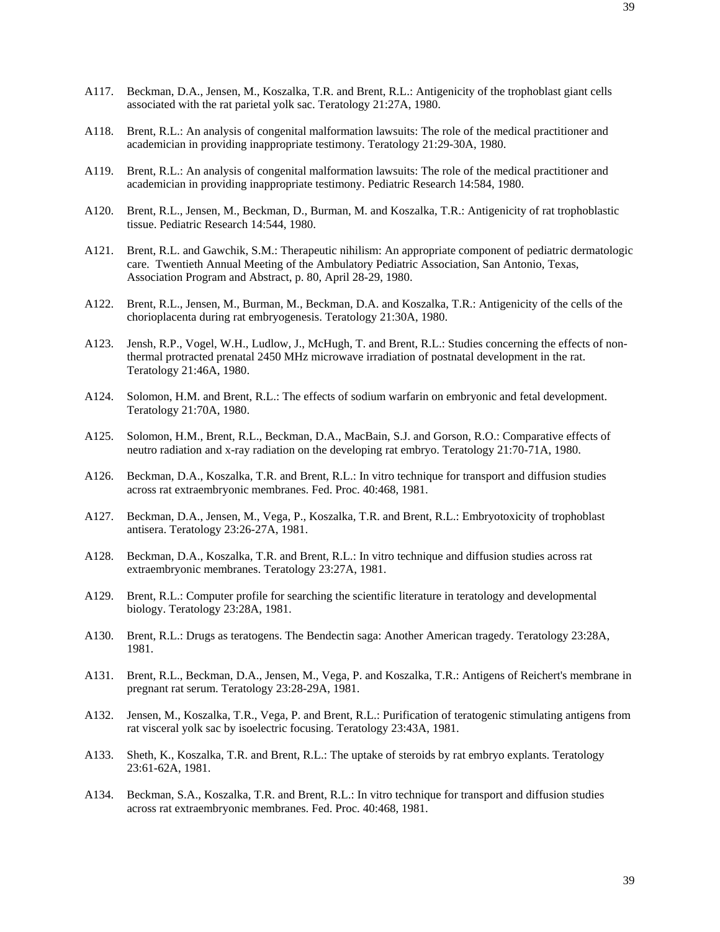- A117. Beckman, D.A., Jensen, M., Koszalka, T.R. and Brent, R.L.: Antigenicity of the trophoblast giant cells associated with the rat parietal yolk sac. Teratology 21:27A, 1980.
- A118. Brent, R.L.: An analysis of congenital malformation lawsuits: The role of the medical practitioner and academician in providing inappropriate testimony. Teratology 21:29-30A, 1980.
- A119. Brent, R.L.: An analysis of congenital malformation lawsuits: The role of the medical practitioner and academician in providing inappropriate testimony. Pediatric Research 14:584, 1980.
- A120. Brent, R.L., Jensen, M., Beckman, D., Burman, M. and Koszalka, T.R.: Antigenicity of rat trophoblastic tissue. Pediatric Research 14:544, 1980.
- A121. Brent, R.L. and Gawchik, S.M.: Therapeutic nihilism: An appropriate component of pediatric dermatologic care. Twentieth Annual Meeting of the Ambulatory Pediatric Association, San Antonio, Texas, Association Program and Abstract, p. 80, April 28-29, 1980.
- A122. Brent, R.L., Jensen, M., Burman, M., Beckman, D.A. and Koszalka, T.R.: Antigenicity of the cells of the chorioplacenta during rat embryogenesis. Teratology 21:30A, 1980.
- A123. Jensh, R.P., Vogel, W.H., Ludlow, J., McHugh, T. and Brent, R.L.: Studies concerning the effects of nonthermal protracted prenatal 2450 MHz microwave irradiation of postnatal development in the rat. Teratology 21:46A, 1980.
- A124. Solomon, H.M. and Brent, R.L.: The effects of sodium warfarin on embryonic and fetal development. Teratology 21:70A, 1980.
- A125. Solomon, H.M., Brent, R.L., Beckman, D.A., MacBain, S.J. and Gorson, R.O.: Comparative effects of neutro radiation and x-ray radiation on the developing rat embryo. Teratology 21:70-71A, 1980.
- A126. Beckman, D.A., Koszalka, T.R. and Brent, R.L.: In vitro technique for transport and diffusion studies across rat extraembryonic membranes. Fed. Proc. 40:468, 1981.
- A127. Beckman, D.A., Jensen, M., Vega, P., Koszalka, T.R. and Brent, R.L.: Embryotoxicity of trophoblast antisera. Teratology 23:26-27A, 1981.
- A128. Beckman, D.A., Koszalka, T.R. and Brent, R.L.: In vitro technique and diffusion studies across rat extraembryonic membranes. Teratology 23:27A, 1981.
- A129. Brent, R.L.: Computer profile for searching the scientific literature in teratology and developmental biology. Teratology 23:28A, 1981.
- A130. Brent, R.L.: Drugs as teratogens. The Bendectin saga: Another American tragedy. Teratology 23:28A, 1981.
- A131. Brent, R.L., Beckman, D.A., Jensen, M., Vega, P. and Koszalka, T.R.: Antigens of Reichert's membrane in pregnant rat serum. Teratology 23:28-29A, 1981.
- A132. Jensen, M., Koszalka, T.R., Vega, P. and Brent, R.L.: Purification of teratogenic stimulating antigens from rat visceral yolk sac by isoelectric focusing. Teratology 23:43A, 1981.
- A133. Sheth, K., Koszalka, T.R. and Brent, R.L.: The uptake of steroids by rat embryo explants. Teratology 23:61-62A, 1981.
- A134. Beckman, S.A., Koszalka, T.R. and Brent, R.L.: In vitro technique for transport and diffusion studies across rat extraembryonic membranes. Fed. Proc. 40:468, 1981.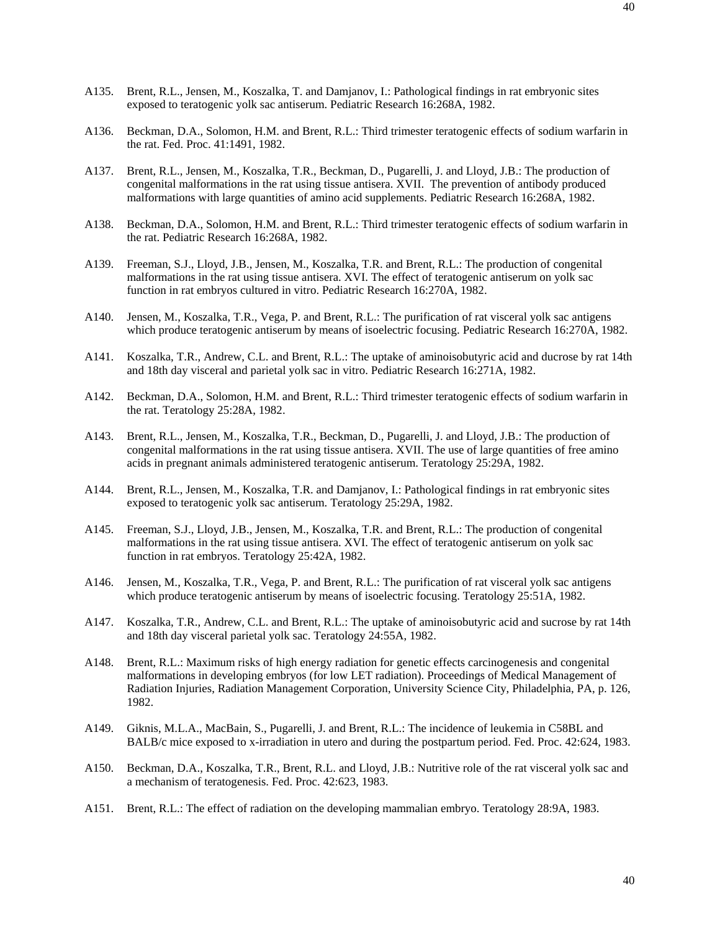- A135. Brent, R.L., Jensen, M., Koszalka, T. and Damjanov, I.: Pathological findings in rat embryonic sites exposed to teratogenic yolk sac antiserum. Pediatric Research 16:268A, 1982.
- A136. Beckman, D.A., Solomon, H.M. and Brent, R.L.: Third trimester teratogenic effects of sodium warfarin in the rat. Fed. Proc. 41:1491, 1982.
- A137. Brent, R.L., Jensen, M., Koszalka, T.R., Beckman, D., Pugarelli, J. and Lloyd, J.B.: The production of congenital malformations in the rat using tissue antisera. XVII. The prevention of antibody produced malformations with large quantities of amino acid supplements. Pediatric Research 16:268A, 1982.
- A138. Beckman, D.A., Solomon, H.M. and Brent, R.L.: Third trimester teratogenic effects of sodium warfarin in the rat. Pediatric Research 16:268A, 1982.
- A139. Freeman, S.J., Lloyd, J.B., Jensen, M., Koszalka, T.R. and Brent, R.L.: The production of congenital malformations in the rat using tissue antisera. XVI. The effect of teratogenic antiserum on yolk sac function in rat embryos cultured in vitro. Pediatric Research 16:270A, 1982.
- A140. Jensen, M., Koszalka, T.R., Vega, P. and Brent, R.L.: The purification of rat visceral yolk sac antigens which produce teratogenic antiserum by means of isoelectric focusing. Pediatric Research 16:270A, 1982.
- A141. Koszalka, T.R., Andrew, C.L. and Brent, R.L.: The uptake of aminoisobutyric acid and ducrose by rat 14th and 18th day visceral and parietal yolk sac in vitro. Pediatric Research 16:271A, 1982.
- A142. Beckman, D.A., Solomon, H.M. and Brent, R.L.: Third trimester teratogenic effects of sodium warfarin in the rat. Teratology 25:28A, 1982.
- A143. Brent, R.L., Jensen, M., Koszalka, T.R., Beckman, D., Pugarelli, J. and Lloyd, J.B.: The production of congenital malformations in the rat using tissue antisera. XVII. The use of large quantities of free amino acids in pregnant animals administered teratogenic antiserum. Teratology 25:29A, 1982.
- A144. Brent, R.L., Jensen, M., Koszalka, T.R. and Damjanov, I.: Pathological findings in rat embryonic sites exposed to teratogenic yolk sac antiserum. Teratology 25:29A, 1982.
- A145. Freeman, S.J., Lloyd, J.B., Jensen, M., Koszalka, T.R. and Brent, R.L.: The production of congenital malformations in the rat using tissue antisera. XVI. The effect of teratogenic antiserum on yolk sac function in rat embryos. Teratology 25:42A, 1982.
- A146. Jensen, M., Koszalka, T.R., Vega, P. and Brent, R.L.: The purification of rat visceral yolk sac antigens which produce teratogenic antiserum by means of isoelectric focusing. Teratology 25:51A, 1982.
- A147. Koszalka, T.R., Andrew, C.L. and Brent, R.L.: The uptake of aminoisobutyric acid and sucrose by rat 14th and 18th day visceral parietal yolk sac. Teratology 24:55A, 1982.
- A148. Brent, R.L.: Maximum risks of high energy radiation for genetic effects carcinogenesis and congenital malformations in developing embryos (for low LET radiation). Proceedings of Medical Management of Radiation Injuries, Radiation Management Corporation, University Science City, Philadelphia, PA, p. 126, 1982.
- A149. Giknis, M.L.A., MacBain, S., Pugarelli, J. and Brent, R.L.: The incidence of leukemia in C58BL and BALB/c mice exposed to x-irradiation in utero and during the postpartum period. Fed. Proc. 42:624, 1983.
- A150. Beckman, D.A., Koszalka, T.R., Brent, R.L. and Lloyd, J.B.: Nutritive role of the rat visceral yolk sac and a mechanism of teratogenesis. Fed. Proc. 42:623, 1983.
- A151. Brent, R.L.: The effect of radiation on the developing mammalian embryo. Teratology 28:9A, 1983.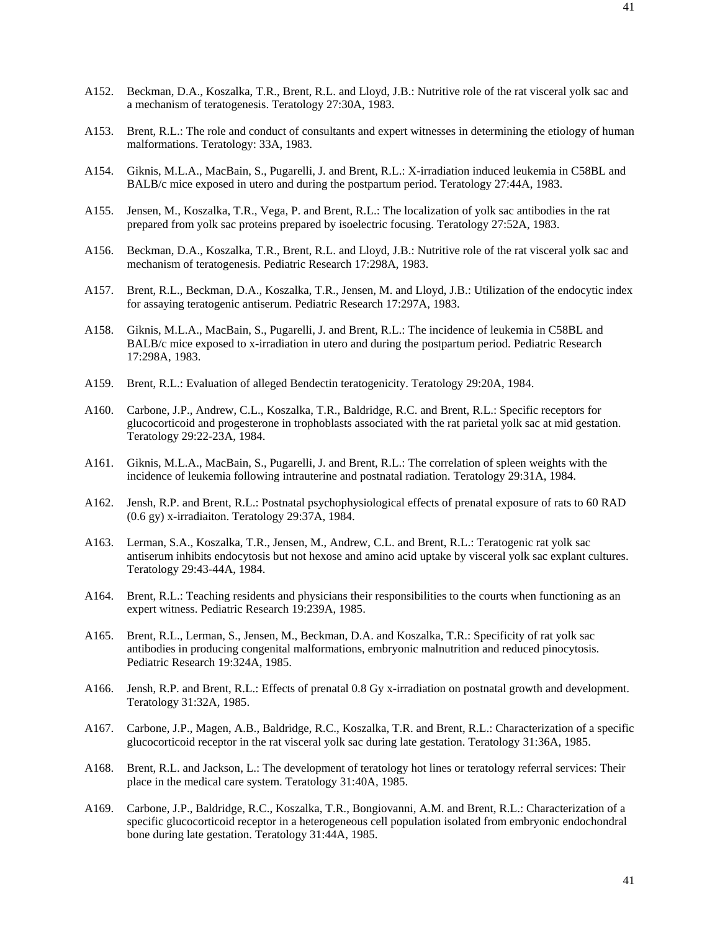- A152. Beckman, D.A., Koszalka, T.R., Brent, R.L. and Lloyd, J.B.: Nutritive role of the rat visceral yolk sac and a mechanism of teratogenesis. Teratology 27:30A, 1983.
- A153. Brent, R.L.: The role and conduct of consultants and expert witnesses in determining the etiology of human malformations. Teratology: 33A, 1983.
- A154. Giknis, M.L.A., MacBain, S., Pugarelli, J. and Brent, R.L.: X-irradiation induced leukemia in C58BL and BALB/c mice exposed in utero and during the postpartum period. Teratology 27:44A, 1983.
- A155. Jensen, M., Koszalka, T.R., Vega, P. and Brent, R.L.: The localization of yolk sac antibodies in the rat prepared from yolk sac proteins prepared by isoelectric focusing. Teratology 27:52A, 1983.
- A156. Beckman, D.A., Koszalka, T.R., Brent, R.L. and Lloyd, J.B.: Nutritive role of the rat visceral yolk sac and mechanism of teratogenesis. Pediatric Research 17:298A, 1983.
- A157. Brent, R.L., Beckman, D.A., Koszalka, T.R., Jensen, M. and Lloyd, J.B.: Utilization of the endocytic index for assaying teratogenic antiserum. Pediatric Research 17:297A, 1983.
- A158. Giknis, M.L.A., MacBain, S., Pugarelli, J. and Brent, R.L.: The incidence of leukemia in C58BL and BALB/c mice exposed to x-irradiation in utero and during the postpartum period. Pediatric Research 17:298A, 1983.
- A159. Brent, R.L.: Evaluation of alleged Bendectin teratogenicity. Teratology 29:20A, 1984.
- A160. Carbone, J.P., Andrew, C.L., Koszalka, T.R., Baldridge, R.C. and Brent, R.L.: Specific receptors for glucocorticoid and progesterone in trophoblasts associated with the rat parietal yolk sac at mid gestation. Teratology 29:22-23A, 1984.
- A161. Giknis, M.L.A., MacBain, S., Pugarelli, J. and Brent, R.L.: The correlation of spleen weights with the incidence of leukemia following intrauterine and postnatal radiation. Teratology 29:31A, 1984.
- A162. Jensh, R.P. and Brent, R.L.: Postnatal psychophysiological effects of prenatal exposure of rats to 60 RAD (0.6 gy) x-irradiaiton. Teratology 29:37A, 1984.
- A163. Lerman, S.A., Koszalka, T.R., Jensen, M., Andrew, C.L. and Brent, R.L.: Teratogenic rat yolk sac antiserum inhibits endocytosis but not hexose and amino acid uptake by visceral yolk sac explant cultures. Teratology 29:43-44A, 1984.
- A164. Brent, R.L.: Teaching residents and physicians their responsibilities to the courts when functioning as an expert witness. Pediatric Research 19:239A, 1985.
- A165. Brent, R.L., Lerman, S., Jensen, M., Beckman, D.A. and Koszalka, T.R.: Specificity of rat yolk sac antibodies in producing congenital malformations, embryonic malnutrition and reduced pinocytosis. Pediatric Research 19:324A, 1985.
- A166. Jensh, R.P. and Brent, R.L.: Effects of prenatal 0.8 Gy x-irradiation on postnatal growth and development. Teratology 31:32A, 1985.
- A167. Carbone, J.P., Magen, A.B., Baldridge, R.C., Koszalka, T.R. and Brent, R.L.: Characterization of a specific glucocorticoid receptor in the rat visceral yolk sac during late gestation. Teratology 31:36A, 1985.
- A168. Brent, R.L. and Jackson, L.: The development of teratology hot lines or teratology referral services: Their place in the medical care system. Teratology 31:40A, 1985.
- A169. Carbone, J.P., Baldridge, R.C., Koszalka, T.R., Bongiovanni, A.M. and Brent, R.L.: Characterization of a specific glucocorticoid receptor in a heterogeneous cell population isolated from embryonic endochondral bone during late gestation. Teratology 31:44A, 1985.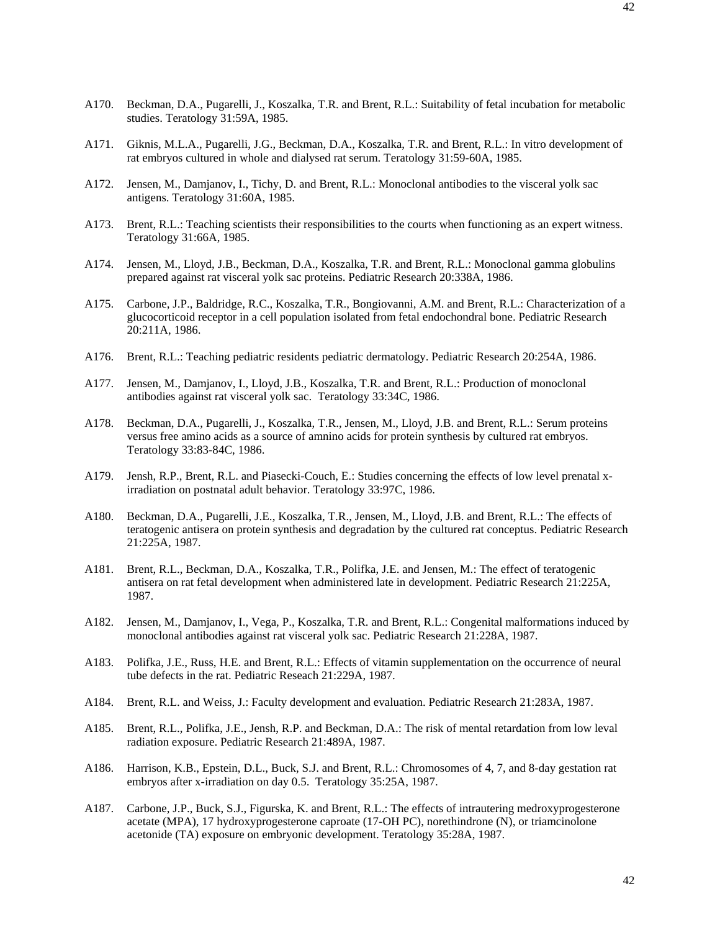- A170. Beckman, D.A., Pugarelli, J., Koszalka, T.R. and Brent, R.L.: Suitability of fetal incubation for metabolic studies. Teratology 31:59A, 1985.
- A171. Giknis, M.L.A., Pugarelli, J.G., Beckman, D.A., Koszalka, T.R. and Brent, R.L.: In vitro development of rat embryos cultured in whole and dialysed rat serum. Teratology 31:59-60A, 1985.
- A172. Jensen, M., Damjanov, I., Tichy, D. and Brent, R.L.: Monoclonal antibodies to the visceral yolk sac antigens. Teratology 31:60A, 1985.
- A173. Brent, R.L.: Teaching scientists their responsibilities to the courts when functioning as an expert witness. Teratology 31:66A, 1985.
- A174. Jensen, M., Lloyd, J.B., Beckman, D.A., Koszalka, T.R. and Brent, R.L.: Monoclonal gamma globulins prepared against rat visceral yolk sac proteins. Pediatric Research 20:338A, 1986.
- A175. Carbone, J.P., Baldridge, R.C., Koszalka, T.R., Bongiovanni, A.M. and Brent, R.L.: Characterization of a glucocorticoid receptor in a cell population isolated from fetal endochondral bone. Pediatric Research 20:211A, 1986.
- A176. Brent, R.L.: Teaching pediatric residents pediatric dermatology. Pediatric Research 20:254A, 1986.
- A177. Jensen, M., Damjanov, I., Lloyd, J.B., Koszalka, T.R. and Brent, R.L.: Production of monoclonal antibodies against rat visceral yolk sac. Teratology 33:34C, 1986.
- A178. Beckman, D.A., Pugarelli, J., Koszalka, T.R., Jensen, M., Lloyd, J.B. and Brent, R.L.: Serum proteins versus free amino acids as a source of amnino acids for protein synthesis by cultured rat embryos. Teratology 33:83-84C, 1986.
- A179. Jensh, R.P., Brent, R.L. and Piasecki-Couch, E.: Studies concerning the effects of low level prenatal xirradiation on postnatal adult behavior. Teratology 33:97C, 1986.
- A180. Beckman, D.A., Pugarelli, J.E., Koszalka, T.R., Jensen, M., Lloyd, J.B. and Brent, R.L.: The effects of teratogenic antisera on protein synthesis and degradation by the cultured rat conceptus. Pediatric Research 21:225A, 1987.
- A181. Brent, R.L., Beckman, D.A., Koszalka, T.R., Polifka, J.E. and Jensen, M.: The effect of teratogenic antisera on rat fetal development when administered late in development. Pediatric Research 21:225A, 1987.
- A182. Jensen, M., Damjanov, I., Vega, P., Koszalka, T.R. and Brent, R.L.: Congenital malformations induced by monoclonal antibodies against rat visceral yolk sac. Pediatric Research 21:228A, 1987.
- A183. Polifka, J.E., Russ, H.E. and Brent, R.L.: Effects of vitamin supplementation on the occurrence of neural tube defects in the rat. Pediatric Reseach 21:229A, 1987.
- A184. Brent, R.L. and Weiss, J.: Faculty development and evaluation. Pediatric Research 21:283A, 1987.
- A185. Brent, R.L., Polifka, J.E., Jensh, R.P. and Beckman, D.A.: The risk of mental retardation from low leval radiation exposure. Pediatric Research 21:489A, 1987.
- A186. Harrison, K.B., Epstein, D.L., Buck, S.J. and Brent, R.L.: Chromosomes of 4, 7, and 8-day gestation rat embryos after x-irradiation on day 0.5. Teratology 35:25A, 1987.
- A187. Carbone, J.P., Buck, S.J., Figurska, K. and Brent, R.L.: The effects of intrautering medroxyprogesterone acetate (MPA), 17 hydroxyprogesterone caproate (17-OH PC), norethindrone (N), or triamcinolone acetonide (TA) exposure on embryonic development. Teratology 35:28A, 1987.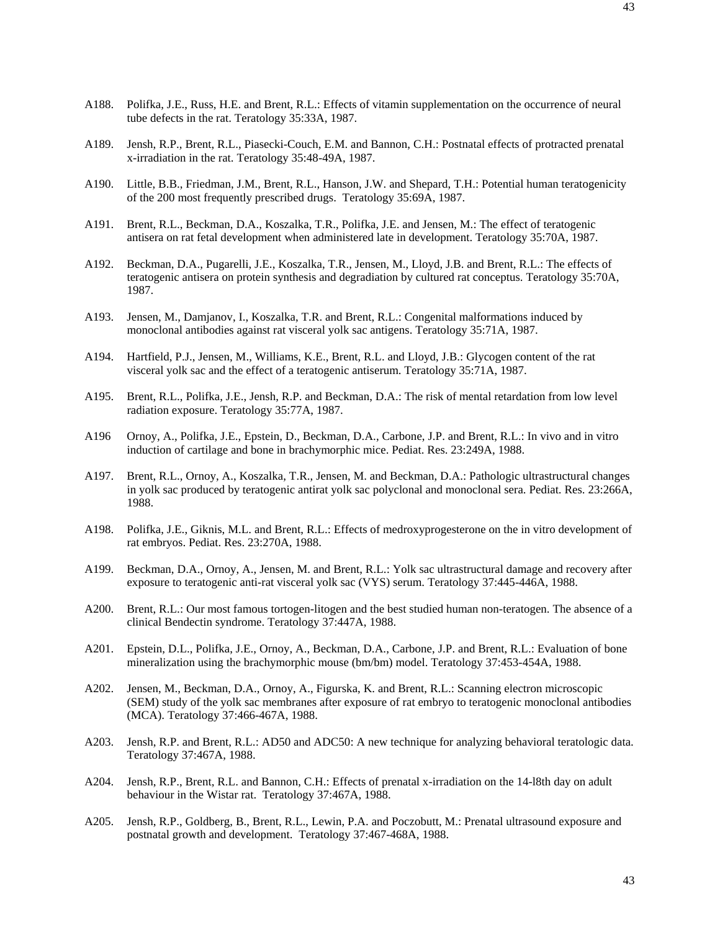- A188. Polifka, J.E., Russ, H.E. and Brent, R.L.: Effects of vitamin supplementation on the occurrence of neural tube defects in the rat. Teratology 35:33A, 1987.
- A189. Jensh, R.P., Brent, R.L., Piasecki-Couch, E.M. and Bannon, C.H.: Postnatal effects of protracted prenatal x-irradiation in the rat. Teratology 35:48-49A, 1987.
- A190. Little, B.B., Friedman, J.M., Brent, R.L., Hanson, J.W. and Shepard, T.H.: Potential human teratogenicity of the 200 most frequently prescribed drugs. Teratology 35:69A, 1987.
- A191. Brent, R.L., Beckman, D.A., Koszalka, T.R., Polifka, J.E. and Jensen, M.: The effect of teratogenic antisera on rat fetal development when administered late in development. Teratology 35:70A, 1987.
- A192. Beckman, D.A., Pugarelli, J.E., Koszalka, T.R., Jensen, M., Lloyd, J.B. and Brent, R.L.: The effects of teratogenic antisera on protein synthesis and degradiation by cultured rat conceptus. Teratology 35:70A, 1987.
- A193. Jensen, M., Damjanov, I., Koszalka, T.R. and Brent, R.L.: Congenital malformations induced by monoclonal antibodies against rat visceral yolk sac antigens. Teratology 35:71A, 1987.
- A194. Hartfield, P.J., Jensen, M., Williams, K.E., Brent, R.L. and Lloyd, J.B.: Glycogen content of the rat visceral yolk sac and the effect of a teratogenic antiserum. Teratology 35:71A, 1987.
- A195. Brent, R.L., Polifka, J.E., Jensh, R.P. and Beckman, D.A.: The risk of mental retardation from low level radiation exposure. Teratology 35:77A, 1987.
- A196 Ornoy, A., Polifka, J.E., Epstein, D., Beckman, D.A., Carbone, J.P. and Brent, R.L.: In vivo and in vitro induction of cartilage and bone in brachymorphic mice. Pediat. Res. 23:249A, 1988.
- A197. Brent, R.L., Ornoy, A., Koszalka, T.R., Jensen, M. and Beckman, D.A.: Pathologic ultrastructural changes in yolk sac produced by teratogenic antirat yolk sac polyclonal and monoclonal sera. Pediat. Res. 23:266A, 1988.
- A198. Polifka, J.E., Giknis, M.L. and Brent, R.L.: Effects of medroxyprogesterone on the in vitro development of rat embryos. Pediat. Res. 23:270A, 1988.
- A199. Beckman, D.A., Ornoy, A., Jensen, M. and Brent, R.L.: Yolk sac ultrastructural damage and recovery after exposure to teratogenic anti-rat visceral yolk sac (VYS) serum. Teratology 37:445-446A, 1988.
- A200. Brent, R.L.: Our most famous tortogen-litogen and the best studied human non-teratogen. The absence of a clinical Bendectin syndrome. Teratology 37:447A, 1988.
- A201. Epstein, D.L., Polifka, J.E., Ornoy, A., Beckman, D.A., Carbone, J.P. and Brent, R.L.: Evaluation of bone mineralization using the brachymorphic mouse (bm/bm) model. Teratology 37:453-454A, 1988.
- A202. Jensen, M., Beckman, D.A., Ornoy, A., Figurska, K. and Brent, R.L.: Scanning electron microscopic (SEM) study of the yolk sac membranes after exposure of rat embryo to teratogenic monoclonal antibodies (MCA). Teratology 37:466-467A, 1988.
- A203. Jensh, R.P. and Brent, R.L.: AD50 and ADC50: A new technique for analyzing behavioral teratologic data. Teratology 37:467A, 1988.
- A204. Jensh, R.P., Brent, R.L. and Bannon, C.H.: Effects of prenatal x-irradiation on the 14-l8th day on adult behaviour in the Wistar rat. Teratology 37:467A, 1988.
- A205. Jensh, R.P., Goldberg, B., Brent, R.L., Lewin, P.A. and Poczobutt, M.: Prenatal ultrasound exposure and postnatal growth and development. Teratology 37:467-468A, 1988.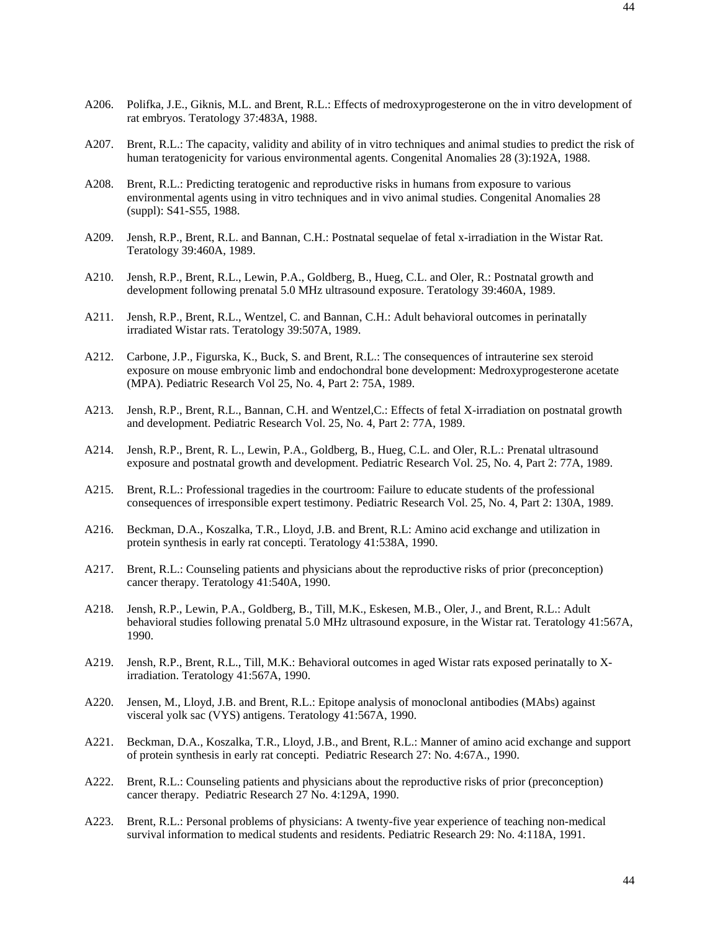- A206. Polifka, J.E., Giknis, M.L. and Brent, R.L.: Effects of medroxyprogesterone on the in vitro development of rat embryos. Teratology 37:483A, 1988.
- A207. Brent, R.L.: The capacity, validity and ability of in vitro techniques and animal studies to predict the risk of human teratogenicity for various environmental agents. Congenital Anomalies 28 (3):192A, 1988.
- A208. Brent, R.L.: Predicting teratogenic and reproductive risks in humans from exposure to various environmental agents using in vitro techniques and in vivo animal studies. Congenital Anomalies 28 (suppl): S41-S55, 1988.
- A209. Jensh, R.P., Brent, R.L. and Bannan, C.H.: Postnatal sequelae of fetal x-irradiation in the Wistar Rat. Teratology 39:460A, 1989.
- A210. Jensh, R.P., Brent, R.L., Lewin, P.A., Goldberg, B., Hueg, C.L. and Oler, R.: Postnatal growth and development following prenatal 5.0 MHz ultrasound exposure. Teratology 39:460A, 1989.
- A211. Jensh, R.P., Brent, R.L., Wentzel, C. and Bannan, C.H.: Adult behavioral outcomes in perinatally irradiated Wistar rats. Teratology 39:507A, 1989.
- A212. Carbone, J.P., Figurska, K., Buck, S. and Brent, R.L.: The consequences of intrauterine sex steroid exposure on mouse embryonic limb and endochondral bone development: Medroxyprogesterone acetate (MPA). Pediatric Research Vol 25, No. 4, Part 2: 75A, 1989.
- A213. Jensh, R.P., Brent, R.L., Bannan, C.H. and Wentzel,C.: Effects of fetal X-irradiation on postnatal growth and development. Pediatric Research Vol. 25, No. 4, Part 2: 77A, 1989.
- A214. Jensh, R.P., Brent, R. L., Lewin, P.A., Goldberg, B., Hueg, C.L. and Oler, R.L.: Prenatal ultrasound exposure and postnatal growth and development. Pediatric Research Vol. 25, No. 4, Part 2: 77A, 1989.
- A215. Brent, R.L.: Professional tragedies in the courtroom: Failure to educate students of the professional consequences of irresponsible expert testimony. Pediatric Research Vol. 25, No. 4, Part 2: 130A, 1989.
- A216. Beckman, D.A., Koszalka, T.R., Lloyd, J.B. and Brent, R.L: Amino acid exchange and utilization in protein synthesis in early rat concepti. Teratology 41:538A, 1990.
- A217. Brent, R.L.: Counseling patients and physicians about the reproductive risks of prior (preconception) cancer therapy. Teratology 41:540A, 1990.
- A218. Jensh, R.P., Lewin, P.A., Goldberg, B., Till, M.K., Eskesen, M.B., Oler, J., and Brent, R.L.: Adult behavioral studies following prenatal 5.0 MHz ultrasound exposure, in the Wistar rat. Teratology 41:567A, 1990.
- A219. Jensh, R.P., Brent, R.L., Till, M.K.: Behavioral outcomes in aged Wistar rats exposed perinatally to Xirradiation. Teratology 41:567A, 1990.
- A220. Jensen, M., Lloyd, J.B. and Brent, R.L.: Epitope analysis of monoclonal antibodies (MAbs) against visceral yolk sac (VYS) antigens. Teratology 41:567A, 1990.
- A221. Beckman, D.A., Koszalka, T.R., Lloyd, J.B., and Brent, R.L.: Manner of amino acid exchange and support of protein synthesis in early rat concepti. Pediatric Research 27: No. 4:67A., 1990.
- A222. Brent, R.L.: Counseling patients and physicians about the reproductive risks of prior (preconception) cancer therapy. Pediatric Research 27 No. 4:129A, 1990.
- A223. Brent, R.L.: Personal problems of physicians: A twenty-five year experience of teaching non-medical survival information to medical students and residents. Pediatric Research 29: No. 4:118A, 1991.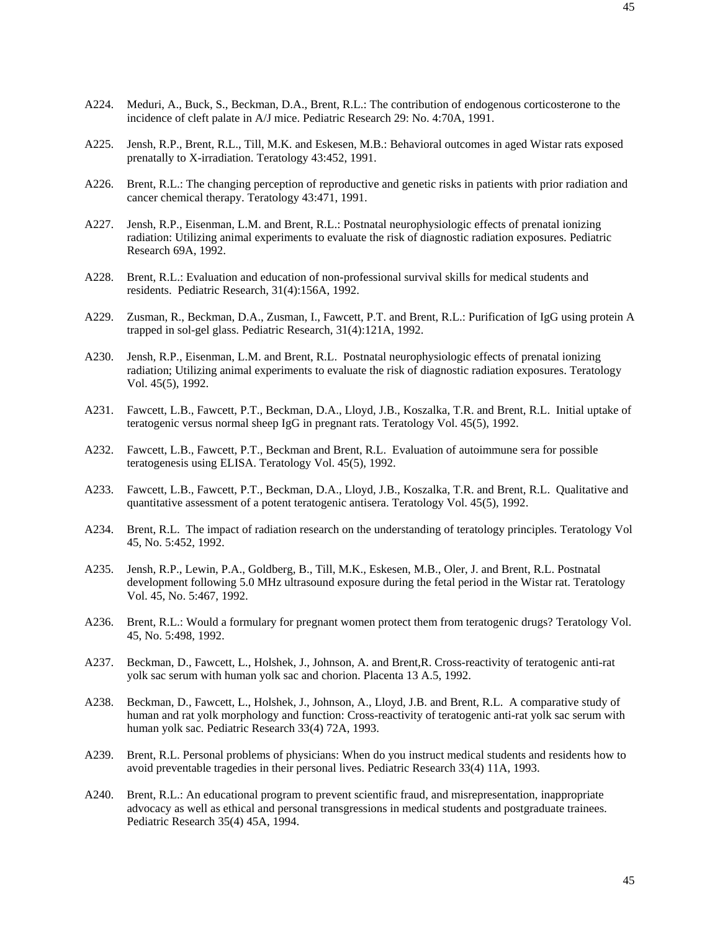- A224. Meduri, A., Buck, S., Beckman, D.A., Brent, R.L.: The contribution of endogenous corticosterone to the incidence of cleft palate in A/J mice. Pediatric Research 29: No. 4:70A, 1991.
- A225. Jensh, R.P., Brent, R.L., Till, M.K. and Eskesen, M.B.: Behavioral outcomes in aged Wistar rats exposed prenatally to X-irradiation. Teratology 43:452, 1991.
- A226. Brent, R.L.: The changing perception of reproductive and genetic risks in patients with prior radiation and cancer chemical therapy. Teratology 43:471, 1991.
- A227. Jensh, R.P., Eisenman, L.M. and Brent, R.L.: Postnatal neurophysiologic effects of prenatal ionizing radiation: Utilizing animal experiments to evaluate the risk of diagnostic radiation exposures. Pediatric Research 69A, 1992.
- A228. Brent, R.L.: Evaluation and education of non-professional survival skills for medical students and residents. Pediatric Research, 31(4):156A, 1992.
- A229. Zusman, R., Beckman, D.A., Zusman, I., Fawcett, P.T. and Brent, R.L.: Purification of IgG using protein A trapped in sol-gel glass. Pediatric Research, 31(4):121A, 1992.
- A230. Jensh, R.P., Eisenman, L.M. and Brent, R.L. Postnatal neurophysiologic effects of prenatal ionizing radiation; Utilizing animal experiments to evaluate the risk of diagnostic radiation exposures. Teratology Vol. 45(5), 1992.
- A231. Fawcett, L.B., Fawcett, P.T., Beckman, D.A., Lloyd, J.B., Koszalka, T.R. and Brent, R.L. Initial uptake of teratogenic versus normal sheep IgG in pregnant rats. Teratology Vol. 45(5), 1992.
- A232. Fawcett, L.B., Fawcett, P.T., Beckman and Brent, R.L. Evaluation of autoimmune sera for possible teratogenesis using ELISA. Teratology Vol. 45(5), 1992.
- A233. Fawcett, L.B., Fawcett, P.T., Beckman, D.A., Lloyd, J.B., Koszalka, T.R. and Brent, R.L. Qualitative and quantitative assessment of a potent teratogenic antisera. Teratology Vol. 45(5), 1992.
- A234. Brent, R.L. The impact of radiation research on the understanding of teratology principles. Teratology Vol 45, No. 5:452, 1992.
- A235. Jensh, R.P., Lewin, P.A., Goldberg, B., Till, M.K., Eskesen, M.B., Oler, J. and Brent, R.L. Postnatal development following 5.0 MHz ultrasound exposure during the fetal period in the Wistar rat. Teratology Vol. 45, No. 5:467, 1992.
- A236. Brent, R.L.: Would a formulary for pregnant women protect them from teratogenic drugs? Teratology Vol. 45, No. 5:498, 1992.
- A237. Beckman, D., Fawcett, L., Holshek, J., Johnson, A. and Brent,R. Cross-reactivity of teratogenic anti-rat yolk sac serum with human yolk sac and chorion. Placenta 13 A.5, 1992.
- A238. Beckman, D., Fawcett, L., Holshek, J., Johnson, A., Lloyd, J.B. and Brent, R.L. A comparative study of human and rat yolk morphology and function: Cross-reactivity of teratogenic anti-rat yolk sac serum with human yolk sac. Pediatric Research 33(4) 72A, 1993.
- A239. Brent, R.L. Personal problems of physicians: When do you instruct medical students and residents how to avoid preventable tragedies in their personal lives. Pediatric Research 33(4) 11A, 1993.
- A240. Brent, R.L.: An educational program to prevent scientific fraud, and misrepresentation, inappropriate advocacy as well as ethical and personal transgressions in medical students and postgraduate trainees. Pediatric Research 35(4) 45A, 1994.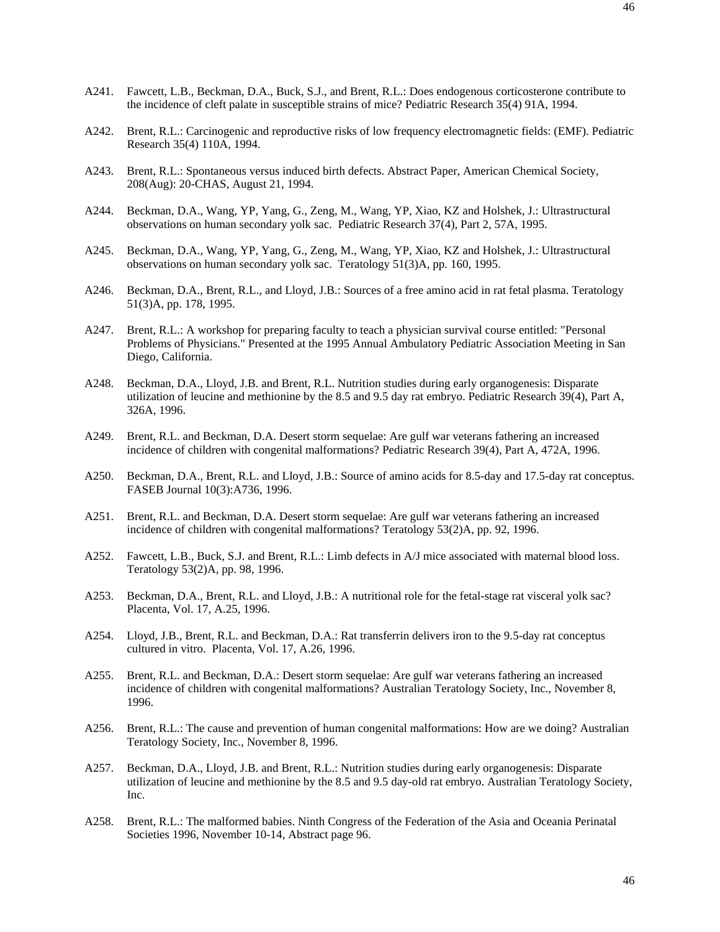- A241. Fawcett, L.B., Beckman, D.A., Buck, S.J., and Brent, R.L.: Does endogenous corticosterone contribute to the incidence of cleft palate in susceptible strains of mice? Pediatric Research 35(4) 91A, 1994.
- A242. Brent, R.L.: Carcinogenic and reproductive risks of low frequency electromagnetic fields: (EMF). Pediatric Research 35(4) 110A, 1994.
- A243. Brent, R.L.: Spontaneous versus induced birth defects. Abstract Paper, American Chemical Society, 208(Aug): 20-CHAS, August 21, 1994.
- A244. Beckman, D.A., Wang, YP, Yang, G., Zeng, M., Wang, YP, Xiao, KZ and Holshek, J.: Ultrastructural observations on human secondary yolk sac. Pediatric Research 37(4), Part 2, 57A, 1995.
- A245. Beckman, D.A., Wang, YP, Yang, G., Zeng, M., Wang, YP, Xiao, KZ and Holshek, J.: Ultrastructural observations on human secondary yolk sac. Teratology 51(3)A, pp. 160, 1995.
- A246. Beckman, D.A., Brent, R.L., and Lloyd, J.B.: Sources of a free amino acid in rat fetal plasma. Teratology 51(3)A, pp. 178, 1995.
- A247. Brent, R.L.: A workshop for preparing faculty to teach a physician survival course entitled: "Personal Problems of Physicians." Presented at the 1995 Annual Ambulatory Pediatric Association Meeting in San Diego, California.
- A248. Beckman, D.A., Lloyd, J.B. and Brent, R.L. Nutrition studies during early organogenesis: Disparate utilization of leucine and methionine by the 8.5 and 9.5 day rat embryo. Pediatric Research 39(4), Part A, 326A, 1996.
- A249. Brent, R.L. and Beckman, D.A. Desert storm sequelae: Are gulf war veterans fathering an increased incidence of children with congenital malformations? Pediatric Research 39(4), Part A, 472A, 1996.
- A250. Beckman, D.A., Brent, R.L. and Lloyd, J.B.: Source of amino acids for 8.5-day and 17.5-day rat conceptus. FASEB Journal 10(3):A736, 1996.
- A251. Brent, R.L. and Beckman, D.A. Desert storm sequelae: Are gulf war veterans fathering an increased incidence of children with congenital malformations? Teratology 53(2)A, pp. 92, 1996.
- A252. Fawcett, L.B., Buck, S.J. and Brent, R.L.: Limb defects in A/J mice associated with maternal blood loss. Teratology 53(2)A, pp. 98, 1996.
- A253. Beckman, D.A., Brent, R.L. and Lloyd, J.B.: A nutritional role for the fetal-stage rat visceral yolk sac? Placenta, Vol. 17, A.25, 1996.
- A254. Lloyd, J.B., Brent, R.L. and Beckman, D.A.: Rat transferrin delivers iron to the 9.5-day rat conceptus cultured in vitro. Placenta, Vol. 17, A.26, 1996.
- A255. Brent, R.L. and Beckman, D.A.: Desert storm sequelae: Are gulf war veterans fathering an increased incidence of children with congenital malformations? Australian Teratology Society, Inc., November 8, 1996.
- A256. Brent, R.L.: The cause and prevention of human congenital malformations: How are we doing? Australian Teratology Society, Inc., November 8, 1996.
- A257. Beckman, D.A., Lloyd, J.B. and Brent, R.L.: Nutrition studies during early organogenesis: Disparate utilization of leucine and methionine by the 8.5 and 9.5 day-old rat embryo. Australian Teratology Society, Inc.
- A258. Brent, R.L.: The malformed babies. Ninth Congress of the Federation of the Asia and Oceania Perinatal Societies 1996, November 10-14, Abstract page 96.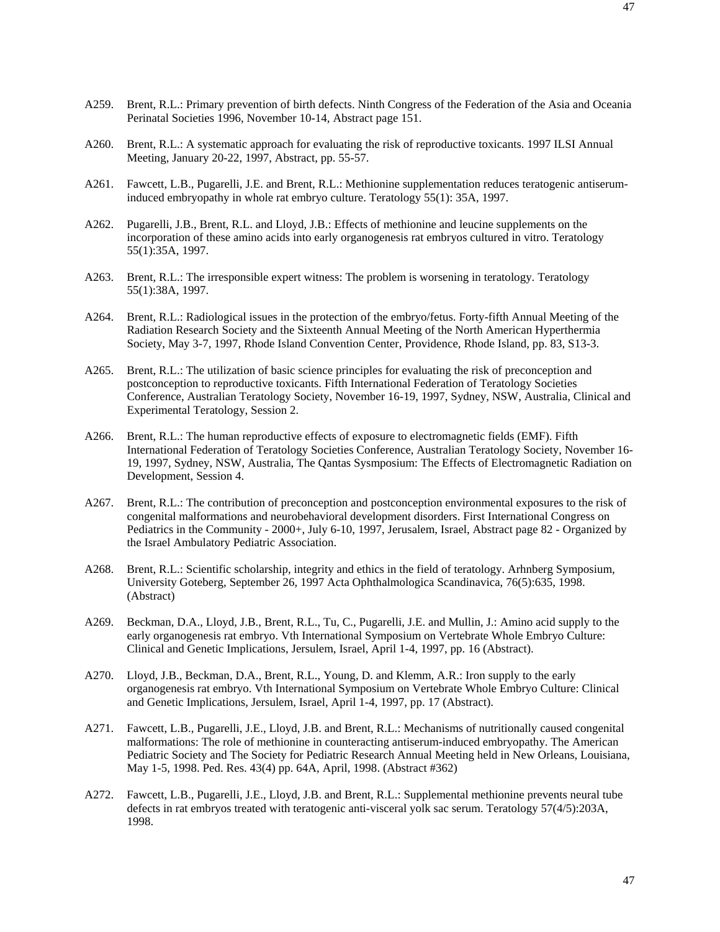- A259. Brent, R.L.: Primary prevention of birth defects. Ninth Congress of the Federation of the Asia and Oceania Perinatal Societies 1996, November 10-14, Abstract page 151.
- A260. Brent, R.L.: A systematic approach for evaluating the risk of reproductive toxicants. 1997 ILSI Annual Meeting, January 20-22, 1997, Abstract, pp. 55-57.
- A261. Fawcett, L.B., Pugarelli, J.E. and Brent, R.L.: Methionine supplementation reduces teratogenic antiseruminduced embryopathy in whole rat embryo culture. Teratology 55(1): 35A, 1997.
- A262. Pugarelli, J.B., Brent, R.L. and Lloyd, J.B.: Effects of methionine and leucine supplements on the incorporation of these amino acids into early organogenesis rat embryos cultured in vitro. Teratology 55(1):35A, 1997.
- A263. Brent, R.L.: The irresponsible expert witness: The problem is worsening in teratology. Teratology 55(1):38A, 1997.
- A264. Brent, R.L.: Radiological issues in the protection of the embryo/fetus. Forty-fifth Annual Meeting of the Radiation Research Society and the Sixteenth Annual Meeting of the North American Hyperthermia Society, May 3-7, 1997, Rhode Island Convention Center, Providence, Rhode Island, pp. 83, S13-3.
- A265. Brent, R.L.: The utilization of basic science principles for evaluating the risk of preconception and postconception to reproductive toxicants. Fifth International Federation of Teratology Societies Conference, Australian Teratology Society, November 16-19, 1997, Sydney, NSW, Australia, Clinical and Experimental Teratology, Session 2.
- A266. Brent, R.L.: The human reproductive effects of exposure to electromagnetic fields (EMF). Fifth International Federation of Teratology Societies Conference, Australian Teratology Society, November 16- 19, 1997, Sydney, NSW, Australia, The Qantas Sysmposium: The Effects of Electromagnetic Radiation on Development, Session 4.
- A267. Brent, R.L.: The contribution of preconception and postconception environmental exposures to the risk of congenital malformations and neurobehavioral development disorders. First International Congress on Pediatrics in the Community - 2000+, July 6-10, 1997, Jerusalem, Israel, Abstract page 82 - Organized by the Israel Ambulatory Pediatric Association.
- A268. Brent, R.L.: Scientific scholarship, integrity and ethics in the field of teratology. Arhnberg Symposium, University Goteberg, September 26, 1997 Acta Ophthalmologica Scandinavica, 76(5):635, 1998. (Abstract)
- A269. Beckman, D.A., Lloyd, J.B., Brent, R.L., Tu, C., Pugarelli, J.E. and Mullin, J.: Amino acid supply to the early organogenesis rat embryo. Vth International Symposium on Vertebrate Whole Embryo Culture: Clinical and Genetic Implications, Jersulem, Israel, April 1-4, 1997, pp. 16 (Abstract).
- A270. Lloyd, J.B., Beckman, D.A., Brent, R.L., Young, D. and Klemm, A.R.: Iron supply to the early organogenesis rat embryo. Vth International Symposium on Vertebrate Whole Embryo Culture: Clinical and Genetic Implications, Jersulem, Israel, April 1-4, 1997, pp. 17 (Abstract).
- A271. Fawcett, L.B., Pugarelli, J.E., Lloyd, J.B. and Brent, R.L.: Mechanisms of nutritionally caused congenital malformations: The role of methionine in counteracting antiserum-induced embryopathy. The American Pediatric Society and The Society for Pediatric Research Annual Meeting held in New Orleans, Louisiana, May 1-5, 1998. Ped. Res. 43(4) pp. 64A, April, 1998. (Abstract #362)
- A272. Fawcett, L.B., Pugarelli, J.E., Lloyd, J.B. and Brent, R.L.: Supplemental methionine prevents neural tube defects in rat embryos treated with teratogenic anti-visceral yolk sac serum. Teratology 57(4/5):203A, 1998.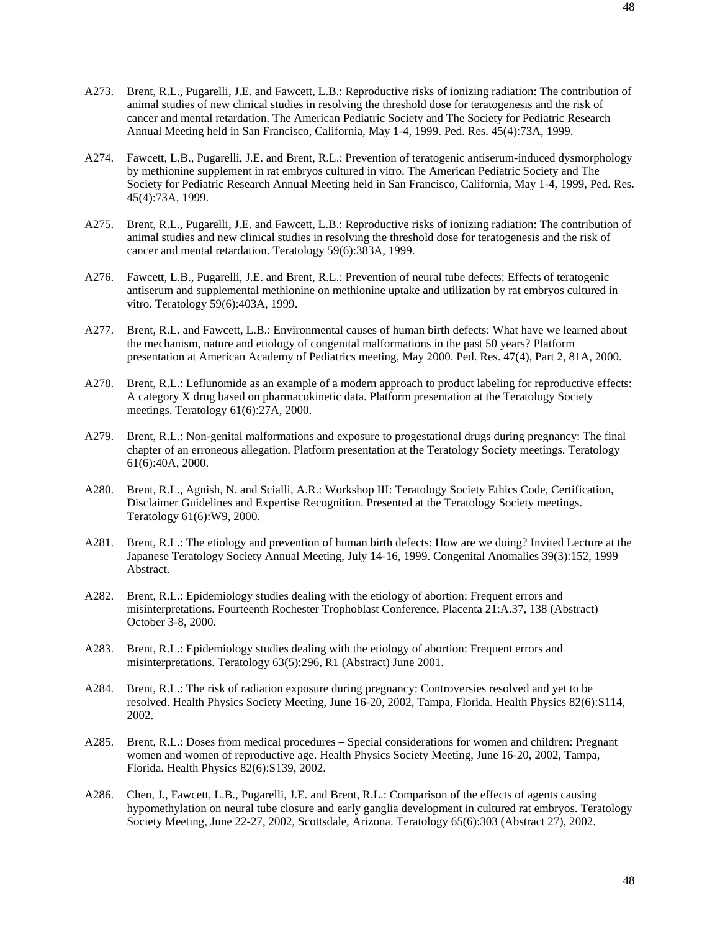- A273. Brent, R.L., Pugarelli, J.E. and Fawcett, L.B.: Reproductive risks of ionizing radiation: The contribution of animal studies of new clinical studies in resolving the threshold dose for teratogenesis and the risk of cancer and mental retardation. The American Pediatric Society and The Society for Pediatric Research Annual Meeting held in San Francisco, California, May 1-4, 1999. Ped. Res. 45(4):73A, 1999.
- A274. Fawcett, L.B., Pugarelli, J.E. and Brent, R.L.: Prevention of teratogenic antiserum-induced dysmorphology by methionine supplement in rat embryos cultured in vitro. The American Pediatric Society and The Society for Pediatric Research Annual Meeting held in San Francisco, California, May 1-4, 1999, Ped. Res. 45(4):73A, 1999.
- A275. Brent, R.L., Pugarelli, J.E. and Fawcett, L.B.: Reproductive risks of ionizing radiation: The contribution of animal studies and new clinical studies in resolving the threshold dose for teratogenesis and the risk of cancer and mental retardation. Teratology 59(6):383A, 1999.
- A276. Fawcett, L.B., Pugarelli, J.E. and Brent, R.L.: Prevention of neural tube defects: Effects of teratogenic antiserum and supplemental methionine on methionine uptake and utilization by rat embryos cultured in vitro. Teratology 59(6):403A, 1999.
- A277. Brent, R.L. and Fawcett, L.B.: Environmental causes of human birth defects: What have we learned about the mechanism, nature and etiology of congenital malformations in the past 50 years? Platform presentation at American Academy of Pediatrics meeting, May 2000. Ped. Res. 47(4), Part 2, 81A, 2000.
- A278. Brent, R.L.: Leflunomide as an example of a modern approach to product labeling for reproductive effects: A category X drug based on pharmacokinetic data. Platform presentation at the Teratology Society meetings. Teratology 61(6):27A, 2000.
- A279. Brent, R.L.: Non-genital malformations and exposure to progestational drugs during pregnancy: The final chapter of an erroneous allegation. Platform presentation at the Teratology Society meetings. Teratology 61(6):40A, 2000.
- A280. Brent, R.L., Agnish, N. and Scialli, A.R.: Workshop III: Teratology Society Ethics Code, Certification, Disclaimer Guidelines and Expertise Recognition. Presented at the Teratology Society meetings. Teratology 61(6):W9, 2000.
- A281. Brent, R.L.: The etiology and prevention of human birth defects: How are we doing? Invited Lecture at the Japanese Teratology Society Annual Meeting, July 14-16, 1999. Congenital Anomalies 39(3):152, 1999 Abstract.
- A282. Brent, R.L.: Epidemiology studies dealing with the etiology of abortion: Frequent errors and misinterpretations. Fourteenth Rochester Trophoblast Conference, Placenta 21:A.37, 138 (Abstract) October 3-8, 2000.
- A283. Brent, R.L.: Epidemiology studies dealing with the etiology of abortion: Frequent errors and misinterpretations. Teratology 63(5):296, R1 (Abstract) June 2001.
- A284. Brent, R.L.: The risk of radiation exposure during pregnancy: Controversies resolved and yet to be resolved. Health Physics Society Meeting, June 16-20, 2002, Tampa, Florida. Health Physics 82(6):S114, 2002.
- A285. Brent, R.L.: Doses from medical procedures Special considerations for women and children: Pregnant women and women of reproductive age. Health Physics Society Meeting, June 16-20, 2002, Tampa, Florida. Health Physics 82(6):S139, 2002.
- A286. Chen, J., Fawcett, L.B., Pugarelli, J.E. and Brent, R.L.: Comparison of the effects of agents causing hypomethylation on neural tube closure and early ganglia development in cultured rat embryos. Teratology Society Meeting, June 22-27, 2002, Scottsdale, Arizona. Teratology 65(6):303 (Abstract 27), 2002.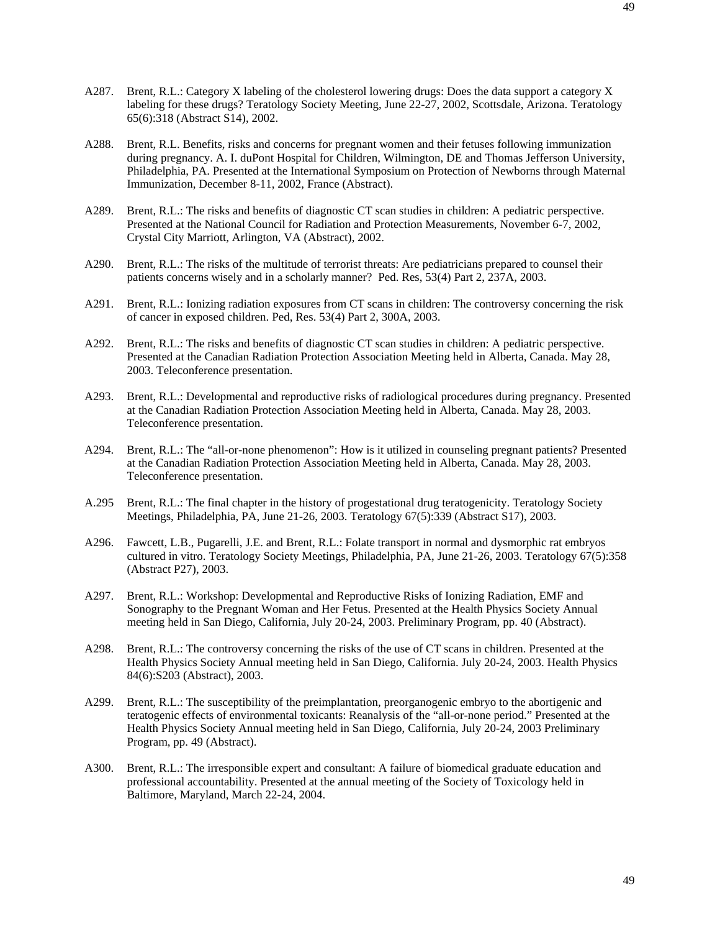- A287. Brent, R.L.: Category X labeling of the cholesterol lowering drugs: Does the data support a category X labeling for these drugs? Teratology Society Meeting, June 22-27, 2002, Scottsdale, Arizona. Teratology 65(6):318 (Abstract S14), 2002.
- A288. Brent, R.L. Benefits, risks and concerns for pregnant women and their fetuses following immunization during pregnancy. A. I. duPont Hospital for Children, Wilmington, DE and Thomas Jefferson University, Philadelphia, PA. Presented at the International Symposium on Protection of Newborns through Maternal Immunization, December 8-11, 2002, France (Abstract).
- A289. Brent, R.L.: The risks and benefits of diagnostic CT scan studies in children: A pediatric perspective. Presented at the National Council for Radiation and Protection Measurements, November 6-7, 2002, Crystal City Marriott, Arlington, VA (Abstract), 2002.
- A290. Brent, R.L.: The risks of the multitude of terrorist threats: Are pediatricians prepared to counsel their patients concerns wisely and in a scholarly manner? Ped. Res, 53(4) Part 2, 237A, 2003.
- A291. Brent, R.L.: Ionizing radiation exposures from CT scans in children: The controversy concerning the risk of cancer in exposed children. Ped, Res. 53(4) Part 2, 300A, 2003.
- A292. Brent, R.L.: The risks and benefits of diagnostic CT scan studies in children: A pediatric perspective. Presented at the Canadian Radiation Protection Association Meeting held in Alberta, Canada. May 28, 2003. Teleconference presentation.
- A293. Brent, R.L.: Developmental and reproductive risks of radiological procedures during pregnancy. Presented at the Canadian Radiation Protection Association Meeting held in Alberta, Canada. May 28, 2003. Teleconference presentation.
- A294. Brent, R.L.: The "all-or-none phenomenon": How is it utilized in counseling pregnant patients? Presented at the Canadian Radiation Protection Association Meeting held in Alberta, Canada. May 28, 2003. Teleconference presentation.
- A.295 Brent, R.L.: The final chapter in the history of progestational drug teratogenicity. Teratology Society Meetings, Philadelphia, PA, June 21-26, 2003. Teratology 67(5):339 (Abstract S17), 2003.
- A296. Fawcett, L.B., Pugarelli, J.E. and Brent, R.L.: Folate transport in normal and dysmorphic rat embryos cultured in vitro. Teratology Society Meetings, Philadelphia, PA, June 21-26, 2003. Teratology 67(5):358 (Abstract P27), 2003.
- A297. Brent, R.L.: Workshop: Developmental and Reproductive Risks of Ionizing Radiation, EMF and Sonography to the Pregnant Woman and Her Fetus. Presented at the Health Physics Society Annual meeting held in San Diego, California, July 20-24, 2003. Preliminary Program, pp. 40 (Abstract).
- A298. Brent, R.L.: The controversy concerning the risks of the use of CT scans in children. Presented at the Health Physics Society Annual meeting held in San Diego, California. July 20-24, 2003. Health Physics 84(6):S203 (Abstract), 2003.
- A299. Brent, R.L.: The susceptibility of the preimplantation, preorganogenic embryo to the abortigenic and teratogenic effects of environmental toxicants: Reanalysis of the "all-or-none period." Presented at the Health Physics Society Annual meeting held in San Diego, California, July 20-24, 2003 Preliminary Program, pp. 49 (Abstract).
- A300. Brent, R.L.: The irresponsible expert and consultant: A failure of biomedical graduate education and professional accountability. Presented at the annual meeting of the Society of Toxicology held in Baltimore, Maryland, March 22-24, 2004.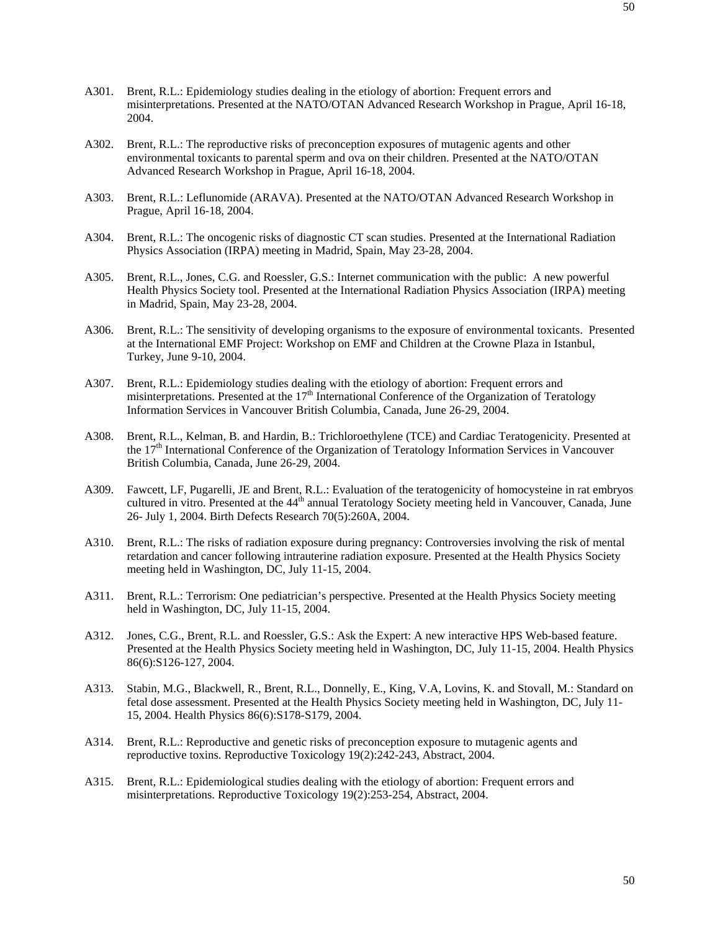- A301. Brent, R.L.: Epidemiology studies dealing in the etiology of abortion: Frequent errors and misinterpretations. Presented at the NATO/OTAN Advanced Research Workshop in Prague, April 16-18, 2004.
- A302. Brent, R.L.: The reproductive risks of preconception exposures of mutagenic agents and other environmental toxicants to parental sperm and ova on their children. Presented at the NATO/OTAN Advanced Research Workshop in Prague, April 16-18, 2004.
- A303. Brent, R.L.: Leflunomide (ARAVA). Presented at the NATO/OTAN Advanced Research Workshop in Prague, April 16-18, 2004.
- A304. Brent, R.L.: The oncogenic risks of diagnostic CT scan studies. Presented at the International Radiation Physics Association (IRPA) meeting in Madrid, Spain, May 23-28, 2004.
- A305. Brent, R.L., Jones, C.G. and Roessler, G.S.: Internet communication with the public: A new powerful Health Physics Society tool. Presented at the International Radiation Physics Association (IRPA) meeting in Madrid, Spain, May 23-28, 2004.
- A306. Brent, R.L.: The sensitivity of developing organisms to the exposure of environmental toxicants. Presented at the International EMF Project: Workshop on EMF and Children at the Crowne Plaza in Istanbul, Turkey, June 9-10, 2004.
- A307. Brent, R.L.: Epidemiology studies dealing with the etiology of abortion: Frequent errors and misinterpretations. Presented at the 17<sup>th</sup> International Conference of the Organization of Teratology Information Services in Vancouver British Columbia, Canada, June 26-29, 2004.
- A308. Brent, R.L., Kelman, B. and Hardin, B.: Trichloroethylene (TCE) and Cardiac Teratogenicity. Presented at the 17<sup>th</sup> International Conference of the Organization of Teratology Information Services in Vancouver British Columbia, Canada, June 26-29, 2004.
- A309. Fawcett, LF, Pugarelli, JE and Brent, R.L.: Evaluation of the teratogenicity of homocysteine in rat embryos cultured in vitro. Presented at the 44<sup>th</sup> annual Teratology Society meeting held in Vancouver, Canada, June 26- July 1, 2004. Birth Defects Research 70(5):260A, 2004.
- A310. Brent, R.L.: The risks of radiation exposure during pregnancy: Controversies involving the risk of mental retardation and cancer following intrauterine radiation exposure. Presented at the Health Physics Society meeting held in Washington, DC, July 11-15, 2004.
- A311. Brent, R.L.: Terrorism: One pediatrician's perspective. Presented at the Health Physics Society meeting held in Washington, DC, July 11-15, 2004.
- A312. Jones, C.G., Brent, R.L. and Roessler, G.S.: Ask the Expert: A new interactive HPS Web-based feature. Presented at the Health Physics Society meeting held in Washington, DC, July 11-15, 2004. Health Physics 86(6):S126-127, 2004.
- A313. Stabin, M.G., Blackwell, R., Brent, R.L., Donnelly, E., King, V.A, Lovins, K. and Stovall, M.: Standard on fetal dose assessment. Presented at the Health Physics Society meeting held in Washington, DC, July 11- 15, 2004. Health Physics 86(6):S178-S179, 2004.
- A314. Brent, R.L.: Reproductive and genetic risks of preconception exposure to mutagenic agents and reproductive toxins. Reproductive Toxicology 19(2):242-243, Abstract, 2004.
- A315. Brent, R.L.: Epidemiological studies dealing with the etiology of abortion: Frequent errors and misinterpretations. Reproductive Toxicology 19(2):253-254, Abstract, 2004.